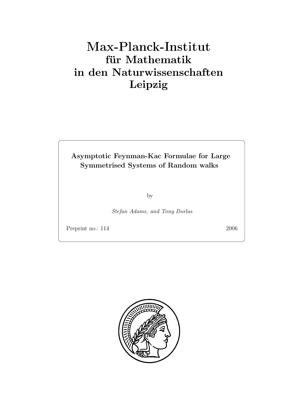# $f$ **ür** Mathematik **in den Naturwissenschaften Leipzig**

# **Asymptotic Feynman-Kac Formulae for Large Symmetrised Systems of Random walks**

by

*Stefan Adams, and Tony Dorlas*

Preprint no.: 114 2006

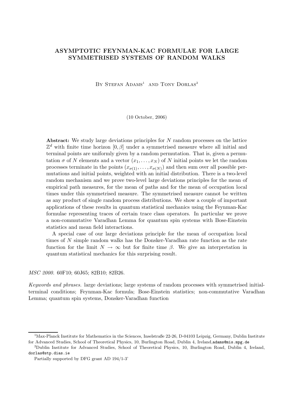# **ASYMPTOTIC FEYNMAN-KAC FORMULAE FOR LARGE SYMMETRISED SYSTEMS OF RANDOM WALKS**

BY STEFAN ADAMS<sup>1</sup> AND TONY DORLAS<sup>2</sup>

(10 October, 2006)

**Abstract:** We study large deviations principles for N random processes on the lattice  $\mathbb{Z}^d$  with finite time horizon [0,  $\beta$ ] under a symmetrised measure where all initial and terminal points are uniformly given by a random permutation. That is, given a permutation  $\sigma$  of N elements and a vector  $(x_1,\ldots,x_N)$  of N initial points we let the random processes terminate in the points  $(x_{\sigma(1)},...,x_{\sigma(N)})$  and then sum over all possible permutations and initial points, weighted with an initial distribution. There is a two-level random mechanism and we prove two-level large deviations principles for the mean of empirical path measures, for the mean of paths and for the mean of occupation local times under this symmetrised measure. The symmetrised measure cannot be written as any product of single random process distributions. We show a couple of important applications of these results in quantum statistical mechanics using the Feynman-Kac formulae representing traces of certain trace class operators. In particular we prove a non-commutative Varadhan Lemma for quantum spin systems with Bose-Einstein statistics and mean field interactions.

A special case of our large deviations principle for the mean of occupation local times of N simple random walks has the Donsker-Varadhan rate function as the rate function for the limit  $N \to \infty$  but for finite time  $\beta$ . We give an interpretation in quantum statistical mechanics for this surprising result.

*MSC 2000.* 60F10; 60J65; 82B10; 82B26.

*Keywords and phrases.* large deviations; large systems of random processes with symmetrised initialterminal conditions; Feynman-Kac formula; Bose-Einstein statistics; non-commutative Varadhan Lemma; quantum spin systems, Donsker-Varadhan function

<sup>&</sup>lt;sup>1</sup>Max-Planck Institute for Mathematics in the Sciences, Inselstraße 22-26, D-04103 Leipzig, Germany, Dublin Institute for Advanced Studies, School of Theoretical Physics, 10, Burlington Road, Dublin 4, Ireland, adams@mis.mpg.de

<sup>2</sup>Dublin Institute for Advanced Studies, School of Theoretical Physics, 10, Burlington Road, Dublin 4, Ireland, dorlas@stp.dias.ie

Partially supported by DFG grant AD 194/1-3'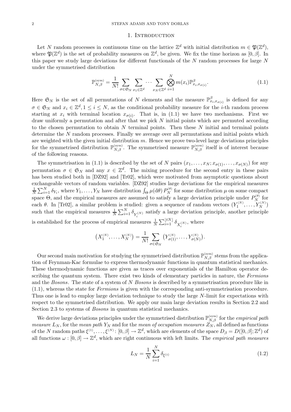#### 1. INTRODUCTION

Let N random processes in continuous time on the lattice  $\mathbb{Z}^d$  with initial distribution  $m \in \mathfrak{P}(\mathbb{Z}^d)$ , where  $\mathfrak{P}(\mathbb{Z}^d)$  is the set of probability measures on  $\mathbb{Z}^d$ , be given. We fix the time horizon as [0,  $\beta$ ]. In this paper we study large deviations for different functionals of the  $N$  random processes for large  $N$ under the symmetrised distribution

$$
\mathbb{P}_{N,\beta}^{(\text{sym})} = \frac{1}{N!} \sum_{\sigma \in \mathfrak{S}_N} \sum_{x_1 \in \mathbb{Z}^d} \cdots \sum_{x_N \in \mathbb{Z}^d} \bigotimes_{i=1}^N m(x_i) \mathbb{P}_{x_i, x_{\sigma(i)}}^\beta.
$$
\n(1.1)

Here  $\mathfrak{S}_N$  is the set of all permutations of N elements and the measure  $\mathbb{P}^{\beta}_{x_i,x_{\sigma(i)}}$  is defined for any  $\sigma \in \mathfrak{S}_N$  and  $x_i \in \mathbb{Z}^d, 1 \leq i \leq N$ , as the conditional probability measure for the *i*-th random process starting at  $x_i$  with terminal location  $x_{\sigma(i)}$ . That is, in (1.1) we have two mechanisms. First we draw uniformly a permutation and after that we pick  $N$  initial points which are permuted according to the chosen permutation to obtain N terminal points. Then these N initial and terminal points determine the N random processes. Finally we average over all permutations and initial points which are weighted with the given initial distribution  $m$ . Hence we prove two-level large deviations principles for the symmetrised distribution  $\mathbb{P}_{N,\beta}^{(\text{sym})}$ . The symmetrised measure  $\mathbb{P}_{N,\beta}^{(\text{sym})}$  itself is of interest because of the following reasons.

The symmetrisation in (1.1) is described by the set of N pairs  $(x_1, \ldots, x_N; x_{\sigma(1)}, \ldots, x_{\sigma(N)})$  for any permutation  $\sigma \in \mathfrak{S}_N$  and any  $x \in \mathbb{Z}^d$ . The mixing procedure for the second entry in these pairs has been studied both in [DZ92] and [Tr02], which were motivated from asymptotic questions about exchangeable vectors of random variables. [DZ92] studies large deviations for the empirical measures 1  $\frac{1}{N}\sum_{i=1}^{N}\delta_{Y_i}$ , where  $Y_1,\ldots,Y_N$  have distribution  $\int_{\Theta}\mu(\mathrm{d}\theta)\,P_N^{(\theta)}$  for some distribution  $\mu$  on some compact space  $\Theta$ , and the empirical measures are assumed to satisfy a large deviation principle under  $P_N^{(\theta)}$  for each  $\theta$ . In [Tr02], a similar problem is studied: given a sequence of random vectors  $(Y_1^{(N)},...,Y_N^{(N)})$ such that the empirical measures  $\frac{1}{N} \sum_{i=1}^{N} \delta_{Y_i^{(N)}}$  satisfy a large deviation principle, another principle is established for the process of empirical measures  $\frac{1}{N} \sum_{i=1}^{\lfloor tN \rfloor} \delta_{X_i^{(N)}}$ , where

$$
\left(X_1^{(N)},\ldots,X_N^{(N)}\right)=\frac{1}{N!}\sum_{\sigma\in\mathfrak{S}_N}\left(Y_{\sigma(1)}^{(N)},\ldots,Y_{\sigma(N)}^{(N)}\right).
$$

Our second main motivation for studying the symmetrised distribution  $\mathbb{P}_{N,\beta}^{(\text{sym})}$  stems from the application of Feynman-Kac formulae to express thermodynamic functions in quantum statistical mechanics. These thermodynamic functions are given as traces over exponentials of the Hamilton operator describing the quantum system. There exist two kinds of elementary particles in nature, the *Fermions* and the *Bosons*. The state of a system of N *Bosons* is described by a symmetrisation procedure like in (1.1), whereas the state for *Fermions* is given with the corresponding anti-symmetrisation procedure. Thus one is lead to employ large deviation technique to study the large N-limit for expectations with respect to the symmetrised distribution. We apply our main large deviation results in Section 2.2 and Section 2.3 to systems of *Bosons* in quantum statistical mechanics.

We derive large deviations principles under the symmetrised distribution  $\mathbb{P}_{N,\beta}^{(\text{sym})}$  for the *empirical path measure*  $L_N$ , for the *mean path*  $Y_N$  and for the *mean of occupation measures*  $Z_N$ , all defined as functions of the N random paths  $\xi^{(1)},\ldots,\xi^{(N)}\colon[0,\beta]\to\mathbb{Z}^d$ , which are elements of the space  $D_\beta=D([0,\beta];\mathbb{Z}^d)$  of all functions  $\omega : [0, \beta] \to \mathbb{Z}^d$ , which are right continuous with left limits. The *empirical path measures* 

$$
L_N = \frac{1}{N} \sum_{i=1}^{N} \delta_{\xi^{(i)}} \tag{1.2}
$$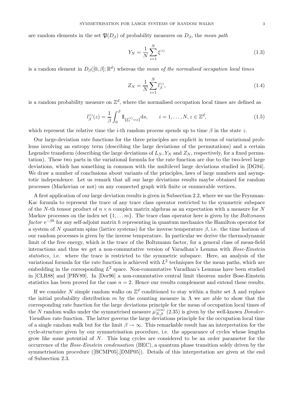are random elements in the set  $\mathfrak{P}(D_\beta)$  of probability measures on  $D_\beta$ , the *mean path* 

$$
Y_N = \frac{1}{N} \sum_{i=1}^{N} \xi^{(i)}
$$
\n(1.3)

is a random element in  $D_{\beta}([0,\beta];\mathbb{R}^d)$  whereas the *mean of the normalised occupation local times* 

$$
Z_N = \frac{1}{N} \sum_{i=1}^N l_{\beta}^{(i)},\tag{1.4}
$$

is a random probability measure on  $\mathbb{Z}^d$ , where the normalised occupation local times are defined as

$$
l_{\beta}^{(i)}(z) = \frac{1}{\beta} \int_0^{\beta} 1\!\!1_{\{\xi_s^{(i)} = z\}} ds, \qquad i = 1, \dots, N, z \in \mathbb{Z}^d,
$$
\n(1.5)

which represent the relative time the *i*-th random process spends up to time  $\beta$  in the state z.

Our large-deviation rate functions for the three principles are explicit in terms of variational problems involving an entropy term (describing the large deviations of the permutations) and a certain Legendre transform (describing the large deviations of  $L_N$ ,  $Y_N$  and  $Z_N$ , respectively, for a fixed permutation). These two parts in the variational formula for the rate function are due to the two-level large deviations, which has something in common with the multilevel large deviations studied in [DG94]. We draw a number of conclusions about variants of the principles, laws of large numbers and asymptotic independence. Let us remark that all our large deviations results maybe obtained for random processes (Markovian or not) on any connected graph with finite or enumerable vertices.

A first application of our large deviation results is given in Subsection 2.2, where we use the Feynman-Kac formula to represent the trace of any trace class operator restricted to the symmetric subspace of the N-th tensor product of  $n \times n$  complex matrix algebras as an expectation with a measure for N Markov processes on the index set {1,...m}. The trace class operator here is given by the *Boltzmann factor* e<sup>−βh</sup> for any self-adjoint matrix h representing in quantum mechanics the Hamilton operator for a system of N quantum spins (lattice systems) for the inverse temperature  $\beta$ , i.e. the time horizon of our random processes is given by the inverse temperature. In particular we derive the thermodynamic limit of the free energy, which is the trace of the Boltzmann factor, for a general class of mean-field interactions and thus we get a non-commutative version of Varadhan's Lemma with *Bose-Einstein statistics*, i.e. where the trace is restricted to the symmetric subspace. Here, an analysis of the variational formula for the rate function is achieved with  $L^2$  techniques for the mean paths, which are embedding in the corresponding  $L^2$  space. Non-commutative Varadhan's Lemmas have been studied in [CLR88] and [PRV89]. In [Dor96] a non-commutative central limit theorem under Bose-Einstein statistics has been proved for the case  $n = 2$ . Hence our results complement and extend these results.

If we consider N simple random walks on  $\mathbb{Z}^d$  conditioned to stay within a finite set  $\Lambda$  and replace the initial probability distribution m by the counting measure in  $\Lambda$  we are able to show that the corresponding rate function for the large deviations principle for the mean of occupation local times of the N random walks under the symmetrised measure  $\mu_{N,\beta}^{(\text{sym})}$  (2.35) is given by the well-known *Donsker*-*Varadhan* rate function. The latter governs the large deviations principle for the occupation local time of a single random walk but for the limit  $\beta \to \infty$ . This remarkable result has an interpretation for the cycle-structure given by our symmetrisation procedure, i.e. the appearance of cycles whose lengths grow like some potential of N. This long cycles are considered to be an order parameter for the occurrence of the *Bose-Einstein condensation* (BEC), a quantum phase transition solely driven by the symmetrisation procedure ([BCMP05],[DMP05]). Details of this interpretation are given at the end of Subsection 2.3.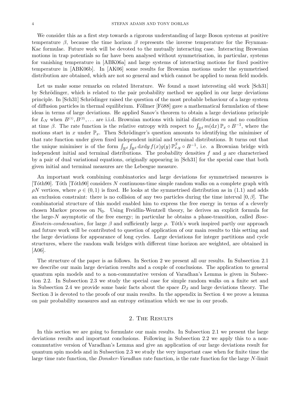We consider this as a first step towards a rigorous understanding of large Boson systems at positive temperature  $\beta$ , because the time horizon  $\beta$  represents the inverse temperature for the Feynman-Kac formulae. Future work will be devoted to the mutually interacting case. Interacting Brownian motions in trap potentials so far have been analysed without symmetrisation, in particular, systems for vanishing temperature in [ABK06a] and large systems of interacting motions for fixed positive temperature in [ABK06b]. In [AK06] some results for Brownian motions under the symmetrised distribution are obtained, which are not so general and which cannot be applied to mean field models.

Let us make some remarks on related literature. We found a most interesting old work [Sch31] by Schrödinger, which is related to the pair probability method we applied in our large deviations principle. In [Sch31] Schrödinger raised the question of the most probable behaviour of a large system of diffusion particles in thermal equilibrium. Föllmer [Fö88] gave a mathematical formulation of these ideas in terms of large deviations. He applied Sanov's theorem to obtain a large deviations principle for  $L_N$  when  $B^{(1)}, B^{(2)}, \ldots$  are i.i.d. Brownian motions with initial distribution m and no condition at time  $\beta$ . The rate function is the relative entropy with respect to  $\int_{\mathbb{R}^d} m(dx) \mathbb{P}_x \circ B^{-1}$ , where the motions start in x under  $\mathbb{P}_x$ . Then Schrödinger's question amounts to identifying the minimiser of that rate function under given fixed independent initial and terminal distributions. It turns out that the unique minimiser is of the form  $\int_{\mathbb{R}^d} \int_{\mathbb{R}^d} dxdy f(x)g(y) \mathbb{P}_{x,y}^{\beta} \circ B^{-1}$ , i.e. a Brownian bridge with independent initial and terminal distributions. The probability densities  $f$  and  $g$  are characterised by a pair of dual variational equations, originally appearing in [Sch31] for the special case that both given initial and terminal measures are the Lebesgue measure.

An important work combining combinatorics and large deviations for symmetrised measures is [Tôth90]. Tôth [Tôth90] considers N continuous-time simple random walks on a complete graph with  $\rho N$  vertices, where  $\rho \in (0,1)$  is fixed. He looks at the symmetrised distribution as in (1.1) and adds an exclusion constraint: there is no collision of any two particles during the time interval  $[0, \beta]$ . The combinatorial structure of this model enabled him to express the free energy in terms of a cleverly chosen Markov process on  $\mathbb{N}_0$ . Using Freidlin-Wentzell theory, he derives an explicit formula for the large-N asymptotic of the free energy; in particular he obtains a phase-transition, called *Bose-Einstein-condensation*, for large  $\beta$  and sufficiently large  $\rho$ . Toth's work inspired partly our approach and future work will be contributed to question of application of our main results to this setting and the large deviations for appearance of long cycles. Large deviations for integer partitions and cycle structures, where the random walk bridges with different time horizon are weighted, are obtained in [A06].

The structure of the paper is as follows. In Section 2 we present all our results. In Subsection 2.1 we describe our main large deviation results and a couple of conclusions. The application to general quantum spin models and to a non-commutative version of Varadhan's Lemma is given in Subsection 2.2. In Subsection 2.3 we study the special case for simple random walks on a finite set and in Subsection 2.4 we provide some basic facts about the space  $D_\beta$  and large deviations theory. The Section 3 is devoted to the proofs of our main results. In the appendix in Section 4 we prove a lemma on pair probability measures and an entropy estimation which we use in our proofs.

## 2. THE RESULTS

In this section we are going to formulate our main results. In Subsection 2.1 we present the large deviations results and important conclusions. Following in Subsection 2.2 we apply this to a noncommutative version of Varadhan's Lemma and give an application of our large deviations result for quantum spin models and in Subsection 2.3 we study the very important case when for finite time the large time rate function, the *Donsker-Varadhan* rate function, is the rate function for the large N-limit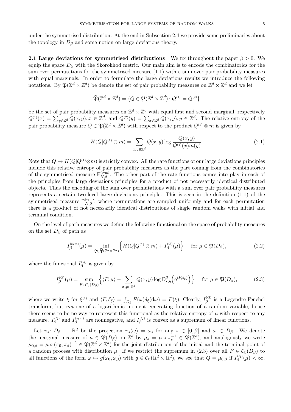under the symmetrised distribution. At the end in Subsection 2.4 we provide some preliminaries about the topology in  $D_\beta$  and some notion on large deviations theory.

**2.1 Large deviations for symmetrised distributions** We fix throughout the paper  $\beta > 0$ . We equip the space  $D_\beta$  with the Skorokhod metric. Our main aim is to encode the combinatorics for the sum over permutations for the symmetrised measure (1.1) with a sum over pair probability measures with equal marginals. In order to formulate the large deviations results we introduce the following notations. By  $\mathfrak{P}(\mathbb{Z}^d \times \mathbb{Z}^d)$  be denote the set of pair probability measures on  $\mathbb{Z}^d \times \mathbb{Z}^d$  and we let

$$
\widetilde{\mathfrak{P}}(\mathbb{Z}^d\times\mathbb{Z}^d)=\{Q\in\mathfrak{P}(\mathbb{Z}^d\times\mathbb{Z}^d)\colon Q^{\scriptscriptstyle (1)}=Q^{\scriptscriptstyle (2)}\}
$$

be the set of pair probability measures on  $\mathbb{Z}^d \times \mathbb{Z}^d$  with equal first and second marginal, respectively  $Q^{(1)}(x) = \sum_{y \in \mathbb{Z}^d} Q(x, y), x \in \mathbb{Z}^d$ , and  $Q^{(2)}(y) = \sum_{x \in \mathbb{Z}^d} Q(x, y), y \in \mathbb{Z}^d$ . The relative entropy of the pair probability measure  $Q \in \mathfrak{P}(\mathbb{Z}^d \times \mathbb{Z}^d)$  with respect to the product  $Q^{(1)} \otimes m$  is given by

$$
H(Q|Q^{(1)} \otimes m) = \sum_{x,y \in \mathbb{Z}^d} Q(x,y) \log \frac{Q(x,y)}{Q^{(1)}(x)m(y)}.
$$
\n(2.1)

Note that  $Q \mapsto H(Q|Q^{(1)}\otimes m)$  is strictly convex. All the rate functions of our large deviations principles include this relative entropy of pair probability measures as the part coming from the combinatorics of the symmetrised measure  $\mathbb{P}_{N,\beta}^{(\text{sym})}$ . The other part of the rate functions comes into play in each of the principles from large deviations principles for a product of not necessarily identical distributed objects. Thus the encoding of the sum over permutations with a sum over pair probability measures represents a certain two-level large deviations principle. This is seen in the definition (1.1) of the symmetrised measure  $\mathbb{P}_{N,\beta}^{(\text{sym})}$ , where permutations are sampled uniformly and for each permutation there is a product of not necessarily identical distributions of single random walks with initial and terminal condition.

On the level of path measures we define the following functional on the space of probability measures on the set  $D_\beta$  of path as

$$
I_{\beta}^{(\text{sym})}(\mu) = \inf_{Q \in \widetilde{\mathfrak{P}}(\mathbb{Z}^d \times \mathbb{Z}^d)} \left\{ H(Q|Q^{(1)} \otimes m) + I_{\beta}^{(Q)}(\mu) \right\} \quad \text{for } \mu \in \mathfrak{P}(D_{\beta}), \tag{2.2}
$$

where the functional  $I_{\beta}^{(Q)}$  is given by

$$
I_{\beta}^{(Q)}(\mu) = \sup_{F \in \mathcal{C}_{\mathbf{b}}(D_{\beta})} \left\{ \langle F, \mu \rangle - \sum_{x, y \in \mathbb{Z}^d} Q(x, y) \log \mathbb{E}_{x, y}^{\beta} \left( e^{\langle F, \delta_{\xi} \rangle} \right) \right\} \quad \text{for } \mu \in \mathfrak{P}(D_{\beta}), \tag{2.3}
$$

where we write  $\xi$  for  $\xi^{(1)}$  and  $\langle F, \delta_{\xi} \rangle = \int_{D_{\beta}} F(\omega) \delta_{\xi}(\omega) = F(\xi)$ . Clearly,  $I_{\beta}^{(Q)}$  is a Legendre-Fenchel transform, but *not* one of a logarithmic moment generating function of a random variable, hence there seems to be no way to represent this functional as the relative entropy of  $\mu$  with respect to any measure.  $I_{\beta}^{(Q)}$  and  $I_{\beta}^{(\text{sym})}$  are nonnegative, and  $I_{\beta}^{(Q)}$  is convex as a supremum of linear functions.

Let  $\pi_s: D_\beta \to \mathbb{R}^d$  be the projection  $\pi_s(\omega) = \omega_s$  for any  $s \in [0,\beta]$  and  $\omega \in D_\beta$ . We denote the marginal measure of  $\mu \in \mathfrak{P}(D_\beta)$  on  $\mathbb{Z}^d$  by  $\mu_s = \mu \circ \pi_s^{-1} \in \mathfrak{P}(\mathbb{Z}^d)$ , and analogously we write  $\mu_{0,\beta} = \mu \circ (\pi_0, \pi_\beta)^{-1} \in \mathfrak{P}(\mathbb{Z}^d \times \mathbb{Z}^d)$  for the joint distribution of the initial and the terminal point of a random process with distribution  $\mu$ . If we restrict the supremum in (2.3) over all  $F \in C_{\rm b}(D_{\beta})$  to all functions of the form  $\omega \mapsto g(\omega_0, \omega_\beta)$  with  $g \in C_b(\mathbb{R}^d \times \mathbb{R}^d)$ , we see that  $Q = \mu_{0,\beta}$  if  $I_\beta^{(Q)}(\mu) < \infty$ .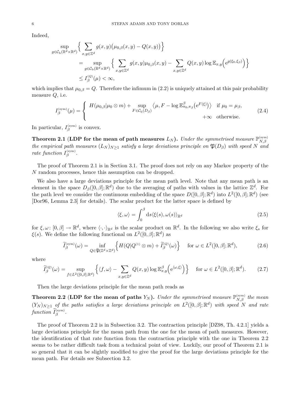Indeed,

$$
\sup_{g \in \mathcal{C}_{\mathbf{b}}(\mathbb{R}^d \times \mathbb{R}^d)} \Big\{ \sum_{x,y \in \mathbb{Z}^d} g(x,y) (\mu_{0,\beta}(x,y) - Q(x,y)) \Big\}
$$
\n
$$
= \sup_{g \in \mathcal{C}_{\mathbf{b}}(\mathbb{R}^d \times \mathbb{R}^d)} \Big\{ \sum_{x,y \in \mathbb{Z}^d} g(x,y) \mu_{0,\beta}(x,y) - \sum_{x,y \in \mathbb{Z}^d} Q(x,y) \log \mathbb{E}_{x,y} \Big( e^{g(\xi_0,\xi_\beta)} \Big) \Big\}
$$
\n
$$
\leq I_{\beta}^{(Q)}(\mu) < \infty,
$$

which implies that  $\mu_{0,\beta} = Q$ . Therefore the infimum in (2.2) is uniquely attained at this pair probability measure  $Q$ , i.e.

$$
I_{\beta}^{(\text{sym})}(\mu) = \begin{cases} H(\mu_{0,\beta}|\mu_0 \otimes m) + \sup_{F \in \mathcal{C}_{\text{b}}(D_{\beta})} \langle \mu, F - \log \mathbb{E}_{\pi_0, \pi_\beta}^{\beta} \left( e^{F(\xi)} \right) \rangle & \text{if } \mu_0 = \mu_\beta, \\ +\infty & \text{otherwise.} \end{cases}
$$
(2.4)

In particular,  $I_{\beta}^{(\text{sym})}$  is convex.

Theorem 2.1 (LDP for the mean of path measures  $L_N$ ). Under the symmetrised measure  $\mathbb{P}_{N,\beta}^{(\mathrm{sym})}$ *the empirical path measures*  $(L_N)_{N\geq 1}$  *satisfy a large deviations principle on*  $\mathfrak{P}(D_\beta)$  *with speed* N *and rate function*  $I_{\beta}^{(\text{sym})}$ .

The proof of Theorem 2.1 is in Section 3.1. The proof does not rely on any Markov property of the N random processes, hence this assumption can be dropped.

We also have a large deviations principle for the mean path level. Note that any mean path is an element in the space  $D_{\beta}([0,\beta];\mathbb{R}^d)$  due to the averaging of paths with values in the lattice  $\mathbb{Z}^d$ . For the path level we consider the continuous embedding of the space  $D([0,\beta];\mathbb{R}^d)$  into  $L^2([0,\beta];\mathbb{R}^d)$  (see [Dor96, Lemma 2.3] for details). The scalar product for the latter space is defined by

$$
\langle \xi, \omega \rangle = \int_0^\beta ds \langle \xi(s), \omega(s) \rangle_{\mathbb{R}^d} \tag{2.5}
$$

for  $\xi, \omega: [0, \beta] \to \mathbb{R}^d$ , where  $\langle \cdot, \cdot \rangle_{\mathbb{R}^d}$  is the scalar product on  $\mathbb{R}^d$ . In the following we also write  $\xi_s$  for  $\xi(s)$ . We define the following functional on  $L^2([0,\beta];\mathbb{R}^d)$  as

$$
\widetilde{I}_{\beta}^{(\text{sym})}(\omega) = \inf_{Q \in \widetilde{\mathfrak{P}}(\mathbb{Z}^d \times \mathbb{Z}^d)} \left\{ H(Q|Q^{(1)} \otimes m) + \widetilde{I}_{\beta}^{(Q)}(\omega) \right\} \quad \text{for } \omega \in L^2([0,\beta];\mathbb{R}^d),\tag{2.6}
$$

where

$$
\widetilde{I}_{\beta}^{(Q)}(\omega) = \sup_{f \in L^{2}([0,\beta];\mathbb{R}^{d})} \left\{ \langle f, \omega \rangle - \sum_{x,y \in \mathbb{Z}^{d}} Q(x,y) \log \mathbb{E}^{\beta}_{x,y} \left( e^{\langle \omega, \xi \rangle} \right) \right\} \quad \text{for } \omega \in L^{2}([0,\beta];\mathbb{R}^{d}). \tag{2.7}
$$

Then the large deviations principle for the mean path reads as

**Theorem 2.2** (LDP for the mean of paths  $Y_N$ ). *Under the symmetrised measure*  $\mathbb{P}_{N,\beta}^{(\text{sym})}$  *the mean*  $(Y_N)_{N\geq 1}$  *of the paths satisfies a large deviations principle on*  $L^2([0,\beta];\mathbb{R}^d)$  *with speed* N *and rate*  $\emph{function}$   $\widetilde{I}_{\beta}^{(\mathrm{sym})}$ .

The proof of Theorem 2.2 is in Subsection 3.2. The contraction principle [DZ98, Th. 4.2.1] yields a large deviations principle for the mean path from the one for the mean of path measures. However, the identification of that rate function from the contraction principle with the one in Theorem 2.2 seems to be rather difficult task from a technical point of view. Luckily, our proof of Theorem 2.1 is so general that it can be slightly modified to give the proof for the large deviations principle for the mean path. For details see Subsection 3.2.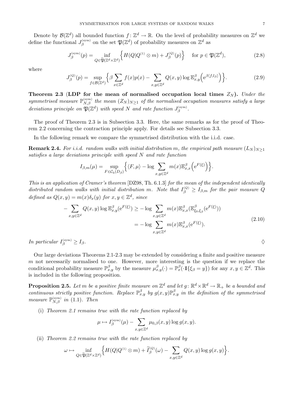Denote by  $\mathcal{B}(\mathbb{Z}^d)$  all bounded function  $f: \mathbb{Z}^d \to \mathbb{R}$ . On the level of probability measures on  $\mathbb{Z}^d$  we define the functional  $J_{\beta}^{(\text{sym})}$  on the set  $\mathfrak{P}(\mathbb{Z}^d)$  of probability measures on  $\mathbb{Z}^d$  as

$$
J_{\beta}^{(\text{sym})}(p) = \inf_{Q \in \widetilde{\mathfrak{P}}(\mathbb{Z}^d \times \mathbb{Z}^d)} \left\{ H(Q|Q^{(1)} \otimes m) + J_{\beta}^{(Q)}(p) \right\} \quad \text{for } p \in \mathfrak{P}(\mathbb{Z}^d),\tag{2.8}
$$

where

$$
J_{\beta}^{(Q)}(p) = \sup_{f \in \mathcal{B}(\mathbb{Z}^d)} \left\{ \beta \sum_{x \in \mathbb{Z}^d} f(x) p(x) - \sum_{x, y \in \mathbb{Z}^d} Q(x, y) \log \mathbb{E}_{x, y}^{\beta} \left( e^{\beta \langle f, l_{\beta} \rangle} \right) \right\}.
$$
 (2.9)

**Theorem 2.3** (LDP for the mean of normalised occupation local times  $Z_N$ ). Under the  $symmetrised measure P_{N,\beta}^{(\text{sym})}$  the mean  $(Z_N)_{N\geq 1}$  of the normalised occupation measures satisfy a large *deviations principle on*  $\mathfrak{P}(\mathbb{Z}^d)$  *with speed* N *and rate function*  $J_\beta^{\text{(sym)}}$ .

The proof of Theorem 2.3 is in Subsection 3.3. Here, the same remarks as for the proof of Theorem 2.2 concerning the contraction principle apply. For details see Subsection 3.3.

In the following remark we compare the symmetrised distribution with the i.i.d. case.

**Remark 2.4.** *For i.i.d.* random walks with initial distribution m, the empirical path measure  $(L_N)_{N>1}$ *satisfies a large deviations principle with speed* N *and rate function*

$$
I_{\beta,m}(\mu) = \sup_{F \in \mathcal{C}_{\mathbf{b}}(D_{\beta})} \Big\{ \langle F, \mu \rangle - \log \sum_{x,y \in \mathbb{Z}^d} m(x) \mathbb{E}^{\beta}_{x,x} \Big( e^{F(\xi)} \Big) \Big\}.
$$

*This is an application of Cramer's theorem* [DZ98, Th. 6.1.3] *for the mean of the independent identically* distributed random walks with initial distribution m. Note that  $I_{\beta}^{(Q)} \geq I_{\beta,m}$  for the pair measure Q *defined as*  $Q(x, y) = m(x)\delta_x(y)$  *for*  $x, y \in \mathbb{Z}^d$ *, since* 

$$
-\sum_{x,y\in\mathbb{Z}^d} Q(x,y)\log \mathbb{E}_{x,y}^{\beta}(\mathbf{e}^{F(\xi)}) \ge -\log \sum_{x,y\in\mathbb{Z}^d} m(x)\mathbb{E}_{x,x}^{\beta}(\mathbb{E}_{\xi_0,\xi_\beta}^{\beta}(\mathbf{e}^{F(\xi)}))
$$
  
=  $-\log \sum_{x,y\in\mathbb{Z}^d} m(x)\mathbb{E}_{x,x}^{\beta}(\mathbf{e}^{F(\xi)}).$  (2.10)

*In particular*  $I_{\beta}^{(\text{sym})} \geq I_{\beta}$ .

Our large deviations Theorems 2.1-2.3 may be extended by considering a finite and positive measure  $m$  not necessarily normalised to one. However, more interesting is the question if we replace the conditional probability measure  $\mathbb{P}_{x,y}^{\beta}$  by the measure  $\mu_{x,y}^{\beta}(\cdot) = \mathbb{P}_{x}^{\beta}(\cdot 1\{\xi_{\beta} = y\})$  for any  $x, y \in \mathbb{Z}^{d}$ . This is included in the following proposition.

**Proposition 2.5.** Let m be a positive finite measure on  $\mathbb{Z}^d$  and let  $g: \mathbb{R}^d \times \mathbb{R}^d \to \mathbb{R}_+$  be a bounded and *continuous strictly positive function. Replace*  $\mathbb{P}_{x,y}^{\beta}$  *by*  $g(x,y)\mathbb{P}_{x,y}^{\beta}$  *in the definition of the symmetrised measure*  $\mathbb{P}_{N,\beta}^{(\text{sym})}$  *in* (1.1)*. Then* 

(i) *Theorem 2.1 remains true with the rate function replaced by*

$$
\mu \mapsto I_\beta^{(\operatorname{sym})}(\mu) - \sum_{x,y \in \mathbb{Z}^d} \mu_{0,\beta}(x,y) \log g(x,y).
$$

(ii) *Theorem 2.2 remains true with the rate function replaced by*

$$
\omega \mapsto \inf_{Q \in \widetilde{\mathfrak{P}}(\mathbb{Z}^d \times \mathbb{Z}^d)} \Big\{ H(Q|Q^{\scriptscriptstyle (1)} \otimes m) + \widetilde{I}_{\beta}^{\scriptscriptstyle (Q)}(\omega) - \sum_{x,y \in \mathbb{Z}^d} Q(x,y) \log g(x,y) \Big\}.
$$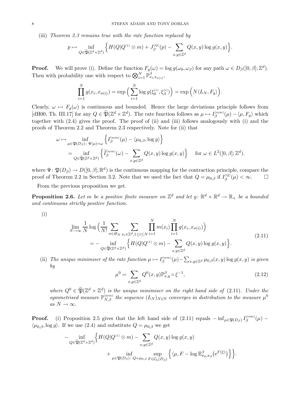(iii) *Theorem 2.3 remains true with the rate function replaced by*

$$
p \mapsto \inf_{Q \in \widetilde{\mathfrak{P}}(\mathbb{Z}^d \times \mathbb{Z}^d)} \Big\{ H(Q|Q^{\scriptscriptstyle{(1)}} \otimes m) + J_{\beta}^{\scriptscriptstyle{(Q)}}(p) - \sum_{x,y \in \mathbb{Z}^d} Q(x,y) \log g(x,y) \Big\}.
$$

**Proof.** We will prove (i). Define the function  $F_g(\omega) = \log g(\omega_0, \omega_\beta)$  for any path  $\omega \in D_\beta([0, \beta]; \mathbb{Z}^d)$ . Then with probability one with respect to  $\bigotimes_{i=1}^{N} \mathbb{P}^{\beta}_{x_i,x_{\sigma(i)}},$ 

$$
\prod_{i=1}^N g(x_i, x_{\sigma(i)}) = \exp\Big(\sum_{i=1}^N \log g(\xi_0^{(i)}, \xi_\beta^{(i)})\Big) = \exp\Big(N\langle L_N, F_g\rangle\Big).
$$

Clearly,  $\omega \mapsto F_g(\omega)$  is continuous and bounded. Hence the large deviations principle follows from [dH00, Th. III.17] for any  $Q \in \mathfrak{P}(\mathbb{Z}^d \times \mathbb{Z}^d)$ . The rate function follows as  $\mu \mapsto I_{\beta}^{(\text{sym})}(\mu) - \langle \mu, F_g \rangle$  which together with (2.4) gives the proof. The proof of (ii) and (iii) follows analogously with (i) and the proofs of Theorem 2.2 and Theorem 2.3 respectively. Note for (ii) that

$$
\omega \mapsto \inf_{\mu \in \mathfrak{P}(D_{\beta}): \Psi(\mu) = \omega} \left\{ I_{\beta}^{(\text{sym})}(\mu) - \langle \mu_{0,\beta}, \log g \rangle \right\}
$$
  
= 
$$
\inf_{Q \in \widetilde{\mathfrak{P}}(\mathbb{Z}^d \times \mathbb{Z}^d)} \left\{ \widetilde{I}_{\beta}^{(\text{sym})}(\omega) - \sum_{x,y \in \mathbb{Z}^d} Q(x,y) \log g(x,y) \right\} \quad \text{for } \omega \in L^2([0,\beta]; \mathbb{Z}^d).
$$

where  $\Psi: \mathfrak{P}(D_\beta) \to D([0,\beta]; \mathbb{R}^d)$  is the continuous mapping for the contraction principle, compare the proof of Theorem 2.2 in Section 3.2. Note that we used the fact that  $Q = \mu_{0,\beta}$  if  $I_{\beta}^{(Q)}(\mu) < \infty$ .

From the previous proposition we get.

**Proposition 2.6.** Let m be a positive finite measure on  $\mathbb{Z}^d$  and let  $g: \mathbb{R}^d \times \mathbb{R}^d \to \mathbb{R}_+$  be a bounded *and continuous strictly positive function.*

(i)

$$
\lim_{N \to \infty} \frac{1}{N} \log \left( \frac{1}{N!} \sum_{\sigma \in \mathfrak{S}_N} \sum_{x_i \in \mathbb{Z}^d, 1 \le i \le N} \prod_{i=1}^N m(x_i) \prod_{i=1}^N g(x_i, x_{\sigma(i)}) \right)
$$
\n
$$
= - \inf_{Q \in \widetilde{\mathfrak{P}}(\mathbb{Z}^d \times \mathbb{Z}^d)} \left\{ H(Q|Q^{(1)} \otimes m) - \sum_{x,y \in \mathbb{Z}^d} Q(x,y) \log g(x,y) \right\}.
$$
\n(2.11)

(ii) *The unique minimiser of the rate function*  $\mu \mapsto I_{\beta}^{(\text{sym})}(\mu) - \sum_{x,y \in \mathbb{Z}^d} \mu_{0,\beta}(x,y) \log g(x,y)$  *is given by*

$$
\mu^{0} = \sum_{x,y \in \mathbb{Z}^{d}} Q^{0}(x,y) \mathbb{P}_{x,y}^{\beta} \circ \xi^{-1},
$$
\n(2.12)

*where*  $Q^0 \in \widetilde{\mathfrak{P}}(\mathbb{Z}^d \times \mathbb{Z}^d)$  *is the unique minimiser on the right hand side of* (2.11)*. Under the*  $symmetrised measure \mathbb{P}_{N,\beta}^{(\text{sym})}$  the sequence  $(L_N)_{N \in \mathbb{N}}$  converges in distribution to the measure  $\mu^0$  $as N \rightarrow \infty$ .

**Proof.** (i) Proposition 2.5 gives that the left hand side of  $(2.11)$  equals  $-\inf_{\mu \in \mathfrak{P}(D_\beta)} I_\beta^{(\text{sym})}(\mu)$  $\langle \mu_{0,\beta}, \log g \rangle$ . If we use (2.4) and substitute  $Q = \mu_{0,\beta}$  we get

$$
- \inf_{Q \in \widetilde{\mathfrak{P}}(\mathbb{Z}^d \times \mathbb{Z}^d)} \Big\{ H(Q|Q^{(1)} \otimes m) - \sum_{x,y \in \mathbb{Z}^d} Q(x,y) \log g(x,y) + \inf_{\mu \in \mathfrak{P}(D_\beta) \colon Q = \mu_{0,\beta}} \sup_{F \in \mathcal{C}_{\mathbf{b}}(D_\beta)} \Big\{ \langle \mu, F - \log \mathbb{E}^{\beta}_{\pi_0, \pi_\beta}(\mathrm{e}^{F(\xi)}) \Big\} \Big\}.
$$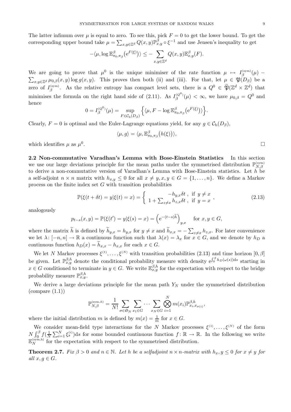The latter infimum over  $\mu$  is equal to zero. To see this, pick  $F = 0$  to get the lower bound. To get the corresponding upper bound take  $\mu = \sum_{x,y \in \mathbb{Z}^d} Q(x,y) \mathbb{P}^{\beta}_{x,y} \circ \xi^{-1}$  and use Jensen's inequality to get

$$
-\langle \mu, \log \mathbb{E}^{\beta}_{\pi_0, \pi_\beta} \big( e^{F(\xi)} \big) \rangle \leq - \sum_{x, y \in \mathbb{Z}^d} Q(x, y) \mathbb{E}^{\beta}_{x, y}(F).
$$

We are going to prove that  $\mu^0$  is the unique minimiser of the rate function  $\mu \mapsto I_{\beta}^{(\text{sym})}(\mu)$ We are going to prove that  $\mu^0$  is the unique minimiser of the rate function  $\mu \mapsto I_{\beta}^{(\text{sym})}(\mu) - \sum_{x,y\in\mathbb{Z}^d} \mu_{0,\beta}(x,y) \log g(x,y)$ . This proves then both (ii) and (iii). For that, let  $\mu \in \mathfrak{P}(D_{\beta})$  be a zero of  $I_{\beta}^{(\text{sym})}$ . As the relative entropy has compact level sets, there is a  $Q^0 \in \widetilde{\mathfrak{P}}(\mathbb{Z}^d \times \mathbb{Z}^d)$  that minimises the formula on the right hand side of (2.11). As  $I_{\beta}^{(Q^0)}(\mu) < \infty$ , we have  $\mu_{0,\beta} = Q^0$  and hence

$$
0 = I_{\beta}^{(Q^0)}(\mu) = \sup_{F \in \mathcal{C}_{\mathbf{b}}(D_{\beta})} \left\{ \langle \mu, F - \log \mathbb{E}_{\pi_0, \pi_\beta}^{\beta} \big( \mathbf{e}^{F(\xi)} \big) \rangle \right\}.
$$

Clearly,  $F = 0$  is optimal and the Euler-Lagrange equations yield, for any  $g \in C_{b}(D_{\beta})$ ,

$$
\langle \mu, g \rangle = \langle \mu, \mathbb{E}^{\beta}_{\pi_0, \pi_\beta} \big( h(\xi) \big) \rangle,
$$

which identifies  $\mu$  as  $\mu^0$ .

**2.2 Non-commutative Varadhan's Lemma with Bose-Einstein Statistics** In this section we use our large deviations principle for the mean paths under the symmetrised distribution  $\mathbb{P}_{N,\beta}^{(\text{sym})}$ to derive a non-commutative version of Varadhan's Lemma with Bose-Einstein statistics. Let  $h$  be a self-adjoint  $n \times n$  matrix with  $h_{x,y} \leq 0$  for all  $x \neq y, x, y \in G = \{1, \ldots, n\}$ . We define a Markov process on the finite index set  $G$  with transition probabilities

$$
\mathbb{P}(\xi(t+\delta t)=y|\xi(t)=x)=\begin{cases} -h_{y,x}\delta t, & \text{if } y \neq x \\ 1+\sum_{z\neq x}h_{z,x}\delta t, & \text{if } y=x \end{cases},\tag{2.13}
$$

analogously

$$
p_{t-s}(x, y) = \mathbb{P}(\xi(t') = y | \xi(s) = x) = (e^{-(t-s)\widetilde{h}})_{y,x}
$$
 for  $x, y \in G$ ,

where the matrix h is defined by  $h_{y,x} = h_{y,x}$  for  $y \neq x$  and  $h_{x,x} = -\sum_{z \neq x} h_{z,x}$ . For later convenience we let  $\lambda: [-n, n] \to \mathbb{R}$  a continuous function such that  $\lambda(x) = \lambda_x$  for  $x \in G$ , and we denote by  $h_D$  a continuous function  $h_D(x) = h_{x,x} - h_{x,x}$  for each  $x \in G$ .

We let N Markov processes  $\xi^{(1)},\ldots,\xi^{(N)}$  with transition probabilities (2.13) and time horizon  $[0,\beta]$ be given. Let  $\mathbb{P}_{x,y}^{\beta,h}$  denote the conditional probability measure with density  $e^{\int_0^\beta h_D(\omega(s))ds}$  starting in  $x \in G$  conditioned to terminate in  $y \in G$ . We write  $\mathbb{E}_{x,y}^{\beta,h}$  for the expectation with respect to the bridge probability measure  $\mathbb{P}_{x,y}^{\beta,h}$ .

We derive a large deviations principle for the mean path  $Y_N$  under the symmetrised distribution  $\text{(compare (1.1))}$ 

$$
\mathbb{P}_{N,\beta}^{(\text{sym},h)} = \frac{1}{N!} \sum_{\sigma \in \mathfrak{S}_N} \sum_{x_1 \in G} \cdots \sum_{x_N \in G} \bigotimes_{i=1}^N m(x_i) \mathbb{P}_{x_i, x_{\sigma(i)}}^{\beta,h},
$$

where the initial distribution m is defined by  $m(x) = \frac{1}{m}$  for  $x \in G$ .

We consider mean-field type interactions for the N Markov processes  $\xi^{(1)},\ldots,\xi^{(N)}$  of the form  $N \int_0^\beta f(\frac{1}{N}\sum_{i=1}^N \xi_s^{(i)})ds$  for some bounded continuous function  $f: \mathbb{R} \to \mathbb{R}$ . In the following we write  $\mathbb{E}_N^{\text{(sym,h)}}$  for the expectation with respect to the symmetrised distribution.

**Theorem 2.7.** *Fix*  $\beta > 0$  *and*  $n \in \mathbb{N}$ *. Let h be a selfadjoint*  $n \times n$ *-matrix with*  $h_x, y \leq 0$  *for*  $x \neq y$  *for all*  $x, q \in G$ *.*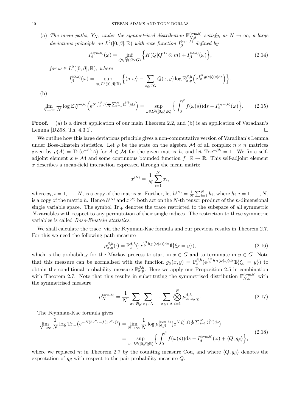(a) The mean paths,  $Y_N$ , under the symmetrised distribution  $\mathbb{P}_{N,\beta}^{(\text{sym},h)}$  satisfy, as  $N \to \infty$ , a large *deviations principle on*  $L^2([0,\beta];\mathbb{R})$  *with rate function*  $I_{\beta}^{(\text{sym},h)}$  *defined by* 

$$
I_{\beta}^{(\text{sym},h)}(\omega) = \inf_{Q \in \widetilde{\mathfrak{P}}(G \times G)} \left\{ H(Q|Q^{(1)} \otimes m) + I_{\beta}^{(Q,h)}(\omega) \right\},\tag{2.14}
$$

*for*  $\omega \in L^2([0, \beta]; \mathbb{R})$ *, where* 

$$
I_{\beta}^{(Q,h)}(\omega) = \sup_{g \in L^2([0,\beta];\mathbb{R})} \left\{ \langle g, \omega \rangle - \sum_{x,y \in G} Q(x,y) \log \mathbb{E}_{x,y}^{\beta,h} \left( e^{\int_0^{\beta} g(s)\xi(s)ds} \right) \right\}.
$$

(b)

$$
\lim_{N \to \infty} \frac{1}{N} \log \mathbb{E}_N^{(\text{sym},h)} \Big( e^{N \int_0^{\beta} f \left( \frac{1}{N} \sum_{i=1}^N \xi_s^{(i)} \right) ds} \Big) = \sup_{\omega \in L^2([0,\beta];\mathbb{R})} \Big\{ \int_0^{\beta} f(\omega(s)) ds - I_{\beta}^{(\text{sym},h)}(\omega) \Big\}.
$$
 (2.15)

**Proof.** (a) is a direct application of our main Theorem 2.2, and (b) is an application of Varadhan's Lemma [DZ98, Th. 4.3.1].  $\Box$ 

We outline how this large deviations principle gives a non-commutative version of Varadhan's Lemma under Bose-Einstein statistics. Let  $\rho$  be the state on the algebra M of all complex  $n \times n$  matrices given by  $\rho(A) = \text{Tr} (e^{-\beta h} A)$  for  $A \in \mathcal{M}$  for the given matrix h, and let  $\text{Tr} e^{-\beta h} = 1$ . We fix a selfadjoint element  $x \in \mathcal{M}$  and some continuous bounded function  $f: \mathbb{R} \to \mathbb{R}$ . This self-adjoint element  $x$  describes a mean-field interaction expressed through the mean matrix

$$
x^{(N)} = \frac{1}{N} \sum_{i=1}^{N} x_i,
$$

where  $x_i, i = 1, \ldots, N$ , is a copy of the matrix x. Further, let  $h^{(N)} = \frac{1}{N} \sum_{i=1}^{N} h_i$ , where  $h_i, i = 1, \ldots, N$ , is a copy of the matrix h. Hence  $h^{(N)}$  and  $x^{(N)}$  both act on the N-th tensor product of the n-dimensional single variable space. The symbol  $Tr_+$  denotes the trace restricted to the subspace of all symmetric N-variables with respect to any permutation of their single indices. The restriction to these symmetric variables is called *Bose-Einstein statistics*.

We shall calculate the trace via the Feynman-Kac formula and our previous results in Theorem 2.7. For this we need the following path measure

$$
\mu_{x,y}^{\beta,h}(\cdot) = \mathbb{P}_x^{\beta,h}(\cdot \mathbf{e}^{\int_0^\beta h_D(\omega(s))ds} \mathbb{1}\{\xi_\beta = y\}),\tag{2.16}
$$

which is the probability for the Markov process to start in  $x \in G$  and to terminate in  $y \in G$ . Note that this measure can be normalised with the function  $g_{\beta}(x,y) = \mathbb{P}_{x}^{\beta,h}(e^{\int_0^{\beta} h_D(\omega(s))ds} 1\mathbb{I}_{\{\xi_{\beta} = y\}})$  to obtain the conditional probability measure  $\mathbb{P}_{x,y}^{\beta,h}$ . Here we apply our Proposition 2.5 in combination with Theorem 2.7. Note that this results in substituting the symmetrised distribution  $\mathbb{P}_{N,\beta}^{(\text{sym},h)}$  with the symmetrised measure

$$
\mu_N^{(\text{sym},h)} = \frac{1}{N!} \sum_{\sigma \in \mathfrak{S}_N} \sum_{x_1 \in \Lambda} \cdots \sum_{x_N \in \Lambda} \bigotimes_{i=1}^N \mu_{x_i, x_{\sigma(i)}}^{\beta, h}.
$$
\n(2.17)

The Feynman-Kac formula gives

$$
\lim_{N \to \infty} \frac{1}{N} \log \mathrm{Tr}_{+} \left( e^{-N(h^{(N)} - f(x^{(N)}))} \right) = \lim_{N \to \infty} \frac{1}{N} \log \mu_{N,\beta}^{(\text{sym},h)} \left( e^{N \int_{0}^{\beta} f \left( \frac{1}{N} \sum_{i=1}^{N} \xi_{s}^{(i)} \right) \, \mathrm{d}s} \right)
$$
\n
$$
= \sup_{\omega \in L^{2}([0,\beta];\mathbb{R})} \left\{ \int_{0}^{\beta} f(\omega(s)) \, \mathrm{d}s - I_{\beta}^{(\text{sym},h)}(\omega) + \langle Q, g_{\beta} \rangle \right\},\tag{2.18}
$$

where we replaced m in Theorem 2.7 by the counting measure Cou, and where  $\langle Q, g_{\beta} \rangle$  denotes the expectation of  $g<sub>\beta</sub>$  with respect to the pair probability measure Q.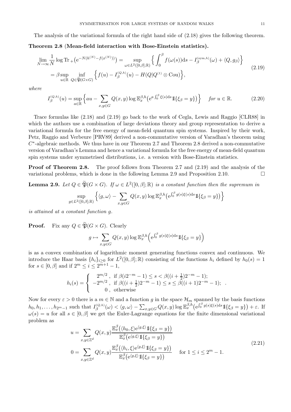The analysis of the variational formula of the right hand side of (2.18) gives the following theorem.

**Theorem 2.8** (**Mean-field interaction with Bose-Einstein statistics).**

$$
\lim_{N \to \infty} \frac{1}{N} \log \mathrm{Tr}_{+} \left( e^{-N(h^{(N)} - f(x^{(N)}))} \right) = \sup_{\omega \in L^{2}([0,\beta];\mathbb{R})} \left\{ \int_{0}^{\beta} f(\omega(s)) \mathrm{d}s - I_{\beta}^{(\mathrm{sym},h)}(\omega) + \langle Q, g_{\beta} \rangle \right\}
$$
\n
$$
= \beta \sup_{u \in \mathbb{R}} \inf_{Q \in \widetilde{\mathfrak{P}}(G \times G)} \left\{ f(u) - I_{\beta}^{(Q,h)}(u) - H(Q|Q^{(1)} \otimes \mathrm{Cou}) \right\},\tag{2.19}
$$

*where*

$$
I_{\beta}^{(Q,h)}(u) = \sup_{a \in \mathbb{R}} \left\{ au - \sum_{x,y \in G} Q(x,y) \log \mathbb{E}_{x}^{\beta,h} \left(e^{a \int_{0}^{\beta} \xi(s)ds} \mathbb{1}\{\xi_{\beta} = y\}\right) \right\} \quad \text{for } u \in \mathbb{R}.
$$
 (2.20)

Trace formulas like (2.18) and (2.19) go back to the work of Cegla, Lewis and Raggio [CLR88] in which the authors use a combination of large deviations theory and group representation to derive a variational formula for the free energy of mean-field quantum spin systems. Inspired by their work, Petz, Raggio and Verbeure [PRV89] derived a non-commutative version of Varadhan's theorem using  $C<sup>*</sup>$ -algebraic methods. We thus have in our Theorem 2.7 and Theorem 2.8 derived a non-commutative version of Varadhan's Lemma and hence a variational formula for the free energy of mean-field quantum spin systems under symmetrised distributions, i.e. a version with Bose-Einstein statistics.

**Proof of Theorem 2.8.** The proof follows from Theorem 2.7 and  $(2.19)$  and the analysis of the variational problems, which is done in the following Lemma 2.9 and Proposition 2.10.  $\Box$ 

**Lemma 2.9.** *Let*  $Q \in \widetilde{\mathfrak{P}}(G \times G)$ *. If*  $\omega \in L^2([0, \beta]; \mathbb{R})$  *is a constant function then the supremum in* 

$$
\sup_{g\in L^2([0,\beta];\mathbb{R})}\left\{\langle g,\omega\rangle-\sum_{x,y\in G}Q(x,y)\log\mathbb{E}_{x}^{\beta,h}\left(\mathrm{e}^{\int_0^\beta g(s)\xi(s)\mathrm{d}s}\mathbb{1}\{\xi_\beta=y\}\right)\right\}
$$

*is attained at a constant function* g*.*

**Proof.** Fix any  $Q \in \widetilde{\mathfrak{P}}(G \times G)$ . Clearly

$$
g \mapsto \sum_{x,y \in G} Q(x,y) \log \mathbb{E}_{x}^{\beta,h} \left( e^{\int_0^{\beta} g(s)\xi(s)ds} \mathbb{1}_{\{\xi_{\beta} = y\}} \right)
$$

is as a convex combination of logarithmic moment generating functions convex and continuous. We introduce the Haar basis  $\{h_i\}_{i>0}$  for  $L^2([0,\beta];\mathbb{R})$  consisting of the functions  $h_i$  defined by  $h_0(s)=1$ for  $s \in [0, \beta]$  and if  $2^m \leq i \leq 2^{\overline{m}+1} - 1$ ,

$$
h_i(s) = \begin{cases} 2^{m/2}, & \text{if } \beta(i2^{-m} - 1) \le s < \beta((i + \frac{1}{2})2^{-m} - 1); \\ -2^{m/2}, & \text{if } \beta((i + \frac{1}{2})2^{-m} - 1) \le s \le \beta((i + 1)2^{-m} - 1); \\ 0, & \text{otherwise} \end{cases}
$$

Now for every  $\varepsilon > 0$  there is a  $m \in \mathbb{N}$  and a function g in the space  $\mathcal{H}_m$  spanned by the basis functions  $h_0, h_1, \ldots, h_{2^m-1}$  such that  $I_{\beta}^{(Q,h)}(\omega) < \langle g, \omega \rangle - \sum_{x,y \in G} Q(x,y) \log \mathbb{E}_{x}^{\beta,h} (e^{\int_{0}^{\beta} g(s)\xi(s)ds} 1 \mathbb{1}_{\{\xi_{\beta} = y\}}) + \varepsilon$ . If  $\omega(s) = u$  for all  $s \in [0, \beta]$  we get the Euler-Lagrange equations for the finite dimensional variational problem as

$$
u = \sum_{x,y \in \mathbb{Z}^d} Q(x,y) \frac{\mathbb{E}_x^{\beta}(\langle h_0, \xi \rangle e^{\langle g, \xi \rangle} \mathbb{1}\{\xi_\beta = y\})}{\mathbb{E}_x^{\beta} (e^{\langle g, \xi \rangle} \mathbb{1}\{\xi_\beta = y\})}
$$
\n
$$
0 = \sum_{x,y \in \mathbb{Z}^d} Q(x,y) \frac{\mathbb{E}_x^{\beta}(\langle h_i, \xi \rangle e^{\langle g, \xi \rangle} \mathbb{1}\{\xi_\beta = y\})}{\mathbb{E}_x^{\beta} (e^{\langle g, \xi \rangle} \mathbb{1}\{\xi_\beta = y\})} \quad \text{for } 1 \le i \le 2^m - 1.
$$
\n(2.21)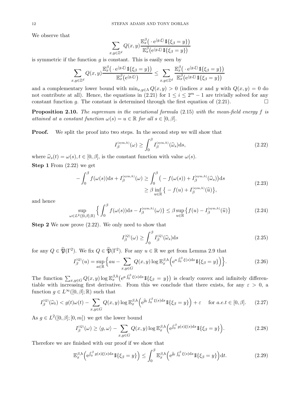We observe that

$$
\sum_{x,y\in\mathbb{Z}^d} Q(x,y) \frac{\mathbb{E}_x^{\beta}\big(\cdot e^{\langle g,\xi\rangle} \mathbb{1}\{\xi_\beta = y\}\big)}{\mathbb{E}_x^{\beta}\big(e^{\langle g,\xi\rangle} \mathbb{1}\{\xi_\beta = y\}\big)}
$$

is symmetric if the function  $q$  is constant. This is easily seen by

$$
\sum_{x,y\in\mathbb{Z}^d} Q(x,y)\frac{\mathbb{E}_x^{\beta}\big(\cdot\,\mathrm{e}^{\langle g,\xi\rangle}\mathbb{1}\{\xi_{\beta}=y\}\big)}{\mathbb{E}_x^{\beta}\big(\mathrm{e}^{\langle g,\xi\rangle}\big)} \leq \sum_{x,y\in\mathbb{Z}^d} \frac{\mathbb{E}_x^{\beta}\big(\cdot\,\mathrm{e}^{\langle g,\xi\rangle}\mathbb{1}\{\xi_{\beta}=y\}\big)}{\mathbb{E}_x^{\beta}\big(\mathrm{e}^{\langle g,\xi\rangle}\mathbb{1}\{\xi_{\beta}=y\}\big)}
$$

and a complementary lower bound with  $\min_{x,y \in \Lambda} Q(x,y) > 0$  (indices x and y with  $Q(x,y) = 0$  do not contribute at all). Hence, the equations in (2.21) for  $1 \leq i \leq 2^m - 1$  are trivially solved for any constant function g. The constant is determined through the first equation of  $(2.21)$ .

**Proposition 2.10.** *The supremum in the variational formula* (2.15) *with the mean-field energy* f *is attained at a constant function*  $\omega(s) = u \in \mathbb{R}$  *for all*  $s \in [0, \beta]$ *.* 

**Proof.** We split the proof into two steps. In the second step we will show that

$$
I_{\beta}^{(\text{sym},h)}(\omega) \ge \int_0^{\beta} I_{\beta}^{(\text{sym},h)}(\widehat{\omega}_s) \, \mathrm{d}s,\tag{2.22}
$$

where  $\hat{\omega}_s(t) = \omega(s), t \in [0, \beta]$ , is the constant function with value  $\omega(s)$ .

**Step 1** From (2.22) we get

$$
-\int_0^\beta f(\omega(s))ds + I_\beta^{(\text{sym},h)}(\omega) \ge \int_0^\beta \left( -f(\omega(s)) + I_\beta^{(\text{sym},h)}(\widehat{\omega}_s) \right) ds
$$
  
 
$$
\ge \beta \inf_{u \in \mathbb{R}} \left\{ -f(u) + I_\beta^{(\text{sym},h)}(\widehat{u}) \right\},
$$
 (2.23)

and hence

$$
\sup_{\omega \in L^2([0,\beta];\mathbb{R})} \left\{ \int_0^\beta f(\omega(s))ds - I_\beta^{(\text{sym},h)}(\omega) \right\} \leq \beta \sup_{u \in \mathbb{R}} \left\{ f(u) - I_\beta^{(\text{sym},h)}(\widehat{u}) \right\} \tag{2.24}
$$

**Step 2** We now prove  $(2.22)$ . We only need to show that

$$
I_{\beta}^{(Q)}(\omega) \ge \int_0^{\beta} I_{\beta}^{(Q)}(\widehat{\omega}_s) \mathrm{d}s \tag{2.25}
$$

for any  $Q \in \widetilde{\mathfrak{P}}(\Gamma^2)$ . We fix  $Q \in \widetilde{\mathfrak{P}}(\Gamma^2)$ . For any  $u \in \mathbb{R}$  we get from Lemma 2.9 that

$$
I_{\beta}^{(Q)}(u) = \sup_{a \in \mathbb{R}} \left\{ au - \sum_{x,y \in G} Q(x,y) \log \mathbb{E}_{x}^{\beta,h} \left( e^{a \int_{0}^{\beta} \xi(s) ds} \mathbb{1}\{\xi_{\beta} = y\} \right) \right\}.
$$
 (2.26)

The function  $\sum_{x,y\in G} Q(x,y) \log \mathbb{E}_{x}^{\beta,h} (e^{a \int_0^{\beta} \xi(s) ds} 1{\{\xi_{\beta} = y\}})$  is clearly convex and infinitely differentiable with increasing first derivative. From this we conclude that there exists, for any  $\varepsilon > 0$ , a function  $g \in L^{\infty}([0,\beta];\mathbb{R})$  such that

$$
I_{\beta}^{(Q)}(\widehat{\omega}_t) < g(t)\omega(t) - \sum_{x,y \in G} Q(x,y) \log \mathbb{E}_x^{\beta,h} \left( e^{\widehat{g}_t \int_0^\beta \xi(s)ds} \mathbb{1}\{\xi_\beta = y\} \right) + \varepsilon \quad \text{for } a.e. t \in [0, \beta]. \tag{2.27}
$$

As  $g \in L^2([0,\beta];[0,m])$  we get the lower bound

$$
I_{\beta}^{(Q)}(\omega) \ge \langle g, \omega \rangle - \sum_{x, y \in G} Q(x, y) \log \mathbb{E}_{x}^{\beta, h} \Big( e^{\int_{0}^{\beta} g(s)\xi(s)ds} \mathbb{1}\{\xi_{\beta} = y\} \Big). \tag{2.28}
$$

Therefore we are finished with our proof if we show that

$$
\mathbb{E}_x^{\beta,h} \Big( e^{\int_0^\beta g(s)\xi(s)ds} \mathbb{1}\{\xi_\beta = y\} \Big) \leq \int_0^\beta \mathbb{E}_x^{\beta,h} \Big( e^{\widetilde{g}_t \int_0^\beta \xi(s)ds} \mathbb{1}\{\xi_\beta = y\} \Big) \mathrm{d}t. \tag{2.29}
$$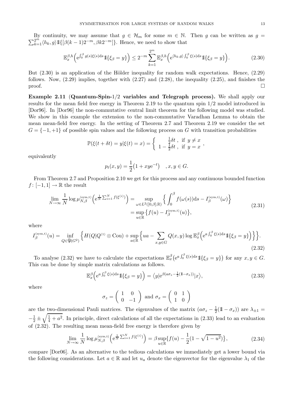$\sum_{k=1}^{2^m} \langle h_k, g \rangle \mathbb{1}\{[\beta(k-1)2^{-m}, \beta k2^{-m}]\}.$  Hence, we need to show that By continuity, we may assume that  $g \in \mathcal{H}_m$  for some  $m \in \mathbb{N}$ . Then g can be written as  $g =$ 

$$
\mathbb{E}_x^{\beta,h} \Big( e^{\int_0^\beta g(s)\xi(s)ds} \mathbb{1}\{\xi_\beta = y\} \Big) \le 2^{-m} \sum_{k=1}^{2^m} \mathbb{E}_x^{\beta,h} \Big( e^{\langle h_k, g \rangle} \int_0^\beta \xi(s)ds \mathbb{1}\{\xi_\beta = y\} \Big). \tag{2.30}
$$

But  $(2.30)$  is an application of the Hölder inequality for random walk expectations. Hence,  $(2.29)$ follows. Now,  $(2.29)$  implies, together with  $(2.27)$  and  $(2.28)$ , the inequality  $(2.25)$ , and finishes the  $\Box$ 

**Example 2.11** (**Quantum-Spin-**1/2 **variables and Telegraph process).** We shall apply our results for the mean field free energy in Theorem 2.19 to the quantum spin 1/2 model introduced in [Dor96]. In [Dor96] the non-commutative central limit theorem for the following model was studied. We show in this example the extension to the non-commutative Varadhan Lemma to obtain the mean mean-field free energy. In the setting of Theorem 2.7 and Theorem 2.19 we consider the set  $G = \{-1, +1\}$  of possible spin values and the following process on G with transition probabilities

$$
\mathbb{P}(\xi(t+\delta t)=y|\xi(t)=x)=\begin{cases} \frac{1}{2}\delta t, & \text{if } y\neq x\\ 1-\frac{1}{2}\delta t, & \text{if } y=x \end{cases},
$$

equivalently

$$
p_t(x, y) = \frac{1}{2} (1 + xye^{-t})
$$
,  $x, y \in G$ .

From Theorem 2.7 and Proposition 2.10 we get for this process and any continuous bounded function  $f : [-1,1] \to \mathbb{R}$  the result

$$
\lim_{N \to \infty} \frac{1}{N} \log \mu_{N,\beta}^{(\text{sym},t)} \left( e^{\frac{1}{N} \sum_{i=1}^{N} f(\xi^{(i)})} \right) = \sup_{\omega \in L^{2}([0,\beta];\mathbb{R})} \left\{ \int_{0}^{\beta} f(\omega(s)) \, ds - I_{\beta}^{(\text{sym},t)}(\omega) \right\} \n= \sup_{u \in \mathbb{R}} \left\{ f(u) - I_{\beta}^{(\text{sym},t)}(u) \right\},
$$
\n(2.31)

where

$$
I_{\beta}^{(\text{sym},t)}(u) = \inf_{Q \in \widetilde{\mathfrak{P}}(G^2)} \left\{ H(Q|Q^{(1)} \otimes \text{Cou}) + \sup_{a \in \mathbb{R}} \left\{ ua - \sum_{x,y \in G} Q(x,y) \log \mathbb{E}_x^{\beta} \left( e^{a \int_0^{\beta} \xi(s) ds} \mathbb{1}_{\{\xi_{\beta} = y\}} \right) \right\} \right\}.
$$
\n(2.32)

To analyse (2.32) we have to calculate the expectations  $\mathbb{E}_x^{\beta} (e^{a \int_0^{\beta} \xi(s) ds} 1\{\xi_{\beta} = y\})$  for any  $x, y \in G$ . This can be done by simple matrix calculations as follows.

$$
\mathbb{E}_x^{\beta} \Big( e^{a \int_0^{\beta} \xi(s) ds} \mathbb{1}\{\xi_{\beta} = y\} \Big) = \langle y| e^{\beta(a\sigma_z - \frac{1}{2}(\mathbb{1} - \sigma_x))} |x\rangle, \tag{2.33}
$$

where

$$
\sigma_z = \left(\begin{array}{cc} 1 & 0 \\ 0 & -1 \end{array}\right) \text{ and } \sigma_x = \left(\begin{array}{cc} 0 & 1 \\ 1 & 0 \end{array}\right)
$$

are the two-dimensional Pauli matrices. The eigenvalues of the matrix  $(a\sigma_z - \frac{1}{2}(\mathbb{1} - \sigma_x))$  are  $\lambda_{\pm 1} =$  $-\frac{1}{2} \pm \sqrt{\frac{1}{4} + a^2}$ . In principle, direct calculations of all the expectations in (2.33) lead to an evaluation of (2.32). The resulting mean mean-field free energy is therefore given by

$$
\lim_{N \to \infty} \frac{1}{N} \log \mu_{N,\beta}^{(\text{sym},t)} \left( e^{\frac{1}{N} \sum_{i=1}^{N} f(\xi^{(i)})} \right) = \beta \sup_{u \in \mathbb{R}} \{ f(u) - \frac{1}{2} (1 - \sqrt{1 - u^2}) \},\tag{2.34}
$$

compare [Dor06]. As an alternative to the tedious calculations we immediately get a lower bound via the following considerations. Let  $a \in \mathbb{R}$  and let  $u_a$  denote the eigenvector for the eigenvalue  $\lambda_1$  of the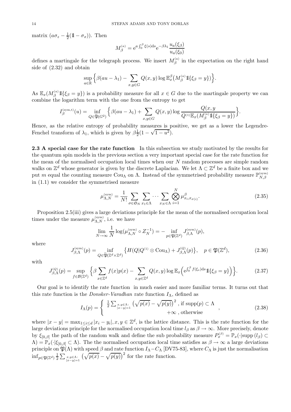matrix  $(a\sigma_z - \frac{1}{2}(\mathbb{1} - \sigma_x))$ . Then

$$
M_{\beta}^{(a)} = e^{a \int_0^{\beta} \xi(s) ds} e^{-\beta \lambda_1} \frac{u_a(\xi_{\beta})}{u_a(\xi_0)}
$$

defines a martingale for the telegraph process. We insert  $M_{\beta}^{(a)}$  in the expectation on the right hand side of (2.32) and obtain

$$
\sup_{a\in\mathbb{R}}\Big\{\beta(au-\lambda_1)-\sum_{x,y\in G}Q(x,y)\log \mathbb{E}_x^{\beta}\big(M_{\beta}^{(a)}11\{\xi_{\beta}=y\}\big)\Big\}.
$$

As  $\mathbb{E}_x(M_\beta^{(a)}1\{\xi_\beta=y\})$  is a probability measure for all  $x\in G$  due to the martingale property we can combine the logarithm term with the one from the entropy to get

$$
I_{\beta}^{(\text{sym},t)}(u) = \inf_{Q \in \widetilde{\mathfrak{P}}(G^2)} \left\{ \beta(au - \lambda_1) + \sum_{x,y \in G} Q(x,y) \log \frac{Q(x,y)}{Q^{(1)} \mathbb{E}_x(M_{\beta}^{(a)} \mathbb{1}\{\xi_{\beta} = y\})} \right\}.
$$

Hence, as the relative entropy of probability measures is positive, we get as a lower the Legendre-Fenchel transform of  $\lambda_1$ , which is given by  $\beta_2^{\frac{1}{2}}(1 - \sqrt{1 - u^2})$ .

**2.3 A special case for the rate function** In this subsection we study motivated by the results for the quantum spin models in the previous section a very important special case for the rate function for the mean of the normalised occupation local times when our  $N$  random processes are simple random walks on  $\mathbb{Z}^d$  whose generator is given by the discrete Laplacian. We let  $\Lambda \subset \mathbb{Z}^d$  be a finite box and we put m equal the counting measure Cou<sub>A</sub> on A. Instead of the symmetrised probability measure  $\mathbb{P}_{N,\beta}^{(\mathrm{sym})}$ in (1.1) we consider the symmetrised measure

$$
\mu_{\Lambda,N}^{(\text{sym})} = \frac{1}{N!} \sum_{\sigma \in \mathfrak{S}_N} \sum_{x_1 \in \Lambda} \cdots \sum_{x_N \in \Lambda} \bigotimes_{i=1}^N \mu_{x_i, x_{\sigma(i)}}^\beta.
$$
\n(2.35)

Proposition 2.5(iii) gives a large deviations principle for the mean of the normalised occupation local times under the measure  $\mu_{\Lambda,N}^{(\mathrm{sym})}$ , i.e. we have

$$
\lim_{N \to \infty} \frac{1}{N} \log(\mu_{\Lambda,N}^{(\mathrm{sym})} \circ Z_N^{-1}) = - \inf_{p \in \mathfrak{P}(\mathbb{Z}^d)} J_{\beta,\Lambda}^{(\mathrm{sym})}(p),
$$

where

$$
J_{\beta,\Lambda}^{(\text{sym})}(p) = \inf_{Q \in \widetilde{\mathfrak{P}}(\mathbb{Z}^d \times \mathbb{Z}^d)} \left\{ H(Q|Q^{(1)} \otimes \text{Cou}_{\Lambda}) + J_{\beta,\Lambda}^{(Q)}(p) \right\}, \quad p \in \mathfrak{P}(\mathbb{Z}^d), \tag{2.36}
$$

with

$$
J_{\beta,\Lambda}^{(Q)}(p) = \sup_{f \in \mathcal{B}(\mathbb{Z}^d)} \left\{ \beta \sum_{x \in \mathbb{Z}^d} f(x) p(x) - \sum_{x,y \in \mathbb{Z}^d} Q(x,y) \log \mathbb{E}_x \left( e^{\int_0^{\beta} f(\xi_s) ds} 1 \mathbb{1}_{\{\xi_\beta = y\}} \right) \right\}.
$$
 (2.37)

Our goal is to identify the rate function in much easier and more familiar terms. It turns out that this rate function is the *Donsker-Varadhan* rate function  $I_{\Lambda}$ , defined as

$$
I_{\Lambda}(p) = \begin{cases} \frac{1}{2} \sum_{\substack{x,y \in \Lambda: \\ |x-y|=1}} \left( \sqrt{p(x)} - \sqrt{p(y)} \right)^2, & \text{if } \text{supp}(p) \subset \Lambda \\ +\infty, & \text{otherwise} \end{cases}
$$
 (2.38)

where  $|x - y| = \max_{1 \leq i \leq d} |x_i - y_i|, x, y \in \mathbb{Z}^d$ , is the lattice distance. This is the rate function for the large deviations principle for the normalised occupation local time  $l_\beta$  as  $\beta \to \infty$ . More precisely, denote by  $\xi_{[0,\beta]}$  the path of the random walk and define the sub probability measure  $P_x^{(\beta)} = \mathbb{P}_x(\cdot | \text{supp } (l_\beta) \subset$  $\Lambda$ ) =  $\mathbb{P}_x(\cdot|\xi_{[0,\beta]} \subset \Lambda)$ . The the normalised occupation local time satisfies as  $\beta \to \infty$  a large deviations principle on  $\mathfrak{P}(\Lambda)$  with speed  $\beta$  and rate function  $I_{\Lambda}-C_{\Lambda}$  [DV75-83], where  $C_{\Lambda}$  is just the normalisation  $\inf_{p\in\mathfrak{P}(\mathbb{Z}^d)}\frac{1}{2}$  $\frac{1}{2} \sum_{\substack{x,y \in \Lambda: \\ |x-y|=1}} \left( \sqrt{p(x)} - \sqrt{p(y)} \right)^2$  for the rate function.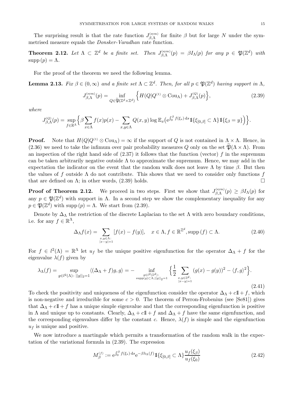The surprising result is that the rate function  $J_{\beta,\Lambda}^{(\text{sym})}$  for finite  $\beta$  but for large N under the symmetrised measure equals the *Donsker-Varadhan* rate function.

**Theorem 2.12.** Let  $\Lambda \subset \mathbb{Z}^d$  be a finite set. Then  $J_{\beta,\Lambda}^{(\text{sym})}(p) = \beta I_{\Lambda}(p)$  for any  $p \in \mathfrak{P}(\mathbb{Z}^d)$  with  $supp(p)=\Lambda$ .

For the proof of the theorem we need the following lemma.

**Lemma 2.13.** *Fix*  $\beta \in (0,\infty)$  *and a finite set*  $\Lambda \subset \mathbb{Z}^d$ . *Then, for all*  $p \in \mathfrak{P}(\mathbb{Z}^d)$  *having support in*  $\Lambda$ *,* 

$$
J_{\beta,\Lambda}^{(\text{sym})}(p) = \inf_{Q \in \widetilde{\mathfrak{P}}(\mathbb{Z}^d \times \mathbb{Z}^d)} \left\{ H(Q|Q^{(1)} \otimes \text{Cou}_{\Lambda}) + J_{\beta,\Lambda}^{(Q)}(p) \right\},\tag{2.39}
$$

*where*

$$
J_{\beta,\Lambda}^{(Q)}(p) = \sup_{f \in \mathbb{R}^{\Lambda}} \Big\{ \beta \sum_{x \in \Lambda} f(x) p(x) - \sum_{x,y \in \Lambda} Q(x,y) \log \mathbb{E}_x \big( e^{\int_0^{\beta} f(\xi_s) ds} 1 \! 1\{\xi_{[0,\beta]} \subset \Lambda\} 1 \! 1\{\xi_{\beta} = y\} \Big) \Big\}.
$$

**Proof.** Note that  $H(Q|Q^{(1)} \otimes \text{Cou}_A) = \infty$  if the support of Q is not contained in  $\Lambda \times \Lambda$ . Hence, in (2.36) we need to take the infimum over pair probability measures Q only on the set  $\widetilde{\mathfrak{P}}(\Lambda \times \Lambda)$ . From an inspection of the right hand side of  $(2.37)$  it follows that the function (vector) f in the supremum can be taken arbitrarily negative outside  $\Lambda$  to approximate the supremum. Hence, we may add in the expectation the indicator on the event that the random walk does not leave  $\Lambda$  by time  $\beta$ . But then the values of f outside  $\Lambda$  do not contribute. This shows that we need to consider only functions f that are defined on  $\Lambda$ ; in other words, (2.39) holds.  $\Box$ 

**Proof of Theorem 2.12.** We proceed in two steps. First we show that  $J_{\beta,\Lambda}^{(\text{sym})}(p) \geq \beta I_{\Lambda}(p)$  for any  $p \in \mathfrak{P}(\mathbb{Z}^d)$  with support in  $\Lambda$ . In a second step we show the complementary inequality for any  $p \in \mathfrak{P}(\mathbb{Z}^d)$  with supp  $(p) = \Lambda$ . We start from (2.39).

Denote by  $\Delta_{\Lambda}$  the restriction of the discrete Laplacian to the set  $\Lambda$  with zero boundary conditions, i.e. for any  $f \in \mathbb{R}^{\Lambda}$ ,

$$
\Delta_{\Lambda} f(x) = \sum_{\substack{x,y \in \Lambda: \\ |x-y| = 1}} [f(x) - f(y)], \quad x \in \Lambda, f \in \mathbb{R}^{\mathbb{Z}^d}, \text{supp}(f) \subset \Lambda. \tag{2.40}
$$

For  $f \in l^2(\Lambda) = \mathbb{R}^{\Lambda}$  let  $u_f$  be the unique positive eigenfunction for the operator  $\Delta_{\Lambda} + f$  for the eigenvalue  $\lambda(f)$  given by

$$
\lambda_{\Lambda}(f) = \sup_{g \in l^{2}(\Lambda) : ||g||_{2}=1} \langle (\Delta_{\Lambda} + f)g, g \rangle = - \inf_{g \in l^{2}(\mathbb{Z}^{d}) : \atop \sup p(g) \subset \Lambda, ||g||_{2}=1} \left\{ \frac{1}{2} \sum_{\substack{x, y \in \mathbb{Z}^{d}: \ |x-y|=1}} (g(x) - g(y))^{2} - \langle f, g \rangle^{2} \right\}.
$$
\n(2.41)

To check the positivity and uniqueness of the eigenfunction consider the operator  $\Delta_{\Lambda} + c\mathbb{1} + f$ , which is non-negative and irreducible for some  $c > 0$ . The theorem of Perron-Frobenius (see [Se81]) gives that  $\Delta_{\Lambda} + c \mathbb{I} + f$  has a unique simple eigenvalue and that the corresponding eigenfunction is positive in Λ and unique up to constants. Clearly,  $\Delta_{\Lambda} + c \mathbb{1} + f$  and  $\Delta_{\Lambda} + f$  have the same eigenfunction, and the corresponding eigenvalues differ by the constant c. Hence,  $\lambda(f)$  is simple and the eigenfunction  $u_f$  is unique and positive.

We now introduce a martingale which permits a transformation of the random walk in the expectation of the variational formula in (2.39). The expression

$$
M_{\beta}^{(f)} := e^{\int_0^{\beta} f(\xi_s) ds} e^{-\beta \lambda_{\Lambda}(f)} 1\!\mathrm{l}\{\xi_{[0,\beta]} \subset \Lambda\} \frac{u_f(\xi_{\beta})}{u_f(\xi_0)}
$$
(2.42)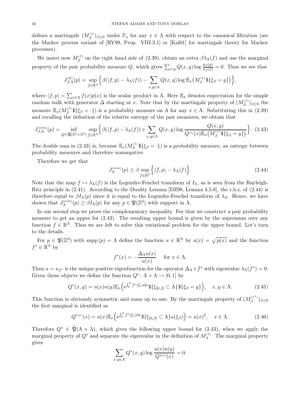defines a martingale  $(M_\beta^{(f)})_{\beta \geq 0}$  under  $\mathbb{P}_x$  for any  $x \in \Lambda$  with respect to the canonical filtration (see the Markov process variant of [RY99, Prop. VIII.3.1] or [Kal01] for martingale theory for Markov processes).

We insert now  $M_{\beta}^{(f)}$  on the right hand side of (2.39), obtain an extra  $\beta \lambda_{\Lambda}(f)$  and use the marginal property of the pair probability measure Q, which gives  $\sum_{x,y} Q(x, y) \log \frac{u_f(y)}{u_f(x)} = 0$ . Thus we see that

$$
J_{\beta,\Lambda}^{(Q)}(p) = \sup_{f \in \mathbb{R}^{\Lambda}} \Big\{ \beta(\langle f,p \rangle - \lambda_{\Lambda}(f)) - \sum_{x,y \in \Lambda} Q(x,y) \log \mathbb{E}_{x} \big( M_{\beta}^{(f)} \mathbb{1}\{\xi_{\beta} = y\} \big) \Big\},\,
$$

where  $\langle f, p \rangle = \sum_{x \in \Lambda} f(x) p(x)$  is the scalar product in  $\Lambda$ . Here  $\mathbb{E}_x$  denotes expectation for the simple random walk with generator  $\Delta$  starting at x. Note that by the martingale property of  $(M_\beta^{(f)})_{\beta \geq 0}$  the measure  $\mathbb{E}_x(M_\beta^{(f)}1_{\{\xi_\beta=\cdot\}})$  is a probability measure on  $\Lambda$  for any  $x \in \Lambda$ . Substituting this in (2.39) and recalling the definition of the relative entropy of the pair measures, we obtain that

$$
J_{\beta,\Lambda}^{(\text{sym})}(p) = \inf_{Q \in \widetilde{\mathfrak{P}}(\mathbb{Z}^d \times \mathbb{Z}^d)} \sup_{f \in \mathbb{R}^\Lambda} \left\{ \beta(\langle f, p \rangle - \lambda_\Lambda(f)) + \sum_{x,y \in \Lambda} Q(x,y) \log \frac{Q(x,y)}{Q^{(1)}(x) \mathbb{E}_x(M_\beta^{(f)} \mathbb{1}\{\xi_\beta = y\})} \right\}.
$$
 (2.43)

The double sum in (2.43) is, because  $\mathbb{E}_x(M_\beta^{(f)}1[\xi_\beta = \cdot])$  is a probability measure, an entropy between probability measures and therefore nonnegative.

Therefore we get that

$$
J_{\Lambda}^{(\text{sym})}(p) \ge \beta \sup_{f \in \mathbb{R}^{\Lambda}} \left\{ \langle f, p \rangle - \lambda_{\Lambda}(f) \right\}.
$$
 (2.44)

Note that the map  $f \mapsto \lambda_{\Lambda}(f)$  is the Legendre-Fenchel transform of  $I_{\Lambda}$ , as is seen from the Rayleigh-Ritz principle in (2.41). According to the Duality Lemma [DZ98, Lemma 4.5.8], the r.h.s. of (2.44) is therefore equal to  $\beta I_{\Lambda}(p)$  since it is equal to the Legendre-Fenchel transform of  $\lambda_{\Lambda}$ . Hence, we have shown that  $J_{\Lambda}^{(\text{sym})}(p) \geq \beta I_{\Lambda}(p)$  for any  $p \in \mathfrak{P}(\mathbb{Z}^d)$  with support in  $\Lambda$ .

In our second step we prove the complementary inequality. For that we construct a pair probability measure to get an upper for (2.43). The resulting upper bound is given by the supremum over any function  $f \in \mathbb{R}^{\Lambda}$ . Thus we are left to solve this variational problem for the upper bound. Let's turn to the details.

For  $p \in \mathfrak{P}(\mathbb{Z}^d)$  with supp  $(p) = \Lambda$  define the function  $u \in \mathbb{R}^{\Lambda}$  by  $u(x) = \sqrt{p(x)}$  and the function  $f^* \in \mathbb{R}^{\Lambda}$  by

$$
f^*(x) = -\frac{\Delta_\Lambda u(x)}{u(x)} \quad \text{ for } x \in \Lambda.
$$

Then  $u = u_{f^*}$  is the unique positive eigenfunction for the operator  $\Delta_{\Lambda} + f^*$  with eigenvalue  $\lambda_{\Lambda}(f^*) = 0$ . Given these objects we define the function  $Q^*$ :  $\Lambda \times \Lambda \to [0, 1]$  by

$$
Q^*(x,y) = u(x)u(y)\mathbb{E}_x\Big(\mathrm{e}^{\int_0^\beta f^*(\xi_s)\mathrm{d}s}\mathbb{1}\{\xi_{[0,\beta]} \subset \Lambda\}\mathbb{1}\{\xi_{\beta} = y\}\Big), \quad x, y \in \Lambda. \tag{2.45}
$$

This function is obviously symmetric and sums up to one. By the martingale property of  $(M_\beta^{(f^*)})_{\beta \geq 0}$ the first marginal is identified as

$$
Q^{*(1)}(x) = u(x) \mathbb{E}_x \left( e^{\int_0^{\beta} f^*(\xi_s) ds} \mathbb{1}_{\{\xi_{[0,\beta]} \subset \Lambda\}} u(\xi_{\beta}) \right) = u(x)^2, \quad x \in \Lambda. \tag{2.46}
$$

Therefore  $Q^* \in \widetilde{\mathfrak{B}}(\Lambda \times \Lambda)$ , which gives the following upper bound for (2.43), when we apply the marginal property of  $Q^*$  and separate the eigenvalue in the definition of  $M_{\beta}^{(f)}$ . The marginal property gives

$$
\sum_{x,y \in \Lambda} Q^*(x,y) \log \frac{u(x)u(y)}{Q^{*(1)}(x)} = 0.
$$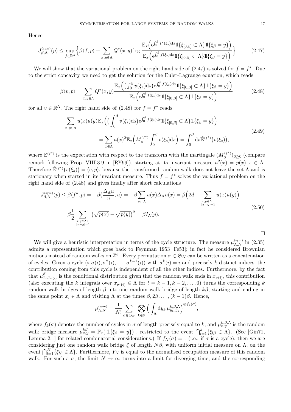Hence

$$
J_{\beta,\Lambda}^{(\text{sym})}(p) \leq \sup_{f \in \mathbb{R}^{\Lambda}} \left\{ \beta \langle f, p \rangle + \sum_{x,y \in \Lambda} Q^*(x,y) \log \frac{\mathbb{E}_x \left( e^{\int_0^{\beta} f^*(\xi_s) ds} \mathbb{1} \{ \xi_{[0,\beta]} \subset \Lambda \} \mathbb{1} \{ \xi_{\beta} = y \} \right)}{\mathbb{E}_x \left( e^{\int_0^{\beta} f(\xi_s) ds} \mathbb{1} \{ \xi_{[0,\beta]} \subset \Lambda \} \mathbb{1} \{ \xi_{\beta} = y \} \right)} \right\}.
$$
 (2.47)

We will show that the variational problem on the right hand side of  $(2.47)$  is solved for  $f = f^*$ . Due to the strict concavity we need to get the solution for the Euler-Lagrange equation, which reads

$$
\beta \langle v, p \rangle = \sum_{x, y \in \Lambda} Q^*(x, y) \frac{\mathbb{E}_x \left( \left( \int_0^\beta v(\xi_s) \, ds \right) e^{\int_0^\beta f(\xi_s) \, ds} \mathbb{1} \{ \xi_{[0, \beta]} \subset \Lambda \} \mathbb{1} \{ \xi_\beta = y \} \right)}{\mathbb{E}_x \left( e^{\int_0^\beta f(\xi_s) \, ds} \mathbb{1} \{ \xi_{[0, \beta]} \subset \Lambda \} \mathbb{1} \{ \xi_\beta = y \} \right)} \tag{2.48}
$$

for all  $v \in \mathbb{R}^{\Lambda}$ . The right hand side of (2.48) for  $f = f^*$  reads

$$
\sum_{x,y \in \Lambda} u(x)u(y) \mathbb{E}_x \Big( \big( \int_0^\beta v(\xi_s) \mathrm{d}s \big) \mathrm{e}^{\int_0^\beta f(\xi_s) \mathrm{d}s} \mathbb{1} \{ \xi_{[0,\beta]} \subset \Lambda \} \mathbb{1} \{ \xi_\beta = y \} \Big)
$$
\n
$$
= \sum_{x \in \Lambda} u(x)^2 \mathbb{E}_x \Big( M_\beta^{(f^*)} \int_0^\beta v(\xi_s) \mathrm{d}s \Big) = \int_0^\beta \mathrm{d}s \widetilde{\mathbb{E}}^{(f^*)} \big( v(\xi_s) \big), \tag{2.49}
$$

where  $\mathbb{E}^{(f^*)}$  is the expectation with respect to the transform with the martingale  $(M_\beta^{(f^*)})_{\beta \geq 0}$  (compare remark following Prop. VIII.3.9 in [RY99]), starting at its invariant measure  $u^2(x) = p(x), x \in \Lambda$ . Therefore  $\mathbb{E}^{(f^*)}(v(\xi_s)) = \langle v, p \rangle$ , because the transformed random walk does not leave the set  $\Lambda$  and is stationary when started in its invariant measure. Thus  $f = f^*$  solves the variational problem on the right hand side of (2.48) and gives finally after short calculations

$$
J_{\beta,\Lambda}^{(\text{sym})}(p) \leq \beta \langle f^*, p \rangle = -\beta \langle \frac{\Delta_{\Lambda} u}{u}, u \rangle = -\beta \sum_{x \in \Lambda} u(x) \Delta_{\Lambda} u(x) = \beta \Big( 2d - \sum_{\substack{x, y \in \Lambda: \ |x-y|=1}} u(x) u(y) \Big)
$$
  
=  $\beta \frac{1}{2} \sum_{\substack{x, y \in \Lambda: \ |x-y|=1}} \left( \sqrt{p(x)} - \sqrt{p(y)} \right)^2 = \beta I_{\Lambda}(p).$  (2.50)

We will give a heuristic interpretation in terms of the cycle structure. The measure  $\mu_{\Lambda,N}^{(\text{sym})}$  in (2.35) admits a representation which goes back to Feynman 1953 [Fe53]; in fact he considered Brownian motions instead of random walks on  $\mathbb{Z}^d$ . Every permutation  $\sigma \in \mathfrak{S}_N$  can be written as a concatenation of cycles. Given a cycle  $(i, \sigma(i), \sigma^2(i), \ldots, \sigma^{k-1}(i))$  with  $\sigma^k(i) = i$  and precisely k distinct indices, the contribution coming from this cycle is independent of all the other indices. Furthermore, by the fact that  $\mu^{\beta}_{x_i,x_{\sigma(i)}}$  is the conditional distribution given that the random walk ends in  $x_{\sigma(i)}$ , this contribution (also executing the k integrals over  $x_{\sigma^{l}(i)} \in \Lambda$  for  $l = k - 1, k - 2, \ldots, 0$ ) turns the corresponding k random walk bridges of length  $\beta$  into one random walk bridge of length  $k\beta$ , starting and ending in the same point  $x_i \in \Lambda$  and visiting  $\Lambda$  at the times  $\beta, 2\beta, \ldots, (k-1)\beta$ . Hence,

$$
\mu_{\Lambda,N}^{(\mathrm{sym})} = \frac{1}{N!} \sum_{\sigma \in \mathfrak{S}_N} \; \bigotimes_{k \in \mathbb{N}} \Big( \int_{\Lambda} \mathrm{d} y_k \, \mu_{y_k, y_k}^{k,\beta,\Lambda} \Big)^{\otimes f_k(\sigma)},
$$

where  $f_k(\sigma)$  denotes the number of cycles in  $\sigma$  of length precisely equal to k, and  $\mu_{x,y}^{k,\beta,\Lambda}$  is the random walk bridge measure  $\mu_{x,y}^{k\beta} = \mathbb{P}_x(\cdot \mathbb{1}\{\xi_\beta = y\})$ , restricted to the event  $\bigcap_{l=1}^k {\{\xi_{l\beta} \in \Lambda\}}$ . (See [Gin71, Lemma 2.1] for related combinatorial considerations.) If  $f_N(\sigma) = 1$  (i.e., if  $\sigma$  is a cycle), then we are considering just one random walk bridge  $\xi$  of length  $N\beta$ , with uniform initial measure on  $\Lambda$ , on the event  $\bigcap_{l=1}^{N} \{\xi_{l\beta} \in \Lambda\}$ . Furthermore,  $Y_N$  is equal to the normalised occupation measure of this random walk. For such a  $\sigma$ , the limit  $N \to \infty$  turns into a limit for diverging time, and the corresponding

 $\Box$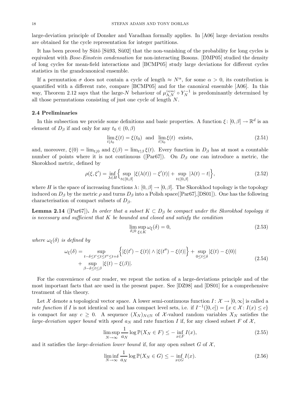large-deviation principle of Donsker and Varadhan formally applies. In [A06] large deviation results are obtained for the cycle representation for integer partitions.

It has been proved by Sütö  $[Sü93, Sü02]$  that the non-vanishing of the probability for long cycles is equivalent with *Bose-Einstein condensation* for non-interacting Bosons. [DMP05] studied the density of long cycles for mean-field interactions and [BCMP05] study large deviations for different cycles statistics in the grandcanonical ensemble.

If a permutation  $\sigma$  does not contain a cycle of length  $\approx N^{\alpha}$ , for some  $\alpha > 0$ , its contribution is quantified with a different rate, compare [BCMP05] and for the canonical ensemble [A06]. In this way, Theorem 2.12 says that the large-N behaviour of  $\mu_{\Lambda,N}^{(\text{sym})} \circ Y_N^{-1}$  is predominantly determined by all those permutations consisting of just one cycle of length  $N$ .

# **2.4 Preliminaries**

In this subsection we provide some definitions and basic properties. A function  $\xi$ :  $[0, \beta] \to \mathbb{R}^d$  is an element of  $D_\beta$  if and only for any  $t_0 \in (0, \beta)$ 

$$
\lim_{t \downarrow t_0} \xi(t) = \xi(t_0) \text{ and } \lim_{t \uparrow t_0} \xi(t) \text{ exists,}
$$
\n(2.51)

and, moreover,  $\xi(0) = \lim_{t \downarrow 0}$  and  $\xi(\beta) = \lim_{t \uparrow \beta} \xi(t)$ . Every function in  $D_{\beta}$  has at most a countable number of points where it is not continuous ([Par67]). On  $D_\beta$  one can introduce a metric, the Skorokhod metric, defined by

$$
\rho(\xi, \xi') = \inf_{\lambda \in H} \left\{ \sup_{t \in [0,\beta]} |\xi(\lambda(t)) - \xi'(t)| + \sup_{t \in [0,\beta]} |\lambda(t) - t| \right\},\tag{2.52}
$$

where H is the space of increasing functions  $\lambda: [0, \beta] \to [0, \beta]$ . The Skorokhod topology is the topology induced on  $D_\beta$  by the metric  $\rho$  and turns  $D_\beta$  into a Polish space([Par67],[DS01]). One has the following characterisation of compact subsets of  $D_\beta$ .

**Lemma 2.14** ([Par67]). *In order that a subset*  $K \subset D_\beta$  *be compact under the Skorokhod topology it is necessary and sufficient that* K *be bounded and closed and satisfy the condition*

$$
\lim_{\delta \downarrow 0} \sup_{\xi \in K} \omega_{\xi}(\delta) = 0,\tag{2.53}
$$

*where*  $\omega_{\xi}(\delta)$  *is defined by* 

$$
\omega_{\xi}(\delta) = \sup_{\substack{t-\delta \le t' \le t \le t'' \le t+\delta \\ \beta-\delta \le t \le \beta}} \left\{ |\xi(t') - \xi(t)| \wedge |\xi(t'') - \xi(t)| \right\} + \sup_{0 \le t \le \delta} |\xi(t) - \xi(0)|
$$
\n
$$
+ \sup_{\beta-\delta \le t \le \beta} |\xi(t) - \xi(\beta)|. \tag{2.54}
$$

For the convenience of our reader, we repeat the notion of a large-deviations principle and of the most important facts that are used in the present paper. See [DZ98] and [DS01] for a comprehensive treatment of this theory.

Let X denote a topological vector space. A lower semi-continuous function  $I: \mathcal{X} \to [0,\infty]$  is called a *rate function* if I is not identical  $\infty$  and has compact level sets, i.e. if  $I^{-1}([0, c]) = \{x \in \mathcal{X} : I(x) \leq c\}$ is compact for any  $c \geq 0$ . A sequence  $(X_N)_{N \in \mathbb{N}}$  of X-valued random variables  $X_N$  satisfies the *large-deviation upper bound* with *speed*  $a_N$  and rate function I if, for any closed subset F of  $\mathcal{X}$ ,

$$
\limsup_{N \to \infty} \frac{1}{a_N} \log \mathbb{P}(X_N \in F) \le - \inf_{x \in F} I(x),\tag{2.55}
$$

and it satisfies the *large-deviation lower bound* if, for any open subset  $G$  of  $\mathcal{X}$ ,

$$
\liminf_{N \to \infty} \frac{1}{a_N} \log \mathbb{P}(X_N \in G) \le - \inf_{x \in G} I(x). \tag{2.56}
$$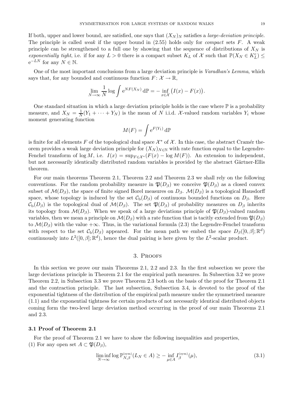If both, upper and lower bound, are satisfied, one says that  $(X_N)_N$  satisfies a *large-deviation principle*. The principle is called *weak* if the upper bound in (2.55) holds only for *compact* sets F. A weak principle can be strengthened to a full one by showing that the sequence of distributions of  $X_N$  is *exponentially tight*, i.e. if for any  $L > 0$  there is a compact subset  $K_L$  of X such that  $\mathbb{P}(X_N \in K_L^c) \leq$  $e^{-LN}$  for any  $N \in \mathbb{N}$ .

One of the most important conclusions from a large deviation principle is *Varadhan's Lemma*, which says that, for any bounded and continuous function  $F: \mathcal{X} \to \mathbb{R}$ ,

$$
\lim_{N \to \infty} \frac{1}{N} \log \int e^{N F(X_N)} d\mathbb{P} = - \inf_{x \in \mathcal{X}} \big( I(x) - F(x) \big).
$$

One standard situation in which a large deviation principle holds is the case where  $\mathbb P$  is a probability measure, and  $X_N = \frac{1}{N}(Y_1 + \cdots + Y_N)$  is the mean of N i.i.d. X-valued random variables  $Y_i$  whose moment generating function

$$
M(F) = \int e^{F(Y_1)} d\mathbb{P}
$$

is finite for all elements F of the topological dual space  $\mathcal{X}^*$  of  $\mathcal{X}$ . In this case, the abstract Cramér theorem provides a weak large deviation principle for  $(X_N)_{N\in\mathbb{N}}$  with rate function equal to the Legendre-Fenchel transform of log M, i.e.  $I(x) = \sup_{F \in \mathcal{X}^*} (F(x) - \log M(F))$ . An extension to independent, but not necessarily identically distributed random variables is provided by the abstract Gärtner-Ellis theorem.

For our main theorems Theorem 2.1, Theorem 2.2 and Theorem 2.3 we shall rely on the following conventions. For the random probability measure in  $\mathfrak{P}(D_\beta)$  we conceive  $\mathfrak{P}(D_\beta)$  as a closed convex subset of  $\mathcal{M}(D_{\beta})$ , the space of finite signed Borel measures on  $D_{\beta}$ .  $\mathcal{M}(D_{\beta})$  is a topological Hausdorff space, whose topology is induced by the set  $\mathcal{C}_{b}(D_{\beta})$  of continuous bounded functions on  $D_{\beta}$ . Here  $\mathcal{C}_{b}(D_{\beta})$  is the topological dual of  $\mathcal{M}(D_{\beta})$ . The set  $\mathfrak{P}(D_{\beta})$  of probability measures on  $D_{\beta}$  inherits its topology from  $\mathcal{M}(D_\beta)$ . When we speak of a large deviations principle of  $\mathfrak{P}(D_\beta)$ -valued random variables, then we mean a principle on  $\mathcal{M}(D_\beta)$  with a rate function that is tacitly extended from  $\mathfrak{P}(D_\beta)$ to  $\mathcal{M}(D_{\beta})$  with the value + $\infty$ . Thus, in the variational formula (2.3) the Legendre-Fenchel transform with respect to the set  $\mathcal{C}_b(D_\beta)$  appeared. For the mean path we embed the space  $D_\beta([0,\beta];\mathbb{R}^d)$ continuously into  $L^2([0, \beta]; \mathbb{R}^d)$ , hence the dual pairing is here given by the  $L^2$ -scalar product.

# 3. Proofs

In this section we prove our main Theorems 2.1, 2.2 and 2.3. In the first subsection we prove the large deviations principle in Theorem 2.1 for the empirical path measures. In Subsection 3.2 we prove Theorem 2.2, in Subsection 3.3 we prove Theorem 2.3 both on the basis of the proof for Theorem 2.1 and the contraction principle. The last subsection, Subsection 3.4, is devoted to the proof of the exponential tightness of the distribution of the empirical path measure under the symmetrised measure (1.1) and the exponential tightness for certain products of not necessarily identical distributed objects coming form the two-level large deviation method occurring in the proof of our main Theorems 2.1 and 2.3.

## **3.1 Proof of Theorem 2.1**

For the proof of Theorem 2.1 we have to show the following inequalities and properties, (1) For any open set  $A \subset \mathfrak{P}(D_{\beta}),$ 

$$
\liminf_{N \to \infty} \log \mathbb{P}_{N,\beta}^{(\text{sym})}(L_N \in A) \ge - \inf_{\mu \in A} I_{\beta}^{(\text{sym})}(\mu),\tag{3.1}
$$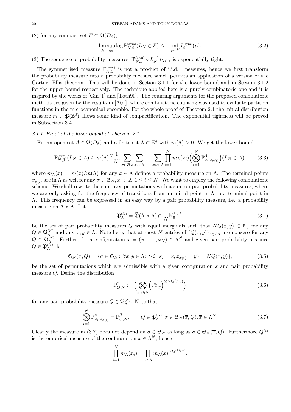(2) for any compact set  $F \subset \mathfrak{P}(D_{\beta}),$ 

$$
\limsup_{N \to \infty} \log \mathbb{P}_{N,\beta}^{(\text{sym})}(L_N \in F) \le - \inf_{\mu \in F} I_{\beta}^{(\text{sym})}(\mu). \tag{3.2}
$$

(3) The sequence of probability measures  $(\mathbb{P}_{N,\beta}^{(\text{sym})} \circ L_N^{-1})_{N \in \mathbb{N}}$  is exponentially tight.

The symmetrised measure  $\mathbb{P}_{N,\beta}^{(\text{sym})}$  is not a product of i.i.d. measures, hence we first transform the probability measure into a probability measure which permits an application of a version of the Gärtner-Ellis theorem. This will be done in Section 3.1.1 for the lower bound and in Section 3.1.2 for the upper bound respectively. The technique applied here is a purely combinatoric one and it is inspired by the works of [Gin71] and [Toth90]. The counting arguments for the proposed combinatoric methods are given by the results in [A01], where combinatoric counting was used to evaluate partition functions in the microcanonical ensemble. For the whole proof of Theorem 2.1 the initial distribution measure  $m \in \mathfrak{B}(\mathbb{Z}^d)$  allows some kind of compactification. The exponential tightness will be proved in Subsection 3.4.

# *3.1.1 Proof of the lower bound of Theorem 2.1.*

Fix an open set  $A \in \mathfrak{P}(D_\beta)$  and a finite set  $\Lambda \subset \mathbb{Z}^d$  with  $m(\Lambda) > 0$ . We get the lower bound

$$
\mathbb{P}_{N,\beta}^{(\text{sym})}(L_N \in A) \ge m(\Lambda)^N \frac{1}{N!} \sum_{\sigma \in \mathfrak{S}_N} \sum_{x_1 \in \Lambda} \cdots \sum_{x_N \in \Lambda} \prod_{i=1}^N m_\Lambda(x_i) \Big( \bigotimes_{i=1}^N \mathbb{P}_{x_i, x_{\sigma(i)}}^{\beta} \Big) (L_N \in A), \tag{3.3}
$$

where  $m_\Lambda(x) := m(x)/m(\Lambda)$  for any  $x \in \Lambda$  defines a probability measure on  $\Lambda$ . The terminal points  $x_{\sigma(i)}$  are in  $\Lambda$  as well for any  $\sigma \in \mathfrak{S}_N$ ,  $x_i \in \Lambda$ ,  $1 \leq i \leq N$ . We want to employ the following combinatoric scheme. We shall rewrite the sum over permutations with a sum on pair probability measures, where we are only asking for the frequency of transitions from an initial point in  $\Lambda$  to a terminal point in Λ. This frequency can be expressed in an easy way by a pair probability measure, i.e. a probability measure on  $\Lambda \times \Lambda$ . Let

$$
\mathfrak{P}_{\Lambda}^{(N)} = \widetilde{\mathfrak{P}}(\Lambda \times \Lambda) \cap \frac{1}{N} \mathbb{N}_{0}^{\Lambda \times \Lambda},\tag{3.4}
$$

be the set of pair probability measures Q with equal marginals such that  $NQ(x, y) \in \mathbb{N}_0$  for any  $Q \in \mathfrak{P}_{\Lambda}^{(N)}$  and any  $x, y \in \Lambda$ . Note here, that at most N entries of  $(Q(x, y))_{x, y \in \Lambda}$  are nonzero for any  $Q \in \mathfrak{P}_{\Lambda}^{(N)}$ . Further, for a configuration  $\overline{x} = (x_1, \ldots, x_N) \in \Lambda^N$  and given pair probability measure  $Q \in \mathfrak{P}_{\Lambda}^{(N)}$ , let

$$
\mathfrak{S}_N(\overline{x}, Q) = \{ \sigma \in \mathfrak{S}_N \colon \forall x, y \in \Lambda \colon \sharp \{ i \colon x_i = x, x_{\sigma(i)} = y \} = NQ(x, y) \},\tag{3.5}
$$

be the set of permutations which are admissible with a given configuration  $\bar{x}$  and pair probability measure Q. Define the distribution

$$
\mathbb{P}_{Q,N}^{\beta} := \left( \bigotimes_{x,y \in \Lambda} \left( \mathbb{P}_{x,y}^{\beta} \right)^{\otimes NQ(x,y)} \right) \tag{3.6}
$$

for any pair probability measure  $Q \in \mathfrak{P}_{\Lambda}^{(N)}$ . Note that

$$
\bigotimes_{i=1}^{N} \mathbb{P}^{\beta}_{x_i, x_{\sigma(i)}} = \mathbb{P}^{\beta}_{Q,N}, \qquad Q \in \mathfrak{P}^{(N)}_{\Lambda}, \sigma \in \mathfrak{S}_N(\overline{x}, Q), \overline{x} \in \Lambda^N. \tag{3.7}
$$

Clearly the measure in (3.7) does not depend on  $\sigma \in \mathfrak{S}_N$  as long as  $\sigma \in \mathfrak{S}_N(\overline{x}, Q)$ . Furthermore  $Q^{(1)}$ is the empirical measure of the configuration  $\overline{x} \in \Lambda^N$ , hence

$$
\prod_{i=1}^N m_\Lambda(x_i) = \prod_{x \in \Lambda} m_\Lambda(x)^{NQ^{(1)}(x)}.
$$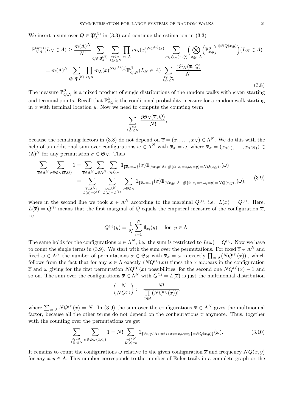We insert a sum over  $Q \in \mathfrak{P}_{\Lambda}^{(N)}$  in (3.3) and continue the estimation in (3.3)

$$
\mathbb{P}_{N,\beta}^{(\text{sym})}(L_N \in A) \geq \frac{m(\Lambda)^N}{N!} \sum_{Q \in \mathfrak{P}_{\Lambda}^{(N)}} \sum_{\substack{x_i \in \Lambda, \\ 1 \leq i \leq N}} \prod_{x \in \Lambda} m_{\Lambda}(x)^{NQ^{(1)}(x)} \sum_{\sigma \in \mathfrak{S}_N(\overline{x}, Q)} \Big( \bigotimes_{x, y \in \Lambda} \left( \mathbb{P}_{x, y}^{\beta} \right)^{\otimes NQ(x, y)} \Big) (L_N \in A)
$$

$$
= m(\Lambda)^N \sum_{Q \in \mathfrak{P}_{\Lambda}^{(N)}} \prod_{x \in \Lambda} m_{\Lambda}(x)^{NQ^{(1)}(x)} \mathbb{P}_{Q, N}^{\beta}(L_N \in A) \sum_{\substack{x_i \in \Lambda, \\ 1 \leq i \leq N}} \frac{\sharp \mathfrak{S}_N(\overline{x}, Q)}{N!}.
$$
(3.8)

The measure  $\mathbb{P}^{\beta}_{Q,N}$  is a mixed product of single distributions of the random walks with given starting and terminal points. Recall that  $\mathbb{P}_{x,y}^{\beta}$  is the conditional probability measure for a random walk starting in  $x$  with terminal location  $y$ . Now we need to compute the counting term

$$
\sum_{\substack{x_i \in \Lambda, \\ 1 \le i \le N}} \frac{\sharp \mathfrak{S}_N(\overline{x},Q)}{N!},
$$

because the remaining factors in (3.8) do not depend on  $\overline{x} = (x_1, \ldots, x_N) \in \Lambda^N$ . We do this with the help of an additional sum over configurations  $\omega \in \Lambda^N$  with  $\overline{x}_{\sigma} = \omega$ , where  $\overline{x}_{\sigma} = (x_{\sigma(1)}, \ldots, x_{\sigma(N)}) \in$  $(\Lambda)^N$  for any permutation  $\sigma \in \mathfrak{S}_N$ . Thus

$$
\sum_{\overline{x}\in\Lambda^N}\sum_{\sigma\in\mathfrak{S}_N(\overline{x},Q)}1=\sum_{\overline{x}\in\Lambda^N}\sum_{\omega\in\Lambda^N}\sum_{\sigma\in\mathfrak{S}_N}\mathbb{1}_{\{\overline{x}_{\sigma}=\omega\}}(\sigma)\mathbb{1}_{\{\forall x,y\in\Lambda:\#\{i:\,x_i=x,\omega_i=y\}=NQ(x,y)\}}(\omega)
$$
\n
$$
=\sum_{\overline{x}\in\Lambda^N:\atop L(\overline{x})=Q^{(1)}}\sum_{\omega\in\Lambda^N:\atop L(\omega)=Q^{(1)}}\sum_{\sigma\in\mathfrak{S}_N}\mathbb{1}_{\{\overline{x}_{\sigma}=\omega\}}(\sigma)\mathbb{1}_{\{\forall x,y\in\Lambda:\#\{i:\,x_i=x,\omega_i=y\}=NQ(x,y)\}}(\omega),\tag{3.9}
$$

where in the second line we took  $\overline{x} \in \Lambda^N$  according to the marginal  $Q^{(1)}$ , i.e.  $L(\overline{x}) = Q^{(1)}$ . Here,  $L(\overline{x}) = Q^{(1)}$  means that the first marginal of Q equals the empirical measure of the configuration  $\overline{x}$ , i.e.

$$
Q^{(1)}(y) = \frac{1}{N} \sum_{i=1}^{N} \mathbb{1}_{x_i}(y)
$$
 for  $y \in \Lambda$ .

The same holds for the configurations  $\omega \in \Lambda^N$ , i.e. the sum is restricted to  $L(\omega) = Q^{(1)}$ . Now we have to count the single terms in (3.9). We start with the sum over the permutations. For fixed  $\overline{x} \in \Lambda^N$  and fixed  $\omega \in \Lambda^N$  the number of permutations  $\sigma \in \mathfrak{S}_N$  with  $\overline{x}_{\sigma} = \omega$  is exactly  $\prod_{x \in \Lambda} (NQ^{(1)}(x))!$ , which follows from the fact that for any  $x \in \Lambda$  exactly  $(NQ^{(1)}(x))$  times the x appears in the configuration  $\overline{x}$  and  $\omega$  giving for the first permutation  $NQ^{(1)}(x)$  possibilities, for the second one  $NQ^{(1)}(x) - 1$  and so on. The sum over the configurations  $\overline{x} \in \Lambda^N$  with  $Q^{(1)} = L(\overline{x})$  is just the multinomial distribution

$$
\binom{N}{NQ^{(1)}} := \frac{N!}{\prod\limits_{x \in \Lambda} (NQ^{(1)}(x))!},
$$

where  $\sum_{x\in\Lambda} N Q^{(1)}(x) = N$ . In (3.9) the sum over the configurations  $\overline{x} \in \Lambda^N$  gives the multinomial factor, because all the other terms do not depend on the configurations  $\bar{x}$  anymore. Thus, together with the counting over the permutations we get

$$
\sum_{\substack{x_i \in \Lambda, \ x \in \mathcal{S}_N \\ 1 \le i \le N}} \sum_{\sigma \in \mathfrak{S}_N(\overline{x}, Q)} 1 = N! \sum_{\substack{\omega \in \Lambda^N \\ L(\omega) = \overline{x}}} 1_{\{\forall x, y \in \Lambda : \#\{i : x_i = x, \omega_i = y\} = NQ(x, y)\}}(\omega). \tag{3.10}
$$

It remains to count the configurations  $\omega$  relative to the given configuration  $\bar{x}$  and frequency  $NQ(x, y)$ for any  $x, y \in \Lambda$ . This number corresponds to the number of Euler trails in a complete graph or the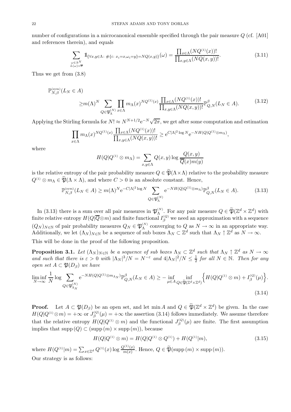number of configurations in a microcanonical ensemble specified through the pair measure Q (cf. [A01] and references therein), and equals

$$
\sum_{\substack{\omega \in \Lambda^N \\ L(\omega) = \overline{x}}} 1_{\{\forall x, y \in \Lambda : \#\{i : x_i = x, \omega_i = y\} = NQ(x, y)\}}(\omega) = \frac{\prod_{x \in \Lambda} (NQ^{(1)}(x))!}{\prod_{x, y \in \Lambda} (NQ(x, y))!}.
$$
\n(3.11)

Thus we get from (3.8)

$$
\mathbb{P}_{N,\beta}^{(\text{sym})}(L_N \in A) \geq m(\Lambda)^N \sum_{Q \in \mathfrak{P}_{\Lambda}^{(N)}} \prod_{x \in \Lambda} m_{\Lambda}(x)^{NQ^{(1)}(x)} \frac{\prod_{x \in \Lambda} (NQ^{(1)}(x))!}{\prod_{x,y \in \Lambda} (NQ(x,y))!} \mathbb{P}_{Q,N}^{\beta}(L_N \in A).
$$
\n(3.12)

Applying the Stirling formula for  $N! \approx N^{N+1/2}e^{-N}\sqrt{2\pi}$ , we get after some computation and estimation

$$
\prod_{x \in \Lambda} m_{\Lambda}(x)^{NQ^{(1)}(x)} \frac{\prod_{x \in \Lambda} (NQ^{(1)}(x))!}{\prod_{x,y \in \Lambda} (NQ(x,y))!} \ge e^{C|\Lambda|^2 \log N} e^{-NH(Q|Q^{(1)} \otimes m_{\Lambda})},
$$

where

$$
H(Q|Q^{(1)} \otimes m_{\Lambda}) = \sum_{x,y \in \Lambda} Q(x,y) \log \frac{Q(x,y)}{\overline{Q}(x)m(y)}
$$

is the relative entropy of the pair probability measure  $Q \in \widetilde{\mathfrak{P}}(\Lambda \times \Lambda)$  relative to the probability measure  $Q^{(1)} \otimes m_{\Lambda} \in \widetilde{\mathfrak{P}}(\Lambda \times \Lambda)$ , and where  $C > 0$  is an absolute constant. Hence,

$$
\mathbb{P}_{N,\beta}^{(\text{sym})}(L_N \in A) \ge m(\Lambda)^N e^{-C|\Lambda|^2 \log N} \sum_{Q \in \mathfrak{P}_{\Lambda}^{(N)}} e^{-NH(Q|Q^{(1)} \otimes m_{\Lambda})} \mathbb{P}_{Q,N}^{\beta}(L_N \in A).
$$
(3.13)

In (3.13) there is a sum over all pair measures in  $\mathfrak{P}_{\Lambda}^{(N)}$ . For any pair measure  $Q \in \widetilde{\mathfrak{P}}(\mathbb{Z}^d \times \mathbb{Z}^d)$  with finite relative entropy  $H(Q|\overline{Q}\otimes m)$  and finite functional  $I_{\beta}^{(Q)}$  we need an approximation with a sequence  $(Q_N)_{N\in\mathbb{N}}$  of pair probability measures  $Q_N\in\mathfrak{P}_\Lambda^{(N)}$  converging to  $Q$  as  $N\to\infty$  in an appropriate way. Additionally, we let  $(\Lambda_N)_{N\in\mathbb{N}}$  be a sequence of sub boxes  $\Lambda_N\subset\mathbb{Z}^d$  such that  $\Lambda_N\uparrow\mathbb{Z}^d$  as  $N\to\infty$ .

This will be done in the proof of the following proposition.

**Proposition 3.1.** Let  $(\Lambda_N)_{N \in \mathbb{N}}$  be a sequence of sub boxes  $\Lambda_N \subset \mathbb{Z}^d$  such that  $\Lambda_N \uparrow \mathbb{Z}^d$  as  $N \to \infty$ *and such that there is*  $\varepsilon > 0$  *with*  $|\Lambda_N|^3/N = N^{-\varepsilon}$  *and*  $4|\Lambda_N|^2/N \leq \frac{1}{2}$  *for all*  $N \in \mathbb{N}$ *. Then for any open set*  $A \subset \mathfrak{P}(D_{\beta})$  *we have* 

$$
\liminf_{N \to \infty} \frac{1}{N} \log \sum_{Q \in \mathfrak{P}_{\Lambda_N}^{(N)}} e^{-NH(Q|Q^{(1)} \otimes m_{\Lambda_N})} \mathbb{P}_{Q,N}^{\beta}(L_N \in A) \ge - \inf_{\mu \in A} \inf_{Q \in \widetilde{\mathfrak{P}}(\mathbb{Z}^d \times \mathbb{Z}^d)} \Big\{ H(Q|Q^{(1)} \otimes m) + I_{\beta}^{(Q)}(\mu) \Big\}.
$$
\n(3.14)

**Proof.** Let  $A \subset \mathfrak{P}(D_\beta)$  be an open set, and let min A and  $Q \in \widetilde{\mathfrak{P}}(\mathbb{Z}^d \times \mathbb{Z}^d)$  be given. In the case  $H(Q|Q^{(1)}\otimes m) = +\infty$  or  $J_{\beta}^{(Q)}(\mu) = +\infty$  the assertion (3.14) follows immediately. We assume therefore that the relative entropy  $H(Q|Q^{(1)} \otimes m)$  and the functional  $J_{\beta}^{(Q)}(\mu)$  are finite. The first assumption implies that  $\text{supp}(Q) \subset (\text{supp}(m) \times \text{supp}(m))$ , because

$$
H(Q|Q^{(1)} \otimes m) = H(Q|Q^{(1)} \otimes Q^{(1)}) + H(Q^{(1)}|m), \tag{3.15}
$$

where  $H(Q^{(1)}|m) = \sum_{x \in \mathbb{Z}^d} Q^{(1)}(x) \log \frac{Q^{(1)}(x)}{m(x)}$ . Hence,  $Q \in \widetilde{\mathfrak{P}}(\text{supp}(m) \times \text{supp}(m))$ . Our strategy is as follows: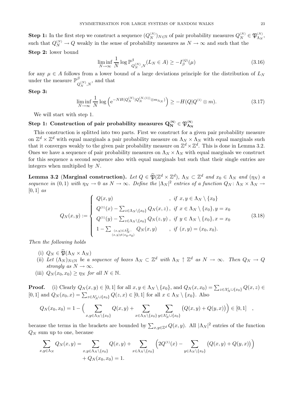**Step 1:** In the first step we construct a sequence  $(Q_N^{(N)})_{N \in \mathbb{N}}$  of pair probability measures  $Q_N^{(N)} \in \mathfrak{P}_{\Lambda_N}^{(N)}$ , such that  $Q_N^{(N)} \to Q$  weakly in the sense of probability measures as  $N \to \infty$  and such that the **Step 2:** lower bound

$$
\liminf_{N \to \infty} \frac{1}{N} \log \mathbb{P}_{Q_N^{(N)}, N}^{\beta}(L_N \in A) \ge -I_{\beta}^{(Q)}(\mu)
$$
\n(3.16)

for any  $\mu \in A$  follows from a lower bound of a large deviations principle for the distribution of  $L_N$ under the measure  $\mathbb{P}^{\beta}_{Q_N^{(N)},N}$ , and that

#### **Step 3:**

$$
\liminf_{N \to \infty} \frac{1}{N} \log \left( e^{-NH(Q_N^{(N)} |Q_N^{(N,(1))} \otimes m_{\Lambda_N})} \right) \ge -H(Q | Q^{(1)} \otimes m). \tag{3.17}
$$

We will start with step 1.

# $\textbf{Step 1:}$  Construction of pair probability measures  $\mathbf{Q_N^{(N)}} \in \mathfrak{P}_{\mathbf{\Lambda_N}}^{(N)}$

This construction is splitted into two parts. First we construct for a given pair probability measure on  $\mathbb{Z}^d \times \mathbb{Z}^d$  with equal marginals a pair probability measure on  $\Lambda_N \times \Lambda_N$  with equal marginals such that it converges weakly to the given pair probability measure on  $\mathbb{Z}^d \times \mathbb{Z}^d$ . This is done in Lemma 3.2. Ones we have a sequence of pair probability measures on  $\Lambda_N \times \Lambda_N$  with equal marginals we construct for this sequence a second sequence also with equal marginals but such that their single entries are integers when multiplied by N.

**Lemma 3.2** (Marginal construction). *Let*  $Q \in \widetilde{\mathfrak{P}}(\mathbb{Z}^d \times \mathbb{Z}^d)$ ,  $\Lambda_N \subset \mathbb{Z}^d$  and  $x_0 \in \Lambda_N$  and  $(\eta_N)$  a *sequence in*  $(0,1)$  *with*  $\eta_N \to 0$  *as*  $N \to \infty$ *. Define the*  $|\Lambda_N|^2$  *entries of a function*  $Q_N$ :  $\Lambda_N \times \Lambda_N \to 0$ [0, 1] *as*

$$
Q_N(x,y) := \begin{cases} Q(x,y) & , \text{ if } x, y \in \Lambda_N \setminus \{x_0\} \\ Q^{(1)}(x) - \sum_{z \in \Lambda_N \setminus \{x_0\}} Q_N(x,z), & \text{if } x \in \Lambda_N \setminus \{x_0\}, y = x_0 \\ Q^{(1)}(y) - \sum_{z \in \Lambda_N \setminus \{x_0\}} Q_N(z,y), & \text{if } y \in \Lambda_N \setminus \{x_0\}, x = x_0 \\ 1 - \sum_{\substack{(x,y) \in \Lambda_N^2:\\(x,y) \neq (x_0,x_0)}} Q_N(x,y) & , \text{if } (x,y) = (x_0,x_0). \end{cases} (3.18)
$$

*Then the following holds*

- (i)  $Q_N \in \mathfrak{P}(\Lambda_N \times \Lambda_N)$
- (ii) Let  $(\Lambda_N)_{N \in \mathbb{N}}$  be a sequence of boxes  $\Lambda_N \subset \mathbb{Z}^d$  with  $\Lambda_N \uparrow \mathbb{Z}^d$  as  $N \to \infty$ . Then  $Q_N \to Q$ *strongly as*  $N \to \infty$ *.*
- (iii)  $Q_N(x_0, x_0) \geq \eta_N$  *for all*  $N \in \mathbb{N}$ .

**Proof.** (i) Clearly  $Q_N(x, y) \in [0, 1]$  for all  $x, y \in \Lambda_N \setminus \{x_0\}$ , and  $Q_N(x, x_0) = \sum_{z \in \Lambda_N^c \cup \{x_0\}} Q(x, z) \in$ [0, 1] and  $Q_N(x_0, x) = \sum_{z \in \Lambda_N^c \cup \{x_0\}} Q(z, x) \in [0, 1]$  for all  $x \in \Lambda_N \setminus \{x_0\}$ . Also

$$
Q_N(x_0, x_0) = 1 - \Big(\sum_{x,y \in \Lambda_N \setminus \{x_0\}} Q(x,y) + \sum_{x \in \Lambda_N \setminus \{x_0\}} \sum_{y \in \Lambda_N^c \cup \{x_0\}} \big(Q(x,y) + Q(y,x)\big)\Big) \in [0,1] \quad ,
$$

because the terms in the brackets are bounded by  $\sum_{x,y\in\mathbb{Z}^d} Q(x,y)$ . All  $|\Lambda_N|^2$  entries of the function  $Q_N$  sum up to one, because

$$
\sum_{x,y \in \Lambda_N} Q_N(x,y) = \sum_{x,y \in \Lambda_N \setminus \{x_0\}} Q(x,y) + \sum_{x \in \Lambda_N \setminus \{x_0\}} \left(2Q^{(1)}(x) - \sum_{y \in \Lambda_N \setminus \{x_0\}} \left(Q(x,y) + Q(y,x)\right)\right) + Q_N(x_0,x_0) = 1.
$$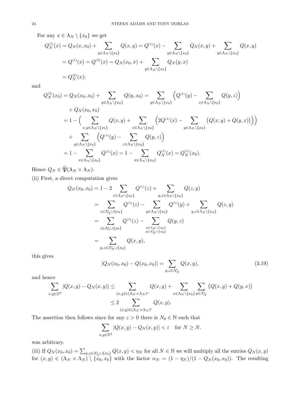For any  $x \in \Lambda_N \setminus \{x_0\}$  we get

$$
Q_N^{(1)}(x) = Q_N(x, x_0) + \sum_{y \in \Lambda_N \setminus \{x_0\}} Q(x, y) = Q^{(1)}(x) - \sum_{y \in \Lambda_N \setminus \{x_0\}} Q_N(x, y) + \sum_{y \in \Lambda_N \setminus \{x_0\}} Q(x, y)
$$
  
=  $Q^{(1)}(x) = Q^{(2)}(x) = Q_N(x_0, x) + \sum_{y \in \Lambda_N \setminus \{x_0\}} Q_N(y, x)$   
=  $Q_N^{(2)}(x)$ ;

and

$$
Q_N^{(2)}(x_0) = Q_N(x_0, x_0) + \sum_{y \in \Lambda_N \setminus \{x_0\}} Q(y, x_0) = \sum_{y \in \Lambda_N \setminus \{x_0\}} \left( Q^{(1)}(y) - \sum_{z \in \Lambda_N \setminus \{x_0\}} Q(y, z) \right) + Q_N(x_0, x_0) = 1 - \Big( \sum_{x, y \in \Lambda_N \setminus \{x_0\}} Q(x, y) + \sum_{x \in \Lambda_N \setminus \{x_0\}} \left( 2Q^{(1)}(x) - \sum_{y \in \Lambda_N \setminus \{x_0\}} \left( Q(x, y) + Q(y, x) \right) \right) \Big) + \sum_{y \in \Lambda_N \setminus \{x_0\}} \left( Q^{(1)}(y) - \sum_{z \in \Lambda_N \setminus \{x_0\}} Q(y, z) \right) = 1 - \sum_{x \in \Lambda_N \setminus \{x_0\}} Q^{(1)}(x) = 1 - \sum_{x \in \Lambda_N \setminus \{x_0\}} Q_N^{(1)}(x) = Q_N^{(1)}(x_0).
$$

Hence  $Q_N \in \widetilde{\mathfrak{P}}(\Lambda_N \times \Lambda_N)$ .

(ii) First, a direct computation gives

$$
Q_N(x_0, x_0) = 1 - 2 \sum_{z \in \Lambda_N \setminus \{x_0\}} Q^{(1)}(z) + \sum_{y, z \in \Lambda_N \setminus \{x_0\}} Q(z, y)
$$
  
\n
$$
= \sum_{z \in \Lambda_N^c \cup \{x_0\}} Q^{(1)}(z) - \sum_{y \in \Lambda_N \setminus \{x_0\}} Q^{(1)}(y) + \sum_{y, z \in \Lambda_N \setminus \{x_0\}} Q(z, y)
$$
  
\n
$$
= \sum_{z \in \Lambda_n^c \cup \{x_0\}} Q^{(1)}(z) - \sum_{\substack{y \in \Lambda_N \setminus \{x_0\} \\ y \in \Lambda_N^c \cup \{x_0\}}} Q(y, z)
$$
  
\n
$$
= \sum_{y, z \in \Lambda_N^c \cup \{x_0\}} Q(x, y),
$$

this gives

$$
|Q_N(x_0, x_0) - Q(x_0, x_0)| = \sum_{y, z \in \Lambda_N^c} Q(x, y), \tag{3.19}
$$

and hence

$$
\sum_{x,y\in\mathbb{Z}^d} |Q(x,y) - Q_N(x,y)| \le \sum_{(x,y)\in(\Lambda_N\times\Lambda_N)^c} Q(x,y) + \sum_{x\in\Lambda_N\setminus\{x_0\}} \sum_{y\in\Lambda_N^c} (Q(x,y) + Q(y,x))
$$
  

$$
\le 2 \sum_{(x,y)\in(\Lambda_N\times\Lambda_N)^c} Q(x,y).
$$

The assertion then follows since for any  $\varepsilon > 0$  there is  $N_0 \in \mathbb{N}$  such that

$$
\sum_{x,y\in\mathbb{Z}^d} |Q(x,y) - Q_N(x,y)| < \varepsilon \quad \text{for } N \ge N.
$$

was arbitrary.

(iii) If  $Q_N(x_0, x_0) = \sum_{y,z \in \Lambda_N^c \cup \{x_0\}} Q(x, y) < \eta_N$  for all  $N \in \mathbb{N}$  we will multiply all the entries  $Q_N(x, y)$ for  $(x, y) \in (\Lambda_N \times \Lambda_N) \setminus \{x_0, x_0\}$  with the factor  $\alpha_N = (1 - \eta_N)/(1 - Q_N(x_0, x_0))$ . The resulting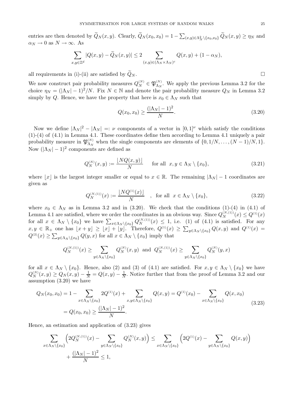entries are then denoted by  $\overline{Q}_N(x, y)$ . Clearly,  $\overline{Q}_N(x_0, x_0) = 1 - \sum_{(x, y) \in \Lambda_N^2 \setminus \{x_0, x_0\}} \overline{Q}_N(x, y) \ge \eta_N$  and  $\alpha_N \to 0$  as  $N \to \infty$ . As

$$
\sum_{x,y\in\mathbb{Z}^d}|Q(x,y)-\widetilde{Q}_N(x,y)|\leq 2\sum_{(x,y)\in(\Lambda_N\times\Lambda_N)^c}Q(x,y)+(1-\alpha_N),
$$

all requirements in (i)-(ii) are satisfied by  $\widetilde{Q}_N$ .

We now construct pair probability measures  $Q_N^{(N)} \in \mathfrak{P}_{\Lambda_N}^{(N)}$ . We apply the previous Lemma 3.2 for the choice  $\eta_N = (|\Lambda_N| - 1)^2/N$ . Fix  $N \in \mathbb{N}$  and denote the pair probability measure  $Q_N$  in Lemma 3.2 simply by Q. Hence, we have the property that here is  $x_0 \in \Lambda_N$  such that

$$
Q(x_0, x_0) \ge \frac{(|\Lambda_N| - 1)^2}{N}.
$$
\n(3.20)

Now we define  $|\Lambda_N|^2 - |\Lambda_N| =: \nu$  components of a vector in  $[0,1]^\nu$  which satisfy the conditions (1)-(4) of (4.1) in Lemma 4.1. These coordinates define then according to Lemma 4.1 uniquely a pair probability measure in  $\mathfrak{P}_{\Lambda_N}^{(N)}$  when the single components are elements of  $\{0, 1/N, \ldots, (N-1)/N, 1\}$ . Now  $(|\Lambda_N| - 1)^2$  components are defined as

$$
Q_N^{(N)}(x,y) := \frac{\lfloor NQ(x,y) \rfloor}{N} \quad \text{for all } x, y \in \Lambda_N \setminus \{x_0\},\tag{3.21}
$$

where |x| is the largest integer smaller or equal to  $x \in \mathbb{R}$ . The remaining  $|\Lambda_N| - 1$  coordinates are given as

$$
Q_N^{(N,(1))}(x) := \frac{\lfloor NQ^{(1)}(x) \rfloor}{N} \quad , \text{ for all } x \in \Lambda_N \setminus \{x_0\},\tag{3.22}
$$

where  $x_0 \in \Lambda_N$  as in Lemma 3.2 and in (3.20). We check that the conditions (1)-(4) in (4.1) of Lemma 4.1 are satisfied, where we order the coordinates in an obvious way. Since  $Q_N^{(N,(1))}(x) \leq Q^{(1)}(x)$ for all  $x \in \Lambda_N \setminus \{x_0\}$  we have  $\sum_{x \in \Lambda_N \setminus \{x_0\}} Q_N^{(N,(1))}(x) \leq 1$ , i.e. (1) of (4.1) is satisfied. For any  $x, y \in \mathbb{R}_+$  one has  $\lfloor x + y \rfloor \geq \lfloor x \rfloor + \lfloor y \rfloor$ . Therefore,  $Q^{(1)}(x) \geq \sum_{y \in \Lambda_N \setminus \{x_0\}} Q(x, y)$  and  $Q^{(1)}(x) =$  $Q^{(2)}(x) \ge \sum_{y \in \Lambda_N \setminus \{x_0\}} Q(y, x)$  for all  $x \in \Lambda_N \setminus \{x_0\}$  imply that

$$
Q_N^{(N,(1))}(x) \ge \sum_{y \in \Lambda_N \setminus \{x_0\}} Q_N^{(N)}(x,y) \text{ and } Q_N^{(N,(1))}(x) \ge \sum_{y \in \Lambda_N \setminus \{x_0\}} Q_N^{(N)}(y,x)
$$

for all  $x \in \Lambda_N \setminus \{x_0\}$ . Hence, also (2) and (3) of (4.1) are satisfied. For  $x, y \in \Lambda_N \setminus \{x_0\}$  we have  $Q_N^{(N)}(x,y) \ge Q_N(x,y) - \frac{1}{N} = Q(x,y) - \frac{1}{N}$ . Notice further that from the proof of Lemma 3.2 and our assumption (3.20) we have

$$
Q_N(x_0, x_0) = 1 - \sum_{x \in \Lambda_N \setminus \{x_0\}} 2Q^{(1)}(x) + \sum_{x, y \in \Lambda_N \setminus \{x_0\}} Q(x, y) = Q^{(1)}(x_0) - \sum_{x \in \Lambda_N \setminus \{x_0\}} Q(x, x_0)
$$
  
=  $Q(x_0, x_0) \ge \frac{(|\Lambda_N| - 1)^2}{N}$ . (3.23)

Hence, an estimation and application of (3.23) gives

$$
\sum_{x \in \Lambda_N \setminus \{x_0\}} \left( 2Q_N^{(N,(1))}(x) - \sum_{y \in \Lambda_N \setminus \{x_0\}} Q_N^{(N)}(x, y) \right) \le \sum_{x \in \Lambda_N \setminus \{x_0\}} \left( 2Q^{(1)}(x) - \sum_{y \in \Lambda_N \setminus \{x_0\}} Q(x, y) \right) + \frac{(\vert \Lambda_N \vert - 1)^2}{N} \le 1,
$$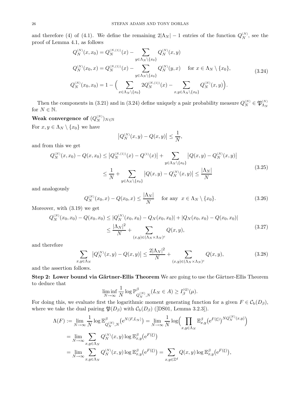and therefore (4) of (4.1). We define the remaining  $2|\Lambda_N| - 1$  entries of the function  $Q_N^{(N)}$ , see the proof of Lemma 4.1, as follows

$$
Q_N^{(N)}(x, x_0) = Q_N^{(N, (1))}(x) - \sum_{y \in \Lambda_N \setminus \{x_0\}} Q_N^{(N)}(x, y)
$$
  
\n
$$
Q_N^{(N)}(x_0, x) = Q_N^{(N, (1))}(x) - \sum_{y \in \Lambda_N \setminus \{x_0\}} Q_N^{(N)}(y, x) \quad \text{for } x \in \Lambda_N \setminus \{x_0\},
$$
  
\n
$$
Q_N^{(N)}(x_0, x_0) = 1 - \Big(\sum_{x \in \Lambda_N \setminus \{x_0\}} 2Q_N^{(N, (1))}(x) - \sum_{x, y \in \Lambda_N \setminus \{x_0\}} Q_N^{(N)}(x, y)\Big).
$$
\n(3.24)

Then the components in (3.21) and in (3.24) define uniquely a pair probability measure  $Q_N^{(N)} \in \mathfrak{P}_{\Lambda_N}^{(N)}$ for  $N \in \mathbb{N}$ .

# Weak convergence of  $(Q_N^{(N)})_{N \in \mathbb{N}}$

For  $x, y \in \Lambda_N \setminus \{x_0\}$  we have

$$
\left|Q_N^{(N)}(x,y) - Q(x,y)\right| \le \frac{1}{N},
$$

and from this we get

$$
Q_N^{(N)}(x, x_0) - Q(x, x_0) \le |Q_N^{(N, (1))}(x) - Q^{(1)}(x)| + \sum_{y \in \Lambda_N \setminus \{x_0\}} |Q(x, y) - Q_N^{(N)}(x, y)|
$$
  

$$
\le \frac{1}{N} + \sum_{y \in \Lambda_N \setminus \{x_0\}} |Q(x, y) - Q_N^{(N)}(x, y)| \le \frac{|\Lambda_N|}{N}
$$
(3.25)

and analogously

$$
Q_N^{(N)}(x_0, x) - Q(x_0, x) \le \frac{|\Lambda_N|}{N} \quad \text{for any } x \in \Lambda_N \setminus \{x_0\}. \tag{3.26}
$$

Moreover, with (3.19) we get

$$
Q_N^{(N)}(x_0, x_0) - Q(x_0, x_0) \le |Q_N^{(N)}(x_0, x_0) - Q_N(x_0, x_0)| + |Q_N(x_0, x_0) - Q(x_0, x_0)|
$$
  

$$
\le \frac{|\Lambda_N|^2}{N} + \sum_{(x, y) \in (\Lambda_N \times \Lambda_N)^c} Q(x, y),
$$
\n(3.27)

and therefore

$$
\sum_{x,y \in \Lambda_N} |Q_N^{(N)}(x,y) - Q(x,y)| \le \frac{2|\Lambda_N|^2}{N} + \sum_{(x,y) \in (\Lambda_N \times \Lambda_N)^c} Q(x,y),
$$
\n(3.28)

and the assertion follows.

**Step 2: Lower bound via Gärtner-Ellis Theorem** We are going to use the Gärtner-Ellis Theorem to deduce that

$$
\liminf_{N \to \infty} \frac{1}{N} \log \mathbb{P}_{Q_N^{(N)}, N}^{\beta}(L_N \in A) \ge I_{\beta}^{(Q)}(\mu).
$$

For doing this, we evaluate first the logarithmic moment generating function for a given  $F \in C_{b}(D_{\beta}),$ where we take the dual pairing  $\mathfrak{P}(D_\beta)$  with  $\mathcal{C}_{\rm b}(D_\beta)$  ([DS01, Lemma 3.2.3]).

$$
\Lambda(F) := \lim_{N \to \infty} \frac{1}{N} \log \mathbb{E}_{Q_N^{(N)},N}^{\beta} \left( e^{N\langle F, L_N \rangle} \right) = \lim_{N \to \infty} \frac{1}{N} \log \left( \prod_{x,y \in \Lambda_N} \mathbb{E}_{x,y}^{\beta} \left( e^{F(\xi)} \right)^{NQ_N^{(N)}(x,y)} \right)
$$
  
\n
$$
= \lim_{N \to \infty} \sum_{x,y \in \Lambda_N} Q_N^{(N)}(x,y) \log \mathbb{E}_{x,y}^{\beta} \left( e^{F(\xi)} \right)
$$
  
\n
$$
= \lim_{N \to \infty} \sum_{x,y \in \Lambda_N} Q_N^{(N)}(x,y) \log \mathbb{E}_{x,y}^{\beta} \left( e^{F(\xi)} \right) = \sum_{x,y \in \mathbb{Z}^d} Q(x,y) \log \mathbb{E}_{x,y}^{\beta} \left( e^{F(\xi)} \right),
$$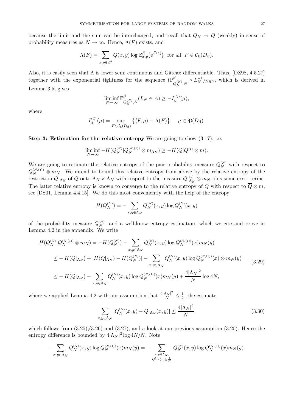because the limit and the sum can be interchanged, and recall that  $Q_N \to Q$  (weakly) in sense of probability measures as  $N \to \infty$ . Hence,  $\Lambda(F)$  exists, and

$$
\Lambda(F) = \sum_{x,y \in \mathbb{Z}^d} Q(x,y) \log \mathbb{E}_{x,y}^{\beta} (e^{F(\xi)}) \text{ for all } F \in \mathcal{C}_{\mathbf{b}}(D_{\beta}).
$$

Also, it is easily seen that  $\Lambda$  is lower semi continuous and Gâteax differentiable. Thus, [DZ98, 4.5.27] together with the exponential tightness for the sequence  $(\mathbb{P}_{Q_N^{(N)},N}^{\beta} \circ L_N^{-1})_{N \in \mathbb{N}}$ , which is derived in Lemma 3.5, gives

$$
\liminf_{N \to \infty} \mathbb{P}_{Q_N^{(N)},N}^{\beta}(L_N \in A) \ge -I_{\beta}^{(Q)}(\mu),
$$

where

$$
I_{\beta}^{(Q)}(\mu) = \sup_{F \in \mathcal{C}_{\mathbf{b}}(D_{\beta})} \left\{ \langle F, \mu \rangle - \Lambda(F) \right\}, \quad \mu \in \mathfrak{P}(D_{\beta}).
$$

**Step 3: Estimation for the relative entropy** We are going to show (3.17), i.e.

$$
\liminf_{N \to \infty} -H(Q_N^{(N)}|Q_N^{(N, (1))} \otimes m_{\Lambda_N}) \geq -H(Q|Q^{(1)} \otimes m).
$$

We are going to estimate the relative entropy of the pair probability measure  $Q_N^{(N)}$  with respect to  $Q_N^{(N,(1))} \otimes m_N$ . We intend to bound this relative entropy from above by the relative entropy of the restriction  $Q|_{\Lambda_N}$  of Q onto  $\Lambda_N \times \Lambda_N$  with respect to the measure  $Q|_{\Lambda_N}^{(1)} \otimes m_N$  plus some error terms. The latter relative entropy is known to converge to the relative entropy of Q with respect to  $\overline{Q} \otimes m$ , see [DS01, Lemma 4.4.15]. We do this most conveniently with the help of the entropy

$$
H(Q_N^{(N)}) = -\sum_{x,y \in \Lambda_N} Q_N^{(N)}(x,y) \log Q_N^{(N)}(x,y)
$$

of the probability measure  $Q_N^{(N)}$ , and a well-know entropy estimation, which we cite and prove in Lemma 4.2 in the appendix. We write

$$
H(Q_N^{(N)}|Q_N^{(N, (1))} \otimes m_N) = -H(Q_N^{(N)}) - \sum_{x,y \in \Lambda_N} Q_N^{(N)}(x,y) \log Q_N^{(N, (1))}(x) m_N(y)
$$
  
\n
$$
\leq -H(Q|_{\Lambda_N}) + |H(Q|_{\Lambda_N}) - H(Q_N^{(N)})| - \sum_{x,y \in \Lambda_N} Q_N^{(N)}(x,y) \log Q_N^{(N, (1))}(x) \otimes m_N(y)
$$
  
\n
$$
\leq -H(Q|_{\Lambda_N}) - \sum_{x,y \in \Lambda_N} Q_N^{(N)}(x,y) \log Q_N^{(N, (1))}(x) m_N(y) + \frac{4|\Lambda_N|^2}{N} \log 4N,
$$
\n(3.29)

where we applied Lemma 4.2 with our assumption that  $\frac{4|\Lambda_N|^2}{N} \leq \frac{1}{2}$ , the estimate

$$
\sum_{x,y \in \Lambda_N} |Q_N^{(N)}(x,y) - Q|_{\Lambda_N}(x,y)| \le \frac{4|\Lambda_N|^2}{N},\tag{3.30}
$$

which follows from  $(3.25),(3.26)$  and  $(3.27)$ , and a look at our previous assumption  $(3.20)$ . Hence the entropy difference is bounded by  $4|\Lambda_N|^2 \log 4N/N$ . Note

$$
-\sum_{x,y\in \Lambda_N}Q_N^{(N)}(x,y)\log Q_N^{(N,(1))}(x)m_N(y)=-\sum_{\substack{x,y\in \Lambda_N,\\Q^{(1)}(x)\geq \frac{1}{N}}}Q_N^{(N)}(x,y)\log Q_N^{(N,(1))}(x)m_N(y).
$$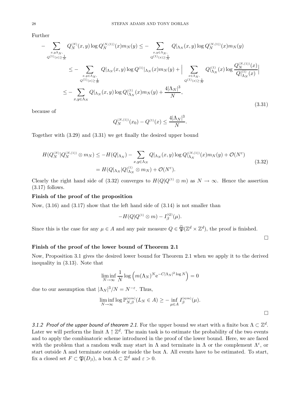Further

$$
- \sum_{\substack{x,y\Lambda_N,\\Q^{(1)}(x)\geq\frac{1}{N}\\Q^{(1)}(x)\geq\frac{1}{N}}} Q_{N}^{(N)}(x,y) \log Q_{N}^{(N,1)}(x) m_{N}(y) \leq - \sum_{\substack{x,y\in\Lambda_N,\\Q^{(1)}(x)\geq\frac{1}{N}\\Q^{(1)}(x)\geq\frac{1}{N}}} Q_{N}^{(N,1)}(x,y) \log Q_{N}^{(N,1)}(x) m_{N}(y) + \Big| \sum_{\substack{x\in\Lambda_N,\\Q^{(1)}(x)\geq\frac{1}{N}\\Q^{(1)}(x)\geq\frac{1}{N}}} Q_{N}^{(N,1)}(x) \log \frac{Q_{N}^{(N,1)}(x)}{Q_{N}^{(1)}(x)} \Big|
$$
  

$$
\leq - \sum_{x,y\in\Lambda_N} Q_{N}^{(N,1)}(x,y) \log Q_{N}^{(1)}(x) m_{N}(y) + \frac{4|\Lambda_N|^3}{N},
$$
\n
$$
(3.31)
$$

because of

$$
Q_N^{(N,(1))}(x_0) - Q^{(1)}(x) \le \frac{4|\Lambda_N|^3}{N}.
$$

Together with (3.29) and (3.31) we get finally the desired upper bound

$$
H(Q_N^{(N)}|Q_N^{(N,(1))}\otimes m_N) \le -H(Q|_{\Lambda_N}) - \sum_{x,y\in\Lambda_N} Q|_{\Lambda_N}(x,y)\log Q|_{\Lambda_N}^{(N,(1))}(x)m_N(y) + \mathcal{O}(N^{\varepsilon})
$$
  
=  $H(Q|_{\Lambda_N}|Q|_{\Lambda_N}^{(1)}\otimes m_N) + \mathcal{O}(N^{\varepsilon}).$  (3.32)

Clearly the right hand side of (3.32) converges to  $H(Q|Q^{(1)} \otimes m)$  as  $N \to \infty$ . Hence the assertion  $(3.17)$  follows.

## **Finish of the proof of the proposition**

Now,  $(3.16)$  and  $(3.17)$  show that the left hand side of  $(3.14)$  is not smaller than

$$
-H(Q|Q^{(1)} \otimes m) - I_{\beta}^{(Q)}(\mu).
$$

Since this is the case for any  $\mu \in A$  and any pair measure  $Q \in \widetilde{\mathfrak{P}}(\mathbb{Z}^d \times \mathbb{Z}^d)$ , the proof is finished.

 $\Box$ 

### **Finish of the proof of the lower bound of Theorem 2.1**

Now, Proposition 3.1 gives the desired lower bound for Theorem 2.1 when we apply it to the derived inequality in (3.13). Note that

$$
\liminf_{N \to \infty} \frac{1}{N} \log \left( m(\Lambda_N)^N e^{-C|\Lambda_N|^2 \log N} \right) = 0
$$

due to our assumption that  $|\Lambda_N|^3/N = N^{-\varepsilon}$ . Thus,

$$
\liminf_{N \to \infty} \log \mathbb{P}_{N,\beta}^{(\text{sym})}(L_N \in A) \geq - \inf_{\mu \in A} I_{\beta}^{(\text{sym})}(\mu).
$$

 $\Box$ 

*3.1.2 Proof of the upper bound of theorem 2.1.* For the upper bound we start with a finite box  $\Lambda \subset \mathbb{Z}^d$ . Later we will perform the limit  $\Lambda \uparrow \mathbb{Z}^d$ . The main task is to estimate the probability of the two events and to apply the combinatoric scheme introduced in the proof of the lower bound. Here, we are faced with the problem that a random walk may start in  $\Lambda$  and terminate in  $\Lambda$  or the complement  $\Lambda^c$ , or start outside  $\Lambda$  and terminate outside or inside the box  $\Lambda$ . All events have to be estimated. To start, fix a closed set  $F \subset \mathfrak{P}(D_{\beta})$ , a box  $\Lambda \subset \mathbb{Z}^d$  and  $\varepsilon > 0$ .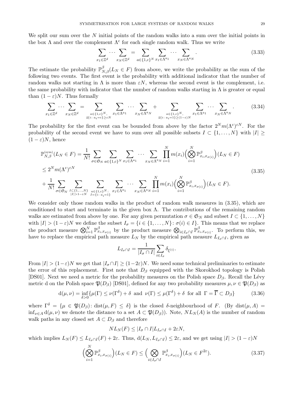We split our sum over the N initial points of the random walks into a sum over the initial points in the box  $\Lambda$  and over the complement  $\Lambda^c$  for each single random walk. Thus we write

$$
\sum_{x_1 \in \mathbb{Z}^d} \cdots \sum_{x_N \in \mathbb{Z}^d} = \sum_{a \in \{1, c\}^N} \sum_{x_1 \in \Lambda^{a_1}} \cdots \sum_{x_N \in \Lambda^{a_N}}.
$$
\n(3.33)

The estimate the probability  $\mathbb{P}_{N,\beta}^{\beta}(L_N \in F)$  from above, we write the probability as the sum of the following two events. The first event is the probability with additional indicator that the number of random walks not starting in  $\Lambda$  is more than  $\epsilon N$ , whereas the second event is the complement, i.e. the same probability with indicator that the number of random walks starting in  $\Lambda$  is greater or equal than  $(1 - \varepsilon)N$ . Thus formally

$$
\sum_{x_1 \in \mathbb{Z}^d} \dots \sum_{x_N \in \mathbb{Z}^d} = \sum_{\substack{a \in \{1, c\}^N, \ a_i = c\} \ge \varepsilon N}} \sum_{x_1 \in \Lambda^{a_1}} \dots \sum_{x_N \in \Lambda^{a_N}} + \sum_{\substack{a \in \{1, c\}^N, \ a_i = 1\} \ge (1-\varepsilon)N}} \sum_{x_1 \in \Lambda^{a_1}} \dots \sum_{x_N \in \Lambda^{a_N}}.
$$
(3.34)

The probability for the first event can be bounded from above by the factor  $2^N m(\Lambda^c)^{\varepsilon N}$ . For the probability of the second event we have to sum over all possible subsets  $I \subset \{1,\ldots,N\}$  with  $|I| \geq$  $(1 - \varepsilon)N$ , hence

$$
\mathbb{P}_{N,\beta}^{(\text{sym})}(L_N \in F) = \frac{1}{N!} \sum_{\sigma \in \mathfrak{S}_N} \sum_{a \in \{1,c\}^N} \sum_{x_1 \in \Lambda^{a_1}} \cdots \sum_{x_N \in \Lambda^{a_N}} \prod_{i=1}^N m(x_i) \Big(\bigotimes_{i=1}^N \mathbb{P}_{x_i, x_{\sigma(i)}}^{\beta} \Big) (L_N \in F)
$$
\n
$$
\leq 2^N m (\Lambda^c)^{\varepsilon N} \sum_{\sigma \in \mathfrak{S}_N} \sum_{\substack{I \subset \{1,\ldots,N\} \\ |I| > 1 - \varepsilon N}} \sum_{\substack{a \in \{1,c\}^N:\\|I| < i = i}} \sum_{x_1 \in \Lambda^{a_1}} \cdots \sum_{x_N \in \Lambda^{a_N}} \prod_{i=1}^N m(x_i) \Big(\bigotimes_{i=1}^N \mathbb{P}_{x_i, x_{\sigma(i)}}^{\beta} \Big) (L_N \in F).
$$
\n
$$
(3.35)
$$

We consider only those random walks in the product of random walk measures in  $(3.35)$ , which are conditioned to start and terminate in the given box  $\Lambda$ . The contributions of the remaining random walks are estimated from above by one. For any given permutation  $\sigma \in \mathfrak{S}_N$  and subset  $I \subset \{1,\ldots,N\}$ with  $|I| > (1 - \varepsilon)N$  we define the subset  $I_{\sigma} = \{i \in \{1, ..., N\} : \sigma(i) \in I\}$ . This means that we replace the product measure  $\bigotimes_{i=1}^{N} \mathbb{P}^{\beta}_{x_i,x_{\sigma(i)}}$  by the product measure  $\bigotimes_{i\in I_{\sigma}\cap I} \mathbb{P}^{\beta}_{x_i,x_{\sigma(i)}}$ . To perform this, we have to replace the empirical path measure  $L_N$  by the empirical path measure  $L_{I_{\sigma}\cap I}$ , given as

$$
L_{I_{\sigma} \cap I} = \frac{1}{|I_{\sigma} \cap I|} \sum_{i \in I_{\sigma}} \delta_{\xi^{(i)}}.
$$

From  $|I| > (1-\varepsilon)N$  we get that  $|I_{\sigma} \cap I| \ge (1-2\varepsilon)N$ . We need some technical preliminaries to estimate the error of this replacement. First note that  $D_\beta$  equipped with the Skorokhod topology is Polish [DS01]. Next we need a metric for the probability measures on the Polish space  $D_\beta$ . Recall the Lévy metric d on the Polish space  $\mathfrak{P}(D_{\beta})$  [DS01], defined for any two probability measures  $\mu, \nu \in \mathfrak{P}(D_{\beta})$  as

$$
d(\mu, \nu) = \inf_{\delta > 0} \{ \mu(\Gamma) \le \nu(\Gamma^{\delta}) + \delta \text{ and } \nu(\Gamma) \le \mu(\Gamma^{\delta}) + \delta \text{ for all } \Gamma = \overline{\Gamma} \subset D_{\beta} \} \tag{3.36}
$$

where  $\Gamma^{\delta} = {\mu \in \mathfrak{P}(D_{\beta}) : \text{dist}(\mu, F) \leq \delta}$  is the closed δ-neighbourhood of F. (By dist $(\mu, A)$ )  $\inf_{\nu \in A} d(\mu, \nu)$  we denote the distance to a set  $A \subset \mathfrak{P}(D_{\beta})$ . Note,  $NL_N(A)$  is the number of random walk paths in any closed set  $A \subset D_\beta$  and therefore

$$
NL_N(F) \le |I_{\sigma} \cap I|L_{I_{\sigma} \cap I} + 2\varepsilon N,
$$

which implies  $L_N(F) \leq L_{I_{\sigma} \cap I}(F) + 2\varepsilon$ . Thus,  $d(L_N, L_{I_{\sigma} \cap I}) \leq 2\varepsilon$ , and we get using  $|I| > (1 - \varepsilon)N$ 

$$
\left(\bigotimes_{i=1}^{N} \mathbb{P}_{x_i, x_{\sigma(i)}}^{\beta}\right) (L_N \in F) \le \left(\bigotimes_{i \in I_{\sigma} \cap I} \mathbb{P}_{x_i, x_{\sigma(i)}}^{\beta}\right) (L_N \in F^{2\varepsilon}).\tag{3.37}
$$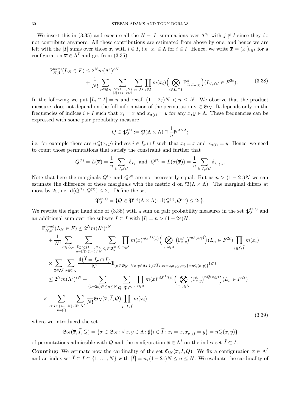We insert this in (3.35) and execute all the  $N - |I|$  summations over  $\Lambda^{a_j}$  with  $j \notin I$  since they do not contribute anymore. All these contributions are estimated from above by one, and hence we are left with the |I| sums over those  $x_i$  with  $i \in I$ , i.e.  $x_i \in \Lambda$  for  $i \in I$ . Hence, we write  $\overline{x} = (x_i)_{i \in I}$  for a configuration  $\overline{x} \in \Lambda^I$  and get from (3.35)

$$
\mathbb{P}_{N,\beta}^{(\text{sym})}(L_N \in F) \le 2^N m(\Lambda^c)^{\varepsilon N} + \frac{1}{N!} \sum_{\sigma \in \mathfrak{S}_N} \sum_{\substack{I \subset \{1,\ldots,N\} \\ |I| > (1-\varepsilon)N}} \sum_{\overline{x} \in \Lambda^I} \prod_{i \in I} m(x_i) \Big( \bigotimes_{i \in I_{\sigma} \cap I} \mathbb{P}_{x_i, x_{\sigma(i)}}^{\beta} \Big) (L_{I_{\sigma} \cap I} \in F^{2\varepsilon}). \tag{3.38}
$$

In the following we put  $|I_{\sigma} \cap I| = n$  and recall  $(1 - 2\varepsilon)N < n \leq N$ . We observe that the product measure does not depend on the full information of the permutation  $\sigma \in \mathfrak{S}_N$ . It depends only on the frequencies of indices  $i \in I$  such that  $x_i = x$  and  $x_{\sigma(i)} = y$  for any  $x, y \in \Lambda$ . These frequencies can be expressed with some pair probability measure

$$
Q \in \mathfrak{P}_{\Lambda}^{(n)} := \mathfrak{P}(\Lambda \times \Lambda) \cap \frac{1}{n} \mathbb{N}^{\Lambda \times \Lambda};
$$

i.e. for example there are  $nQ(x, y)$  indices  $i \in I_{\sigma} \cap I$  such that  $x_i = x$  and  $x_{\sigma(i)} = y$ . Hence, we need to count those permutations that satisfy the constraint and further that

$$
Q^{(1)} = L(\overline{x}) = \frac{1}{n} \sum_{i \in I_{\sigma} \cap I} \delta_{x_i} \text{ and } Q^{(2)} = L(\sigma(\overline{x})) = \frac{1}{n} \sum_{i \in I_{\sigma} \cap I} \delta_{x_{\sigma(i)}}.
$$

Note that here the marginals  $Q^{(1)}$  and  $Q^{(2)}$  are not necessarily equal. But as  $n > (1 - 2\varepsilon)N$  we can estimate the difference of these marginals with the metric d on  $\mathfrak{P}(\Lambda \times \Lambda)$ . The marginal differs at most by  $2\varepsilon$ , i.e.  $d(Q^{(1)}, Q^{(2)}) \leq 2\varepsilon$ . Define the set

$$
\mathfrak{P}_{\Lambda}^{(n,\varepsilon)} = \{Q \in \mathfrak{P}^{(n)}(\Lambda \times \Lambda) : d(Q^{(1)}, Q^{(2)}) \leq 2\varepsilon\}.
$$

We rewrite the right hand side of  $(3.38)$  with a sum on pair probability measures in the set  $\mathfrak{P}_{\Lambda}^{(n,\varepsilon)}$  and an additional sum over the subsets  $I \subset I$  with  $|I| = n > (1 - 2\varepsilon)N$ .

$$
\mathbb{P}_{N,\beta}^{(\text{sym})}(L_{N} \in F) \leq 2^{N} m(\Lambda^{c})^{\varepsilon N} \n+ \frac{1}{N!} \sum_{\sigma \in \mathfrak{S}_{N}} \sum_{\tilde{l} \in I \subset \{1, \ldots, N\}, \atop n=|\tilde{l}|\geq (1-2\varepsilon)N} \sum_{\sigma \in \mathfrak{P}_{\Lambda}^{(n,\varepsilon)}} \prod_{x \in \Lambda} m(x)^{nQ^{(1)}(x)} \Big( \bigotimes_{x,y \in \Lambda} (\mathbb{P}_{x,y}^{\beta})^{nQ(x,y)} \Big) (L_{n} \in F^{2\varepsilon}) \prod_{i \in I \setminus \tilde{I}} m(x_{i}) \n\times \sum_{\tilde{x} \in \Lambda^{I}} \sum_{\sigma \in \mathfrak{S}_{N}} \frac{\mathbb{1}\{\tilde{l} = I_{\sigma} \cap I\}}{N!} \mathbb{1}_{\{\sigma \in \mathfrak{S}_{N} : \forall x,y \in \Lambda : \sharp\{i \in \tilde{l} : x_{i} = x, x_{\sigma(i)} = y\} = nQ(x,y)\}} (\sigma) \n\leq 2^{N} m(\Lambda^{c})^{\varepsilon N} + \sum_{(1-2\varepsilon)N \leq n \leq N} \sum_{Q \in \mathfrak{P}_{\Lambda}^{(n),\varepsilon}} \prod_{x \in \Lambda} m(x)^{nQ^{(1)}(x)} \Big( \bigotimes_{x,y \in \Lambda} (\mathbb{P}_{x,y}^{\beta})^{nQ(x,y)} \Big) (L_{n} \in F^{2\varepsilon}) \n\times \sum_{\tilde{l} \in I \subset \{1, \ldots, N\}, \, \tilde{x} \in \Lambda^{I}} \sum_{n=|\tilde{l}|} \prod_{j \in I} \mathfrak{S}_{N}(\overline{x}, \tilde{l}, Q) \prod_{i \in I \setminus \tilde{l}} m(x_{i}),
$$
\n(3.39)

where we introduced the set

$$
\mathfrak{S}_N(\overline{x}, \widetilde{I}, Q) = \{ \sigma \in \mathfrak{S}_N : \forall x, y \in \Lambda : \sharp \{ i \in \widetilde{I} : x_i = x, x_{\sigma(i)} = y \} = nQ(x, y) \}
$$

of permutations admissible with Q and the configuration  $\overline{x} \in \Lambda^I$  on the index set  $\tilde{I} \subset I$ .

**Counting:** We estimate now the cardinality of the set  $\mathfrak{S}_N(\overline{x}, \widetilde{I}, Q)$ . We fix a configuration  $\overline{x} \in \Lambda^I$ and an index set  $I \subset I \subset \{1, ..., N\}$  with  $|I| = n, (1 - 2\varepsilon)N \le n \le N$ . We evaluate the cardinality of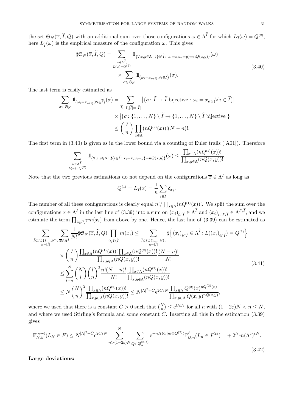the set  $\mathfrak{S}_N(\overline{x}, I, Q)$  with an additional sum over those configurations  $\omega \in \Lambda^I$  for which  $L_{\widetilde{I}}(\omega) = Q^{(2)}$ , here  $L_{\tilde{I}}(\omega)$  is the empirical measure of the configuration  $\omega$ . This gives

$$
\sharp \mathfrak{S}_{N}(\overline{x}, \widetilde{I}, Q) = \sum_{\substack{\omega \in \Lambda^{\widetilde{I}}, \\ L(\omega) = Q^{(2)} }} \mathbb{1}_{\{\forall \, x, y \in \Lambda : \, \sharp\{i \in \widetilde{I} : x_{i} = x, \omega_{i} = y\} = nQ(x, y)\}}(\omega)
$$
\n
$$
\times \sum_{\sigma \in \mathfrak{S}_{N}} \mathbb{1}_{\{\omega_{i} = x_{\sigma(i)}, \forall i \in \widetilde{I}\}}(\sigma).
$$
\n(3.40)

The last term is easily estimated as

$$
\sum_{\sigma \in \mathfrak{S}_N} 1\!\!1_{\{\omega_i = x_{\sigma(i)}, \forall i \in \widetilde{I}\}}(\sigma) = \sum_{\widehat{I} \subset I, |\widehat{I}| = |\widetilde{I}|} |\{\sigma : \widetilde{I} \to \widehat{I} \text{ bijective} : \omega_i = x_{\sigma(i)} \forall i \in \widetilde{I}\}|
$$
  
 
$$
\times |\{\sigma : \{1, \dots, N\} \setminus \widetilde{I} \to \{1, \dots, N\} \setminus \widehat{I} \text{ bijective}\}|
$$
  

$$
\leq {|I| \choose n} \prod_{x \in \Lambda} (nQ^{(2)}(x))!(N - n)!.
$$

The first term in (3.40) is given as in the lower bound via a counting of Euler trails ([A01]). Therefore

$$
\sum_{\substack{\omega \in \Lambda^{\widetilde{I}},\\L(\omega)=Q^{(2)}}} \mathbb{1}_{\{\forall \, x,y \in \Lambda \colon \sharp \{i \in \widetilde{I} \colon x_i = x, \omega_i = y\} = nQ(x,y)\}}(\omega) \leq \frac{\prod_{x \in \Lambda} (nQ^{(1)}(x))!}{\prod_{x,y \in \Lambda} (nQ(x,y))!}.
$$

Note that the two previous estimations do not depend on the configurations  $\overline{x} \in \Lambda^I$  as long as

$$
Q^{(1)} = L_{\widetilde{I}}(\overline{x}) = \frac{1}{n} \sum_{i \in \widetilde{I}} \delta_{x_i}.
$$

The number of all these configurations is clearly equal  $n!/\prod_{x\in\Lambda}(nQ^{(1)}(x))!$ . We split the sum over the configurations  $\overline{x} \in \Lambda^I$  in the last line of (3.39) into a sum on  $(x_i)_{i \in \overline{I}} \in \Lambda^I$  and  $(x_i)_{i \in I\setminus \overline{I}} \in \Lambda^{I\setminus I}$ , and we estimate the term  $\prod_{i\in I\setminus\widetilde{I}}m(x_i)$  from above by one. Hence, the last line of (3.39) can be estimated as

$$
\sum_{\tilde{I}\subset I\subset\{1,\ldots,N\},\ \overline{x}\in\Lambda^I} \sum_{\tilde{I}\subset I} \frac{1}{N!} \sharp \mathfrak{S}_N(\overline{x},\tilde{I},Q) \prod_{i\in I\setminus\tilde{I}} m(x_i) \leq \sum_{\tilde{I}\subset I\subset\{1,\ldots,N\},\ \atop n=|\tilde{I}|} \sharp \left\{ (x_i)_{i\in\tilde{I}} \in \Lambda^{\tilde{I}} : L((x_i)_{i\in\tilde{I}}) = Q^{(1)} \right\}
$$
\n
$$
\times \binom{|I|}{n} \frac{\prod_{x\in\Lambda} (nQ^{(1)}(x))! \prod_{x\in\Lambda} (nQ^{(2)}(x))!}{\prod_{x,y\in\Lambda} (nQ(x,y))!} \frac{(N-n)!}{N!}
$$
\n
$$
\leq \sum_{l=n}^N \binom{N}{l} \binom{l}{n}^2 \frac{n!(N-n)!}{N!} \frac{\prod_{x\in\Lambda} (nQ^{(2)}(x))!}{\prod_{x,y\in\Lambda} (nQ(x,y))!}
$$
\n
$$
\leq N \binom{N}{n}^2 \frac{\prod_{x\in\Lambda} (nQ^{(2)}(x))!}{\prod_{x,y\in\Lambda} (nQ(x,y))!} \leq N^{|\Lambda|^2 + \tilde{C}} e^{2C\varepsilon N} \frac{\prod_{x\in\Lambda} Q^{(2)}(x)nQ^{(2)}(x)}{\prod_{x,y\in\Lambda} Q(x,y)^{nQ(x,y)}},
$$
\n(3.41)

where we used that there is a constant  $C > 0$  such that  $\binom{N}{n} \leq e^{C \varepsilon N}$  for all n with  $(1 - 2\varepsilon)N < n \leq N$ , and where we used Stirling's formula and some constant  $\tilde{C}$ . Inserting all this in the estimation (3.39) gives

$$
\mathbb{P}_{N,\beta}^{(\text{sym})}(L_N \in F) \le N^{|\Lambda|^2 + \widetilde{C}} e^{2C\varepsilon N} \sum_{n > (1-2\varepsilon)N}^N \sum_{Q \in \mathfrak{P}_{\Lambda}^{(n,\varepsilon)}} e^{-nH(Q|m \otimes Q^{(2)})} \mathbb{P}_{Q,n}^{\beta}(L_n \in F^{2\varepsilon}) + 2^N m(\Lambda^c)^{\varepsilon N}.
$$
\n(3.42)

**Large deviations:**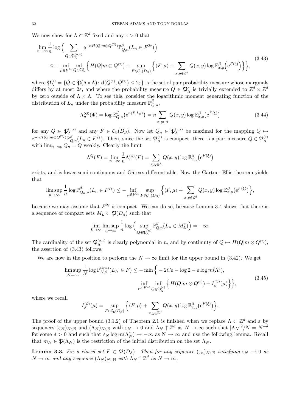We now show for  $\Lambda \subset \mathbb{Z}^d$  fixed and any  $\varepsilon > 0$  that

$$
\lim_{n \to \infty} \frac{1}{n} \log \Big( \sum_{Q \in \mathfrak{P}_{\Lambda}^{(n,\varepsilon)}} e^{-nH(Q|m \otimes Q^{(2)})} \mathbb{P}_{Q,n}^{\beta}(L_n \in F^{2\varepsilon}) \Big) \n\leq - \inf_{\mu \in F^{2\varepsilon}} \inf_{Q \in \mathfrak{P}_{\Lambda}^{\varepsilon}} \Big\{ H(Q|m \otimes Q^{(2)}) + \sup_{F \in \mathcal{C}_{\mathbf{b}}(D_{\beta})} \Big\{ \langle F, \mu \rangle + \sum_{x,y \in \mathbb{Z}^d} Q(x,y) \log \mathbb{E}_{x,y}^{\beta} \Big( e^{F(\xi)} \Big) \Big\} \Big\},
$$
\n(3.43)

where  $\mathfrak{P}_{\Lambda}^{(\varepsilon)} = \{Q \in \mathfrak{P}(\Lambda \times \Lambda) : d(Q^{(1)}, Q^{(2)}) \leq 2\varepsilon\}$  is the set of pair probability measure whose marginals differs by at most  $2\varepsilon$ , and where the probability measure  $Q \in \mathfrak{P}_{\Lambda}^{\varepsilon}$  is trivially extended to  $\mathbb{Z}^d \times \mathbb{Z}^d$ by zero outside of  $\Lambda \times \Lambda$ . To see this, consider the logarithmic moment generating function of the distribution of  $L_n$  under the probability measure  $\mathbb{P}^{\beta}_{Q,n}$ ,

$$
\Lambda_n^{(Q)}(\Phi) = \log \mathbb{E}_{Q,n}^{\beta} \left( e^{n \langle F, L_n \rangle} \right) = n \sum_{x, y \in \Lambda} Q(x, y) \log \mathbb{E}_{x, y}^{\beta} \left( e^{F(\xi)} \right)
$$
\n(3.44)

for any  $Q \in \mathfrak{P}_{\Lambda}^{(n,\varepsilon)}$  and any  $F \in \mathcal{C}_{\mathrm{b}}(D_{\beta})$ . Now let  $Q_n \in \mathfrak{P}_{\Lambda}^{(n,\varepsilon)}$  be maximal for the mapping  $Q \mapsto$  $e^{-nH(Q|m\otimes Q^{(2)})}\mathbb{P}_{Q,n}^{\beta}(L_n\in F^{2\varepsilon})$ . Then, since the set  $\mathfrak{P}_{\Lambda}^{(\varepsilon)}$  is compact, there is a pair measure  $Q\in \mathfrak{P}_{\Lambda}^{(\varepsilon)}$ with  $\lim_{n\to\infty} Q_n = Q$  weakly. Clearly the limit

$$
\Lambda^{Q}(F) = \lim_{n \to \infty} \frac{1}{n} \Lambda^{(Q)}_{n}(F) = \sum_{x,y \in \Lambda} Q(x,y) \log \mathbb{E}^{\beta}_{x,y} (e^{F(\xi)})
$$

exists, and is lower semi continuous and Gâteax differentiable. Now the Gärtner-Ellis theorem yields that

$$
\limsup_{n\to\infty}\frac{1}{n}\log\mathbb{P}_{Q_n,n}^{\beta}(L_n\in F^{2\varepsilon})\leq-\inf_{\mu\in F^{2\varepsilon}}\sup_{F\in\mathcal{C}_{\mathrm{b}}(D_{\beta})}\Big\{\langle F,\mu\rangle+\sum_{x,y\in\mathbb{Z}^d}Q(x,y)\log\mathbb{E}_{x,y}^{\beta}\big(\mathrm{e}^{F(\xi)}\big)\Big\},
$$

because we may assume that  $F^{2\varepsilon}$  is compact. We can do so, because Lemma 3.4 shows that there is a sequence of compact sets  $M_L \subset \mathfrak{P}(D_\beta)$  such that

$$
\lim_{L \to \infty} \limsup_{n \to \infty} \frac{1}{n} \log \left( \sup_{Q \in \mathfrak{P}_{\Lambda}^{(n)}} \mathbb{P}_{Q,n}^{\beta}(L_n \in M_L^c) \right) = -\infty.
$$

The cardinality of the set  $\mathfrak{P}_{\Lambda}^{(n,\varepsilon)}$  is clearly polynomial in n, and by continuity of  $Q \mapsto H(Q|m \otimes Q^{(2)})$ , the assertion of (3.43) follows.

We are now in the position to perform the  $N \to \infty$  limit for the upper bound in (3.42). We get

$$
\limsup_{N \to \infty} \frac{1}{N} \log \mathbb{P}_{N,\beta}^{(\text{sym})}(L_N \in F) \le -\min \Big\{ -2C\varepsilon - \log 2 - \varepsilon \log m(\Lambda^c),
$$
\n
$$
\inf_{\mu \in F^{2\varepsilon}} \inf_{Q \in \mathfrak{P}_{\Lambda}^{(\varepsilon)}} \Big\{ H(Q|m \otimes Q^{(2)}) + I_{\beta}^{(Q)}(\mu) \Big\} \Big\},
$$
\n(3.45)

where we recall

$$
I_{\beta}^{(Q)}(\mu) = \sup_{F \in \mathcal{C}_{\mathbf{b}}(D_{\beta})} \left\{ \langle F, \mu \rangle + \sum_{x, y \in \mathbb{Z}^d} Q(x, y) \log \mathbb{E}_{x, y}^{\beta} \left( e^{F(\xi)} \right) \right\}.
$$

The proof of the upper bound (3.1.2) of Theorem 2.1 is finished when we replace  $\Lambda \subset \mathbb{Z}^d$  and  $\varepsilon$  by sequences  $(\varepsilon_N)_{N \in \mathbb{N}}$  and  $(\Lambda_N)_{N \in \mathbb{N}}$  with  $\varepsilon_N \to 0$  and  $\Lambda_N \uparrow \mathbb{Z}^d$  as  $N \to \infty$  such that  $|\Lambda_N|^2/N = N^{-\delta}$ for some  $\delta > 0$  and such that  $\varepsilon_N \log m(\Lambda_N^c) \to -\infty$  as  $N \to \infty$  and use the following lemma. Recall that  $m_N \in \mathfrak{P}(\Lambda_N)$  is the restriction of the initial distribution on the set  $\Lambda_N$ .

**Lemma 3.3.** Fix a closed set  $F \subset \mathfrak{P}(D_{\beta})$ . Then for any sequence  $(\varepsilon_n)_{N \in \mathbb{N}}$  satisfying  $\varepsilon_N \to 0$  as  $N \to \infty$  and any sequence  $(\Lambda_N)_{N \in \mathbb{N}}$  with  $\Lambda_N \uparrow \mathbb{Z}^d$  as  $N \to \infty$ ,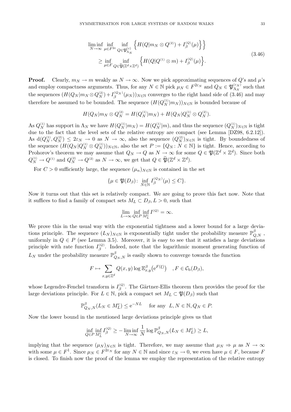$$
\liminf_{N \to \infty} \inf_{\mu \in F^{2\varepsilon}} \inf_{Q \in \mathfrak{P}_{\Lambda_N}^{(\varepsilon)}} \left\{ H(Q|m_N \otimes Q^{(2)}) + I_{\beta}^{(Q)}(\mu) \right\} \right\} \n\ge \inf_{\mu \in F} \inf_{Q \in \widetilde{\mathfrak{P}}(\mathbb{Z}^d \times \mathbb{Z}^d)} \left\{ H(Q|Q^{(1)} \otimes m) + I_{\beta}^{(Q)}(\mu) \right\}.
$$
\n(3.46)

**Proof.** Clearly,  $m_N \to m$  weakly as  $N \to \infty$ . Now we pick approximating sequences of Q's and  $\mu$ 's and employ compactness arguments. Thus, for any  $N \in \mathbb{N}$  pick  $\mu_N \in F^{2\varepsilon_N}$  and  $Q_N \in \mathfrak{P}_{\Lambda_N}^{(\varepsilon_N)}$  such that the sequences  $(H(Q_N | m_N \otimes Q_N^{(2)}) + I_\beta^{(Q_N)}(\mu_N))_{N \in \mathbb{N}}$  converges to the right hand side of (3.46) and may therefore be assumed to be bounded. The sequence  $(H(Q_N^{(1)}|m_N))_{N\in\mathbb{N}}$  is bounded because of

$$
H(Q_N|m_N \otimes Q_N^{(2)} = H(Q_N^{(1)}|m_N) + H(Q_N|Q_N^{(1)} \otimes Q_N^{(2)}).
$$

As  $Q_N^{(1)}$  has support in  $\Lambda_N$  we have  $H(Q_N^{(1)}|m_N) = H(Q_N^{(1)}|m)$ , and thus the sequence  $(Q_N^{(1)})_{N \in \mathbb{N}}$  is tight due to the fact that the level sets of the relative entropy are compact (see Lemma [DZ98, 6.2.12]). As  $d(Q_N^{(1)}, Q_N^{(2)}) \leq 2\varepsilon_N \to 0$  as  $N \to \infty$ , also the sequence  $(Q_N^{(2)})_{N \in \mathbb{N}}$  is tight. By boundedness of the sequence  $(H(Q_N | Q_N^{(1)} \otimes Q_N^{(1)}))_{N \in \mathbb{N}}$ , also the set  $P := \{Q_N : N \in \mathbb{N}\}\$ is tight. Hence, according to Prohorov's theorem we may assume that  $Q_N \to Q$  as  $N \to \infty$  for some  $Q \in \mathfrak{P}(\mathbb{Z}^d \times \mathbb{Z}^d)$ . Since both  $Q_N^{(1)} \to Q^{(1)}$  and  $Q_N^{(2)} \to Q^{(2)}$  as  $N \to \infty$ , we get that  $Q \in \mathfrak{P}(\mathbb{Z}^d \times \mathbb{Z}^d)$ .

For  $C > 0$  sufficiently large, the sequence  $(\mu_n)_{N \in \mathbb{N}}$  is contained in the set

$$
\{\mu \in \mathfrak{P}(D_{\beta}) \colon \inf_{N \in \mathbb{N}} I_{\beta}^{(Q_N)}(\mu) \le C\}.
$$

Now it turns out that this set is relatively compact. We are going to prove this fact now. Note that it suffices to find a family of compact sets  $M_L \subset D_\beta, L>0$ , such that

$$
\lim_{L \to \infty} \inf_{Q \in P} \inf_{M_L^c} I^{(Q)} = \infty.
$$

We prove this in the usual way with the exponential tightness and a lower bound for a large deviations principle. The sequence  $(L_N)_{N \in \mathbb{N}}$  is exponentially tight under the probability measure  $\mathbb{P}^{\beta}_{Q,N}$ , uniformly in  $Q \in P$  (see Lemma 3.5). Moreover, it is easy to see that it satisfies a large deviations principle with rate function  $I_{\beta}^{(Q)}$ . Indeed, note that the logarithmic moment generating function of  $L_N$  under the probability measure  $\mathbb{P}^{\beta}_{Q_N,N}$  is easily shown to converge towards the function

$$
F \mapsto \sum_{x,y \in \mathbb{Z}^d} Q(x,y) \log \mathbb{E}_{x,y}^{\beta} (e^{F(\xi)}) \quad , F \in \mathcal{C}_{\mathbf{b}}(D_{\beta}),
$$

whose Legendre-Fenchel transform is  $I_{\beta}^{(Q)}$ . The Gärtner-Ellis theorem then provides the proof for the large deviations principle. For  $L \in \mathbb{N}$ , pick a compact set  $M_L \subset \mathfrak{P}(D_\beta)$  such that

$$
\mathbb{P}_{Q_N,N}^{\beta}(L_N \in M_L^c) \le e^{-NL} \quad \text{ for any } \ L, N \in \mathbb{N}, Q_N \in P.
$$

Now the lower bound in the mentioned large deviations principle gives us that

$$
\inf_{Q \in P} \inf_{M_L^c} I_{\beta}^{(Q)} \ge - \liminf_{N \to \infty} \frac{1}{N} \log \mathbb{P}_{Q_N, N}^{\beta}(L_N \in M_L^c) \ge L,
$$

implying that the sequence  $(\mu_N)_{N\in\mathbb{N}}$  is tight. Therefore, we may assume that  $\mu_N \Rightarrow \mu$  as  $N \to \infty$ with some  $\mu \in F^1$ . Since  $\mu_N \in F^{2\varepsilon_N}$  for any  $N \in \mathbb{N}$  and since  $\varepsilon_N \to 0$ , we even have  $\mu \in F$ , because F is closed. To finish now the proof of the lemma we employ the representation of the relative entropy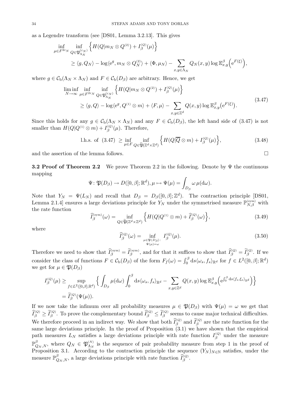as a Legendre transform (see [DS01, Lemma 3.2.13]. This gives

$$
\inf_{\mu \in F^{2\varepsilon_N}} \inf_{Q \in \mathfrak{P}_{\Lambda_N}^{(\varepsilon_N)}} \left\{ H(Q|m_N \otimes Q^{(2)}) + I_{\beta}^{(Q)}(\mu) \right\}
$$
\n
$$
\geq \langle g, Q_N \rangle - \log \langle e^g, m_N \otimes Q_N^{(2)} \rangle + \langle \Phi, \mu_N \rangle - \sum_{x,y \in \Lambda_N} Q_N(x,y) \log \mathbb{E}_{x,y}^{\beta} \left( e^{F(\xi)} \right),
$$

where  $g \in C_{\rm b}(\Lambda_N \times \Lambda_N)$  and  $F \in C_{\rm b}(D_{\beta})$  are arbitrary. Hence, we get

$$
\liminf_{N \to \infty} \inf_{\mu \in F^{2\varepsilon_N}} \inf_{Q \in \mathfrak{P}_{\Lambda_N}^{(\varepsilon_N)}} \left\{ H(Q|m_N \otimes Q^{(2)}) + I_{\beta}^{(Q)}(\mu) \right\} \n\ge \langle g, Q \rangle - \log \langle e^g, Q^{(1)} \otimes m \rangle + \langle F, \mu \rangle - \sum_{x, y \in \mathbb{Z}^d} Q(x, y) \log \mathbb{E}_{x, y}^{\beta} (e^{F(\xi)}).
$$
\n(3.47)

Since this holds for any  $g \in C_b(\Lambda_N \times \Lambda_N)$  and any  $F \in C_b(D_\beta)$ , the left hand side of (3.47) is not smaller than  $H(Q|Q^{(1)} \otimes m) + I_{\beta}^{(Q)}(\mu)$ . Therefore,

1.h.s. of (3.47) 
$$
\geq \inf_{\mu \in F} \inf_{Q \in \widetilde{\mathfrak{P}}(\mathbb{Z}^d \times \mathbb{Z}^d)} \left\{ H(Q|\overline{Q} \otimes m) + I_{\beta}^{(Q)}(\mu) \right\},
$$
 (3.48)

and the assertion of the lemma follows.

**3.2 Proof of Theorem 2.2** We prove Theorem 2.2 in the following. Denote by  $\Psi$  the continuous mapping

$$
\Psi \colon \mathfrak{P}(D_{\beta}) \to D([0,\beta];\mathbb{R}^d), \mu \mapsto \Psi(\mu) = \int_{D_{\beta}} \omega \,\mu(\mathrm{d}\omega).
$$

Note that  $Y_N = \Psi(L_N)$  and recall that  $D_\beta = D_\beta([0, \beta]; \mathbb{Z}^d)$ . The contraction principle [DS01, Lemma 2.1.4] ensures a large deviations principle for  $Y_N$  under the symmetrised measure  $\mathbb{P}_{N,\beta}^{(\text{sym})}$  with the rate function

$$
\widehat{I}_{\beta}^{(\text{sym})}(\omega) = \inf_{Q \in \widetilde{\mathfrak{P}}(\mathbb{Z}^d \times \mathbb{Z}^d)} \left\{ H(Q|Q^{(1)} \otimes m) + \widehat{I}_{\beta}^{(Q)}(\omega) \right\},\tag{3.49}
$$

where

$$
\widehat{I}_{\beta}^{(Q)}(\omega) = \inf_{\substack{\mu \in \mathfrak{P}(D_{\beta}) : \\ \Psi(\mu) = \omega}} I_{\beta}^{(Q)}(\mu). \tag{3.50}
$$

 $\Box$ 

Therefore we need to show that  $\tilde{I}_{\beta}^{(\text{sym})} = \tilde{I}_{\beta}^{(\text{sym})}$ , and for that it suffices to show that  $\tilde{I}_{\beta}^{(Q)} = \tilde{I}_{\beta}^{(Q)}$ . If we consider the class of functions  $F \in C_{\rm b}(D_{\beta})$  of the form  $F_f(\omega) = \int_0^{\beta} ds \langle \omega_s, f_s \rangle_{\mathbb{R}^d}$  for  $f \in L^2([0,\beta];\mathbb{R}^d)$ we get for  $\mu \in \mathfrak{P}(D_{\beta})$ 

$$
I_{\beta}^{(Q)}(\mu) \ge \sup_{f \in L^{2}([0,\beta];\mathbb{R}^{d})} \Big\{ \int_{D_{\beta}} \mu(\mathrm{d}\omega) \int_{0}^{\beta} \mathrm{d}s \langle \omega_{s}, f_{s} \rangle_{\mathbb{R}^{d}} - \sum_{x,y \in \mathbb{Z}^{d}} Q(x,y) \log \mathbb{E}^{\beta}_{x,y} \Big( e^{\int_{0}^{\beta} \mathrm{d}s \langle f_{s}, \xi_{s} \rangle_{\mathbb{R}^{d}}} \Big) \Big\}
$$
  
=  $\tilde{I}_{\beta}^{(Q)}(\Psi(\mu)).$ 

If we now take the infimum over all probability measures  $\mu \in \mathfrak{P}(D_{\beta})$  with  $\Psi(\mu) = \omega$  we get that  $\tilde{I}_{\beta}^{(Q)} \geq \tilde{I}_{\beta}^{(Q)}$ . To prove the complementary bound  $\tilde{I}_{\beta}^{(Q)} \leq \tilde{I}_{\beta}^{(Q)}$  seems to cause major technical difficulties. We therefore proceed in an indirect way. We show that both  $\tilde{I}_{\beta}^{(Q)}$  and  $\tilde{I}_{\beta}^{(Q)}$  are the rate function for the same large deviations principle. In the proof of Proposition (3.1) we have shown that the empirical path measures  $L_N$  satisfies a large deviations principle with rate function  $I_{\beta}^{(Q)}$  under the measure  $\mathbb{P}^{\beta}_{Q_N,N}$ , where  $Q_N \in \mathfrak{P}^{(N)}_{\Lambda_N}$  is the sequence of pair probability measure from step 1 in the proof of Proposition 3.1. According to the contraction principle the sequence  $(Y_N)_{N\in\mathbb{N}}$  satisfies, under the measure  $\mathbb{P}^{\beta}_{Q_N,N}$ , a large deviations principle with rate function  $\widehat{I}_{\beta}^{(Q)}$ .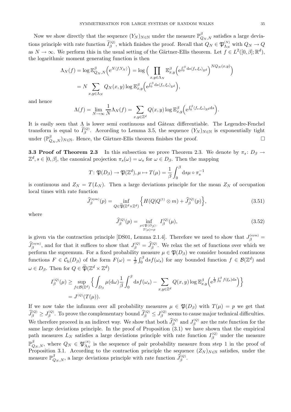Now we show directly that the sequence  $(Y_N)_{N \in \mathbb{N}}$  under the measure  $\mathbb{P}^{\beta}_{Q_N,N}$  satisfies a large deviations principle with rate function  $I_{\beta}^{(Q)}$ , which finishes the proof. Recall that  $Q_N \in \mathfrak{P}_{\Lambda_N}^{(N)}$  with  $Q_N \to Q$ as  $N \to \infty$ . We perform this in the usual setting of the Gärtner-Ellis theorem. Let  $f \in L^2([0,\beta];\mathbb{R}^d)$ , the logarithmic moment generating function is then

$$
\Lambda_N(f) = \log \mathbb{E}_{Q_N,N}^{\beta} \Big( e^{N\langle f, Y_N \rangle} \Big) = \log \Big( \prod_{x,y \in \Lambda_N} \mathbb{E}_{x,y}^{\beta} \Big( e^{\int_0^{\beta} ds \langle f_s, \xi_s \rangle_{\mathbb{R}^d}} \Big)^{NQ_N(x,y)} \Big)
$$
  
=  $N \sum_{x,y \in \Lambda_N} Q_N(x,y) \log \mathbb{E}_{x,y}^{\beta} \Big( e^{\int_0^{\beta} ds \langle f_s, \xi_s \rangle_{\mathbb{R}^d}} \Big),$ 

and hence

$$
\Lambda(f) = \lim_{N \to \infty} \frac{1}{N} \Lambda_N(f) = \sum_{x,y \in \mathbb{Z}^d} Q(x,y) \log \mathbb{E}^{\beta}_{x,y} \Big( e^{\int_0^{\beta} \langle f_s, \xi_s \rangle_{\mathbb{R}^d} ds} \Big).
$$

It is easily seen that  $\Lambda$  is lower semi continuous and Gâteax differentiable. The Legendre-Fenchel transform is equal to  $I_{\beta}^{(Q)}$ . According to Lemma 3.5, the sequence  $(Y_N)_{N\in\mathbb{N}}$  is exponentially tight under  $(\mathbb{P}_{Q_N,N}^{\beta})_{N \in \mathbb{N}}$ . Hence, the Gärtner-Ellis theorem finishes the proof.

**3.3 Proof of Theorem 2.3** In this subsection we prove Theorem 2.3. We denote by  $\pi_s: D_\beta \to$  $\mathbb{Z}^d, s \in [0, \beta],$  the canonical projection  $\pi_s(\omega) = \omega_s$  for  $\omega \in D_\beta$ . Then the mapping

$$
T: \mathfrak{P}(D_{\beta}) \to \mathfrak{P}(\mathbb{Z}^{d}), \mu \mapsto T(\mu) = \frac{1}{\beta} \int_{0}^{\beta} ds \mu \circ \pi_{s}^{-1}
$$

is continuous and  $Z_N = T(L_N)$ . Then a large deviations principle for the mean  $Z_N$  of occupation local times with rate function

$$
\widehat{J}_{\beta}^{(\text{sym})}(p) = \inf_{Q \in \widetilde{\mathfrak{P}}(\mathbb{Z}^d \times \mathbb{Z}^d)} \left\{ H(Q|Q^{(1)} \otimes m) + \widehat{J}_{\beta}^{(Q)}(p) \right\},\tag{3.51}
$$

where

$$
\widehat{J}_{\beta}^{(Q)}(p) = \inf_{\substack{\mu \in \mathfrak{P}(D_{\beta}) : \\ T(\mu) = p}} I_{\beta}^{(Q)}(\mu),\tag{3.52}
$$

is given via the contraction principle [DS01, Lemma 2.1.4]. Therefore we need to show that  $J_{\beta}^{(\text{sym})}$  =  $\tilde{J}_{\beta}^{(\text{sym})}$ , and for that it suffices to show that  $J_{\beta}^{(Q)} = \tilde{J}_{\beta}^{(Q)}$ . We relax the set of functions over which we perform the supremum. For a fixed probability measure  $\mu \in \mathfrak{P}(D_\beta)$  we consider bounded continuous functions  $F \in \mathcal{C}_{\mathbf{b}}(D_{\beta})$  of the form  $F(\omega) = \frac{1}{\beta} \int_0^{\beta} ds f(\omega_s)$  for any bounded function  $f \in \mathcal{B}(\mathbb{Z}^d)$  and  $\omega \in D_{\beta}$ . Then for  $Q \in \widetilde{\mathfrak{P}}(\mathbb{Z}^d \times \mathbb{Z}^d)$ 

$$
I_{\beta}^{(Q)}(\mu) \ge \sup_{f \in \mathcal{B}(\mathbb{Z}^d)} \left\{ \int_{D_{\beta}} \mu(\mathrm{d}\omega) \frac{1}{\beta} \int_0^{\beta} \mathrm{d}s f(\omega_s) - \sum_{x,y \in \mathbb{Z}^d} Q(x,y) \log \mathbb{E}_{x,y}^{\beta} \left( e^{\frac{1}{\beta} \int_0^{\beta} f(\xi_s) \mathrm{d}s} \right) \right\}
$$
  
=  $J^{(Q)}(T(\mu)).$ 

If we now take the infimum over all probability measures  $\mu \in \mathfrak{P}(D_{\beta})$  with  $T(\mu) = p$  we get that  $\tilde{J}_{\beta}^{(Q)} \geq J_{\beta}^{(Q)}$ . To prove the complementary bound  $\tilde{J}_{\beta}^{(Q)} \leq J_{\beta}^{(Q)}$  seems to cause major technical difficulties. We therefore proceed in an indirect way. We show that both  $\hat{J}^{(Q)}_{\beta}$  and  $J^{(Q)}_{\beta}$  are the rate function for the same large deviations principle. In the proof of Proposition (3.1) we have shown that the empirical path measures  $L_N$  satisfies a large deviations principle with rate function  $I_{\beta}^{(Q)}$  under the measure  $\mathbb{P}^{\beta}_{Q_N,N}$ , where  $Q_N \in \mathfrak{P}^{(N)}_{\Lambda_N}$  is the sequence of pair probability measure from step 1 in the proof of Proposition 3.1. According to the contraction principle the sequence  $(Z_N)_{N\in\mathbb{N}}$  satisfies, under the measure  $\mathbb{P}^{\beta}_{Q_N,N}$ , a large deviations principle with rate function  $\widehat{J}_{\beta}^{(Q)}$ .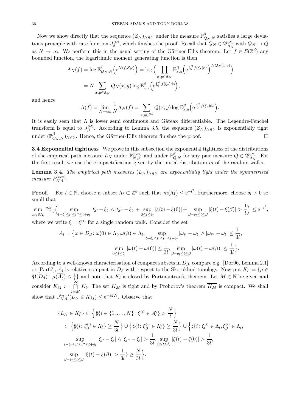Now we show directly that the sequence  $(Z_N)_{N \in \mathbb{N}}$  under the measure  $\mathbb{P}^{\beta}_{Q_N,N}$  satisfies a large deviations principle with rate function  $J_{\beta}^{(Q)}$ , which finishes the proof. Recall that  $Q_N \in \mathfrak{P}_{\Lambda_N}^{(N)}$  with  $Q_N \to Q$ as  $N \to \infty$ . We perform this in the usual setting of the Gärtner-Ellis theorem. Let  $f \in \mathcal{B}(\mathbb{Z}^d)$  any bounded function, the logarithmic moment generating function is then

$$
\Lambda_N(f) = \log \mathbb{E}_{Q_N,N}^{\beta} \Big( e^{N\langle f, Z_N \rangle} \Big) = \log \Big( \prod_{x,y \in \Lambda_N} \mathbb{E}_{x,y}^{\beta} \Big( e^{\int_0^{\beta} f(\xi_s) ds} \Big)^{NQ_N(x,y)} \Big)
$$

$$
= N \sum_{x,y \in \Lambda_N} Q_N(x,y) \log \mathbb{E}_{x,y}^{\beta} \Big( e^{\int_0^{\beta} f(\xi_s) ds} \Big),
$$

and hence

$$
\Lambda(f) = \lim_{N \to \infty} \frac{1}{N} \Lambda_N(f) = \sum_{x,y \in \mathbb{Z}^d} Q(x,y) \log \mathbb{E}^{\beta}_{x,y} \left( e^{\int_0^{\beta} f(\xi_s) ds} \right).
$$

It is easily seen that  $\Lambda$  is lower semi continuous and Gâteax differentiable. The Legendre-Fenchel transform is equal to  $J_{\beta}^{(Q)}$ . According to Lemma 3.5, the sequence  $(Z_N)_{N\in\mathbb{N}}$  is exponentially tight under  $(\mathbb{P}_{Q_N,N}^{\beta})_{N \in \mathbb{N}}$ . Hence, the Gärtner-Ellis theorem finishes the proof.  $\Box$ 

**3.4 Exponential tightness** We prove in this subsection the exponential tightness of the distributions of the empirical path measure  $L_N$  under  $\mathbb{P}_{N,\beta}^{(\text{sym})}$  and under  $\mathbb{P}_{Q,N}^{\beta}$  for any pair measure  $Q \in \mathfrak{P}_{\Lambda_N}^{(N)}$ . For the first result we use the compactification given by the initial distribution  $m$  of the random walks.

**Lemma 3.4.** *The empirical path measures*  $(L_N)_{N \in \mathbb{N}}$  *are exponentially tight under the symmetrised measure*  $P_{N,\beta}^{(\text{sym})}$ .

**Proof.** For  $l \in \mathbb{N}$ , choose a subset  $\Lambda_l \subset \mathbb{Z}^d$  such that  $m(\Lambda_l^c) \leq e^{-l^2}$ . Furthermore, choose  $\delta_l > 0$  so small that

sup  $x,y \in \Lambda_l$  $\mathbb{P}_{x,y}^{\beta}$  sup  $t-\delta_l \leq t' \leq t'' \leq t+\delta_l$  $|\xi_{t'} - \xi_t| \wedge |\xi_{t''} - \xi_t| + \sup$  $0 \le t \le \delta_l$  $|\xi(t) - \xi(0)| + \sup$ β−δl≤t≤β  $|\xi(t) - \xi(\beta)| > \frac{1}{l}$ l  $\Big) \leq e^{-l^2},$ 

where we write  $\xi = \xi^{(1)}$  for a single random walk. Consider the set

$$
A_{l} = \{ \omega \in D_{\beta} \colon \omega(0) \in \Lambda_{l}, \omega(\beta) \in \Lambda_{l}, \sup_{t-\delta_{l} \leq t' \leq t+\delta_{l}} |\omega_{t'} - \omega_{t}| \wedge |\omega_{t''} - \omega_{t}| \leq \frac{1}{3l}, \sup_{0 \leq t \leq \delta_{l}} |\omega(t) - \omega(0)| \leq \frac{1}{3l}, \sup_{\beta-\delta_{l} \leq t \leq \beta} |\omega(t) - \omega(\beta)| \leq \frac{1}{3l} \}.
$$

According to a well-known characterisation of compact subsets in  $D_\beta$ , compare e.g. [Dor96, Lemma 2.1] or [Par67],  $A_l$  is relative compact in  $D_\beta$  with respect to the Skorokhod topology. Now put  $K_l := \{ \mu \in$  $\mathfrak{P}(D_{\beta}): \mu(\overline{A}_{l}^{c}) \leq \frac{1}{l}$  and note that  $K_{l}$  is closed by Portmanteau's theorem. Let  $M \in \mathbb{N}$  be given and consider  $K_M := \bigcap_{i=1}^{\infty}$  $l = M$  $K_l$ . The set  $K_M$  is tight and by Prohorov's theorem  $K_M$  is compact. We shall show that  $\mathbb{P}_{N,\beta}^{(\text{sym})}(L_N \in K_M^c) \leq e^{-MN}$ . Observe that

$$
\{L_N \in K_l^c\} \subset \left\{\sharp\{i \in \{1, ..., N\} : \xi^{(i)} \in A_l^c\} > \frac{N}{l}\right\}
$$
  

$$
\subset \left\{\sharp\{i : \xi_0^{(i)} \in \Lambda_l^c\} \ge \frac{N}{3l}\right\} \cup \left\{\sharp\{i : \xi_\beta^{(i)} \in \Lambda_l^c\} \ge \frac{N}{3l}\right\} \cup \left\{\sharp\{i : \xi_0^{(i)} \in \Lambda_l, \xi_\beta^{(i)} \in \Lambda_l, \xi_\beta^{(i)} \in \Lambda_l, \xi_\beta^{(i)} \in \Lambda_l, \xi_\beta^{(i)} \in \Lambda_l, \xi_\beta^{(i)} \in \Lambda_l, \xi_\beta^{(i)} \in \Lambda_l, \xi_\beta^{(i)} \in \Lambda_l, \xi_\beta^{(i)} \in \Lambda_l, \xi_\beta^{(i)} \in \Lambda_l, \xi_\beta^{(i)} \in \Lambda_l, \xi_\beta^{(i)} \in \Lambda_l, \xi_\beta^{(i)} \in \Lambda_l, \xi_\beta^{(i)} \in \Lambda_l, \xi_\beta^{(i)} \in \Lambda_l, \xi_\beta^{(i)} \in \Lambda_l, \xi_\beta^{(i)} \in \Lambda_l, \xi_\beta^{(i)} \in \Lambda_l, \xi_\beta^{(i)} \in \Lambda_l, \xi_\beta^{(i)} \in \Lambda_l, \xi_\beta^{(i)} \in \Lambda_l, \xi_\beta^{(i)} \in \Lambda_l, \xi_\beta^{(i)} \in \Lambda_l, \xi_\beta^{(i)} \in \Lambda_l, \xi_\beta^{(i)} \in \Lambda_l, \xi_\beta^{(i)} \in \Lambda_l, \xi_\beta^{(i)} \in \Lambda_l, \xi_\beta^{(i)} \in \Lambda_l, \xi_\beta^{(i)} \in \Lambda_l, \xi_\beta^{(i)} \in \Lambda_l, \xi_\beta^{(i)} \in \Lambda_l, \xi_\beta^{(i)} \in \Lambda_l, \xi_\beta^{(i)} \in \Lambda_l, \xi_\beta^{(i)} \in \Lambda_l, \xi_\beta^{(i)} \in \Lambda_l, \xi_\beta^{(i)} \in \Lambda_l, \xi_\beta^{(i)} \in \Lambda_l, \xi_\beta^{(i)} \in \Lambda_l, \xi_\beta^{(i)} \in \Lambda_l, \xi_\beta^{(i)} \in \Lambda_l, \xi_\beta^{(i)} \in \Lambda_l, \xi_\beta^{(i)} \in \Lambda_l, \xi_\beta^{(i)} \in \Lambda_l
$$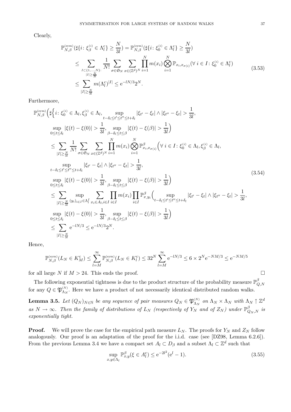Clearly,

$$
\mathbb{P}_{N,\beta}^{(\text{sym})}(\sharp\{i\colon \xi_{\beta}^{(i)} \in \Lambda_{l}^{c}\} \geq \frac{N}{3l}) = \mathbb{P}_{N,\beta}^{(\text{sym})}(\sharp\{i\colon \xi_{0}^{(i)} \in \Lambda_{l}^{c}\} \geq \frac{N}{3l})
$$
\n
$$
\leq \sum_{\substack{I \subset \{1,\ldots,N\}:\\|I| \geq \frac{N}{3l}}} \frac{1}{N!} \sum_{\sigma \in \mathfrak{S}_{N}} \sum_{x \in (\mathbb{Z}^{d})^{N}} \prod_{i=1}^{N} m(x_{i}) \bigotimes_{i=1}^{N} \mathbb{P}_{x_{i},x_{\sigma(i)}}(\forall i \in I \colon \xi_{0}^{(i)} \in \Lambda_{l}^{c})
$$
\n
$$
\leq \sum_{|I| \geq \frac{N}{3l}} m(\Lambda_{l}^{c})^{|I|} \leq e^{-lN/3} 2^{N}.
$$
\n(3.53)

Furthermore,

$$
\mathbb{P}_{N,\beta}^{\text{(sym)}}\left(\sharp\left\{i:\xi_{0}^{(i)}\in\Lambda_{l},\xi_{\beta}^{(i)}\in\Lambda_{l},\sup_{t-\delta_{l}\leq t'\leq t''\leq t+\delta_{l}}|\xi_{t'}-\xi_{t}|\wedge|\xi_{t''}-\xi_{t}|>\frac{1}{3l},\sup_{0\leq t\leq\delta_{l}}|\xi(t)-\xi(0)|>\frac{1}{3l},\sup_{\beta-\delta_{l}\leq t\leq\beta}|\xi(t)-\xi(\beta)|>\frac{1}{3l}\right)
$$
\n
$$
\leq \sum_{|I|\geq\frac{N}{3l}}\frac{1}{N!}\sum_{\sigma\in\mathfrak{S}_{N}}\sum_{x\in(\mathbb{Z}^{d})^{N}}\prod_{i=1}^{N}m(x_{i})\bigotimes_{i=1}^{N}\mathbb{P}_{x_{i},x_{\sigma(i)}}^{\beta}\left(\forall i\in I:\xi_{0}^{(i)}\in\Lambda_{l},\xi_{\beta}^{(i)}\in\Lambda_{l},\sup_{t-\delta_{l}\leq t'\leq t''\leq t+\delta_{l}}|\xi_{t'}-\xi_{t}|\wedge|\xi_{t''}-\xi_{t}|>\frac{1}{3l},\sup_{t-\delta_{l}\leq t'\leq t''\leq t+\delta_{l}}|\xi_{t'}-\xi_{t}|\wedge|\xi_{t''}-\xi_{t}|>\frac{1}{3l},\sup_{0\leq t\leq\delta_{l}}|\xi(t)-\xi(0)|>\frac{1}{3l},\sup_{\beta-\delta_{l}\leq t\leq\beta}|\xi(t)-\xi(\beta)|>\frac{1}{3l}\right)
$$
\n
$$
\leq \sum_{|I|\geq\frac{N}{3l}}\sup_{\text{sup}}\sum_{\substack{|\xi|\in I\in\Lambda_{l}^{I},\xi\in I,\xi\in I,\xi\in I}}\prod_{i\in I}m(x_{i})\prod_{i\in I}\mathbb{P}_{x,y_{i}}^{\beta}\Big(\sup_{t-\delta_{l}\leq t'\leq t''\leq t+\delta_{l}}|\xi_{t'}-\xi_{t}|\wedge|\xi_{t''}-\xi_{t}|>\frac{1}{3l},\sup_{0\leq t\leq\delta_{l}}|\xi(t)-\xi(0)|>\frac{1}{3l},\sup_{0\leq t\leq\delta_{l}}|\xi(t)-\xi(0)|>\frac{1}{3l
$$

Hence,

$$
\mathbb{P}_{N,\beta}^{(\mathrm{sym})}(L_N \in K_M^{\mathrm{c}}) \le \sum_{l=M}^{\infty} \mathbb{P}_{N,\beta}^{(\mathrm{sym})}(L_N \in K_l^{\mathrm{c}}) \le 32^N \sum_{l=M}^{\infty} e^{-lN/3} \le 6 \times 2^N e^{-NM/3} \le e^{-NM/5}
$$

for all large N if  $M > 24$ . This ends the proof.

The following exponential tightness is due to the product structure of the probability measure  $\mathbb{P}^{\beta}_{Q,N}$ for any  $Q \in \mathfrak{P}_{\Lambda_N}^{(N)}$ . Here we have a product of not necessarily identical distributed random walks.

**Lemma 3.5.** Let  $(Q_N)_{N \in \mathbb{N}}$  be any sequence of pair measures  $Q_N \in \mathfrak{P}_{\Lambda_N}^{(N)}$  on  $\Lambda_N \times \Lambda_N$  with  $\Lambda_N \uparrow \mathbb{Z}^d$  $as N \to \infty$ . Then the family of distributions of  $L_N$  (respectively of  $Y_N$  and of  $Z_N$ ) under  $\mathbb{P}^{\beta}_{Q_N,N}$  is *exponentially tight.*

**Proof.** We will prove the case for the empirical path measure  $L_N$ . The proofs for  $Y_N$  and  $Z_N$  follow analogously. Our proof is an adaptation of the proof for the i.i.d. case (see [DZ98, Lemma 6.2.6]). From the previous Lemma 3.4 we have a compact set  $A_l \subset D_\beta$  and a subset  $\Lambda_l \subset \mathbb{Z}^d$  such that

$$
\sup_{x,y \in \Lambda_l} \mathbb{P}_{x,y}^{\beta} (\xi \in A_l^c) \le e^{-2l^2} (e^l - 1).
$$
\n(3.55)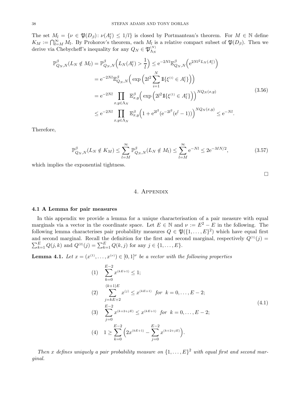The set  $M_l = \{ \nu \in \mathfrak{P}(D_\beta) : \nu(A_l^c) \leq 1/l \}$  is closed by Portmanteau's theorem. For  $M \in \mathbb{N}$  define  $K_M := \bigcap_{l=M}^{\infty} M_l$ . By Prohorov's theorem, each  $M_l$  is a relative compact subset of  $\mathfrak{P}(D_\beta)$ . Then we derive via Chebycheff's inequality for any  $Q_N \in \mathfrak{P}_{\Lambda_N}^{(N)}$ 

$$
\mathbb{P}^{\beta}_{Q_N,N}(L_N \notin M_l) = \mathbb{P}^{\beta}_{Q_N,N}\Big(L_N(A_l^c) > \frac{1}{l}\Big) \leq e^{-2Nl} \mathbb{E}^{\beta}_{Q_N,N}\Big(e^{2Nl^2L_N(A_l^c)}\Big) \n= e^{-2Nl} \mathbb{E}^{\beta}_{Q_N,N}\Big(\exp\Big(2l^2 \sum_{i=1}^N \mathbb{1}\{\xi^{(i)} \in A_l^c\}\Big)\Big) \n= e^{-2Nl} \prod_{x,y \in \Lambda_N} \mathbb{E}^{\beta}_{x,y}\Big(\exp\Big(2l^2 \mathbb{1}\{\xi^{(1)} \in A_l^c\}\Big)\Big)^{NQ_N(x,y)} \n\leq e^{-2Nl} \prod_{x,y \in \Lambda_N} \mathbb{E}^{\beta}_{x,y}\Big(1 + e^{2l^2}(e^{-2l^2}(e^l - 1))\Big)^{NQ_N(x,y)} \leq e^{-Nl}.
$$
\n(3.56)

Therefore,

$$
\mathbb{P}_{Q_N,N}^{\beta}(L_N \notin K_M) \le \sum_{l=M}^{\infty} \mathbb{P}_{Q_N,N}^{\beta}(L_N \notin M_l) \le \sum_{l=M}^{\infty} e^{-Nl} \le 2e^{-MN/2},\tag{3.57}
$$

which implies the exponential tightness.

 $\Box$ 

# 4. Appendix

## **4.1 A Lemma for pair measures**

In this appendix we provide a lemma for a unique characterisation of a pair measure with equal marginals via a vector in the coordinate space. Let  $E \in \mathbb{N}$  and  $\nu := E^2 - E$  in the following. The following lemma characterises pair probability measures  $Q \in \mathfrak{P}(\{1,\ldots,E\}^2)$  which have equal first and second marginal. Recall the definition for the first and second marginal, respectively  $Q^{(1)}(j)$  =  $\sum_{k=1}^{E} Q(j,k)$  and  $Q^{(2)}(j) = \sum_{k=1}^{E} Q(k,j)$  for any  $j \in \{1, ..., E\}$ .

**Lemma 4.1.** Let  $x = (x^{(1)}, \ldots, x^{(v)}) \in [0,1]^{\nu}$  be a vector with the following properties

(1) 
$$
\sum_{k=0}^{E-2} x^{(k+1)} \le 1;
$$
  
\n(2) 
$$
\sum_{j=kE+2}^{(k+1)E} x^{(j)} \le x^{(k+1)} \text{ for } k = 0, ..., E-2;
$$
  
\n(3) 
$$
\sum_{j=0}^{E-2} x^{(k+2+jE)} \le x^{(k+1)} \text{ for } k = 0, ..., E-2;
$$
  
\n(4) 
$$
1 \ge \sum_{k=0}^{E-2} \left( 2x^{(k+1)} - \sum_{j=0}^{E-2} x^{(k+2+jE)} \right).
$$
 (4)

*Then* x defines uniquely a pair probability measure on  $\{1, \ldots, E\}^2$  with equal first and second mar*ginal.*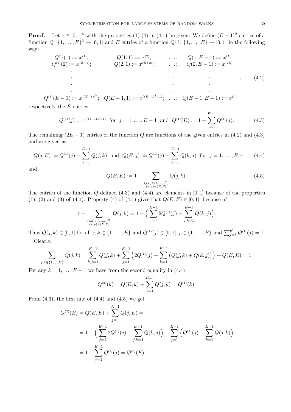**Proof.** Let  $x \in [0,1]^{\nu}$  with the properties (1)-(4) in (4.1) be given. We define  $(E-1)^2$  entries of a function  $Q: \{1,\ldots,E\}^2 \to [0,1]$  and E entries of a function  $Q^{(1)}: \{1,\ldots,E\} \to [0,1]$  in the following way:

$$
Q^{(1)}(1) := x^{(1)};
$$
\n
$$
Q^{(1)}(2) := x^{(E+1)};
$$
\n
$$
Q(2,1) := x^{(E+2)};
$$
\n
$$
Q(2,E-1) := x^{(2E)}
$$
\n
$$
Q(2,E-1) := x^{(2E)}
$$
\n
$$
Q(2,E-1) := x^{(2E)}
$$
\n
$$
Q(2,E-1) := x^{(2E)}
$$
\n
$$
(4.2)
$$

$$
Q^{(1)}(E-1) := x^{((E-1)^2)}; \quad Q(E-1,1) := x^{((E-1)^2+1)}; \quad \dots; \quad Q(E-1,E-1) := x^{(\nu)}
$$

respectively the  $E$  entries

$$
Q^{(1)}(j) := x^{((j-1)E+1)} \text{ for } j = 1, ..., E-1 \text{ and } Q^{(1)}(E) := 1 - \sum_{j=1}^{E-1} Q^{(1)}(j). \tag{4.3}
$$

The remaining  $(2E - 1)$  entries of the function Q are functions of the given entries in (4.2) and (4.3) and are given as

$$
Q(j, E) := Q^{(1)}(j) - \sum_{k=1}^{E-1} Q(j,k) \text{ and } Q(E, j) := Q^{(1)}(j) - \sum_{k=1}^{E-1} Q(k,j) \text{ for } j = 1, \dots, E-1; \quad (4.4)
$$

and

$$
Q(E, E) := 1 - \sum_{\substack{(j,k) \in \{1,\ldots,1\}^2, \\ (x,y) \neq (E, E)}} Q(j,k).
$$
\n(4.5)

The entries of the function  $Q$  defined  $(4.3)$  and  $(4.4)$  are elements in  $[0, 1]$  because of the properties (1), (2) and (3) of (4.1). Property (4) of (4.1) gives that  $Q(E, E) \in [0, 1]$ , because of

$$
1 - \sum_{\substack{(j,k) \in \{1,\ldots,\}^2\\(x,y) \neq (E,E)}} Q(j,k) = 1 - \Big(\sum_{j=1}^{E-1} 2Q^{(1)}(j) - \sum_{j,k=1}^{E-1} Q(k,j)\Big).
$$

Thus  $Q(j, k) \in [0, 1]$  for all  $j, k \in \{1, ..., E\}$  and  $Q^{(1)}(j) \in [0, 1], j \in \{1, ..., E\}$  and  $\sum_{j=1}^{E} Q^{(1)}(j) = 1$ . Clearly,

$$
\sum_{j,k \in \{1,\dots,E\}} Q(j,k) = \sum_{k,j=1}^{E-1} Q(j,k) + \sum_{j=1}^{E-1} \left( 2Q^{(1)}(j) - \sum_{k=1}^{E-1} \left( Q(j,k) + Q(k,j) \right) \right) + Q(E,E) = 1.
$$

For any  $k = 1, \ldots, E-1$  we have from the second equality in (4.4)

$$
Q^{(2)}(k) = Q(E,k) + \sum_{j=1}^{E-1} Q(j,k) = Q^{(1)}(k).
$$

From  $(4.3)$ , the first line of  $(4.4)$  and  $(4.5)$  we get

$$
Q^{(2)}(E) = Q(E, E) + \sum_{j=1}^{E-1} Q(j, E) =
$$
  
= 1 - \left(\sum\_{j=1}^{E-1} 2Q^{(1)}(j) - \sum\_{j,k=1}^{E-1} Q(k, j)\right) + \sum\_{j=1}^{E-1} \left(Q^{(1)}(j) - \sum\_{k=1}^{E-1} Q(j, k)\right)  
= 1 - \sum\_{j=1}^{E-1} Q^{(1)}(j) = Q^{(1)}(E).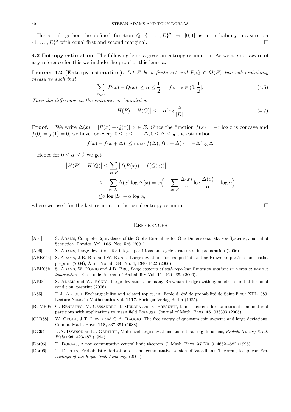Hence, altogether the defined function  $Q: \{1, \ldots, E\}^2 \rightarrow [0, 1]$  is a probability measure on  $\{1,\ldots,E\}^2$  with equal first and second marginal.

**4.2 Entropy estimation** The following lemma gives an entropy estimation. As we are not aware of any reference for this we include the proof of this lemma.

**Lemma 4.2** (**Entropy estimation**). Let E be a finite set and  $P, Q \in \mathfrak{P}(E)$  two sub-probability *measures such that*

$$
\sum_{x \in E} |P(x) - Q(x)| \le \alpha \le \frac{1}{2} \quad \text{for } \alpha \in (0, \frac{1}{2}]. \tag{4.6}
$$

*Then the difference in the entropies is bounded as*

$$
\left|H(P) - H(Q)\right| \le -\alpha \log \frac{\alpha}{|E|}.\tag{4.7}
$$

**Proof.** We write  $\Delta(x) = |P(x) - Q(x)|, x \in E$ . Since the function  $f(x) = -x \log x$  is concave and  $f(0) = f(1) = 0$ , we have for every  $0 \le x \le 1 - \Delta$ ,  $0 \le \Delta \le \frac{1}{2}$  the estimation

$$
|f(x) - f(x + \Delta)| \le \max\{f(\Delta), f(1 - \Delta)\} = -\Delta \log \Delta.
$$

Hence for  $0 \le \alpha \le \frac{1}{2}$  we get

$$
|H(P) - H(Q)| \le \sum_{x \in E} |f(P(x)) - f(Q(x))|
$$
  

$$
\le - \sum_{x \in E} \Delta(x) \log \Delta(x) = \alpha \Big( - \sum_{x \in E} \frac{\Delta(x)}{\alpha} \log \frac{\Delta(x)}{\alpha} - \log \alpha \Big)
$$
  

$$
\le \alpha \log |E| - \alpha \log \alpha,
$$

where we used for the last estimation the usual entropy estimate.

**REFERENCES** 

- [A01] S. ADAMS, Complete Equivalence of the Gibbs Ensembles for One-Dimensional Markov Systems, Journal of Statistical Physics, Vol. **105**, Nos. 5/6 (2001).
- [A06] S. ADAMS, Large deviations for integer partitions and cycle structures, in preparation (2006).
- [ABK06a] S. ADAMS, J.B. BRU and W. KÖNIG, Large deviations for trapped interacting Brownian particles and paths, preprint (2004), Ann. Probab. **34**, No. 4, 1340-1422 (2006).
- $[ABK06b]$  S. ADAMS, W. KÖNIG and J.B. BRU, Large systems of path-repellent Brownian motions in a trap at positive temperature, Electronic Journal of Probability Vol. **11**, 460-485, (2006).
- [AK06] S. ADAMS and W. KÖNIG, Large deviations for many Brownian bridges with symmetrised initial-terminal condition, preprint (2006).
- [A85] D.J. ALDOUS, Exchangeability and related topics, in: Ecole d'été de probabilité de Saint-Flour XIII-1983, Lecture Notes in Mathematics Vol. **1117**, Springer-Verlag Berlin (1985).
- [BCMP05] G. BENFATTO, M. CASSANDRO, I. MEROLA and E. PRESUTTI, Limit theorems for statistics of combinatorial partitions with applications to mean field Bose gas, Journal of Math. Phys. **46**, 033303 (2005).
- [CLR88] W. Cegla, J.T. Lewis and G.A. Raggio, The free energy of quantum spin systems and large deviations, Comun. Math. Phys. **118**, 337-354 (1988).
- [DG94] D.A. DAWSON and J. GÄRTNER, Multilevel large deviations and interacting diffusions, Probab. Theory Relat. Fields **98**, 423-487 (1994).
- [Dor96] T. Dorlas, A non-commutative central limit theorem, J. Math. Phys. **37** N0. 9, 4662-4682 (1996).
- [Dor06] T. Dorlas, Probabilistic derivation of a noncommutative version of Varadhan's Theorem, to appear Proceedings of the Royal Irish Academy, (2006).

 $\Box$